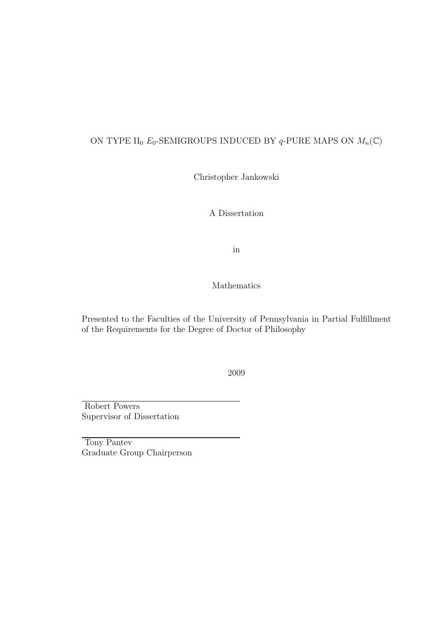## ON TYPE II<sub>0</sub>  $E_0$ -SEMIGROUPS INDUCED BY  $q$ -PURE MAPS ON  $M_n(\mathbb{C})$

Christopher Jankowski

A Dissertation

in

## Mathematics

Presented to the Faculties of the University of Pennsylvania in Partial Fulfillment of the Requirements for the Degree of Doctor of Philosophy

2009

Robert Powers Supervisor of Dissertation

Tony Pantev Graduate Group Chairperson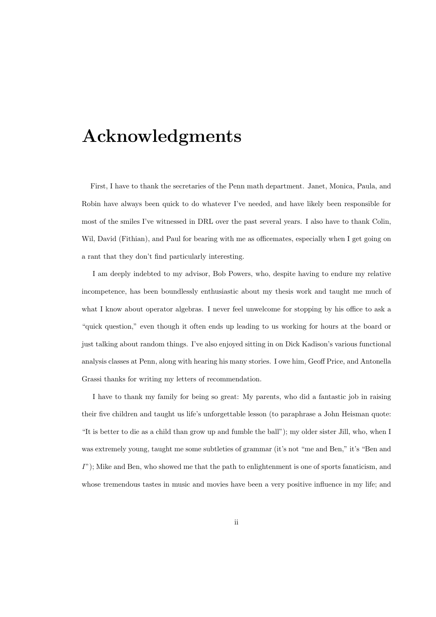# Acknowledgments

First, I have to thank the secretaries of the Penn math department. Janet, Monica, Paula, and Robin have always been quick to do whatever I've needed, and have likely been responsible for most of the smiles I've witnessed in DRL over the past several years. I also have to thank Colin, Wil, David (Fithian), and Paul for bearing with me as officemates, especially when I get going on a rant that they don't find particularly interesting.

I am deeply indebted to my advisor, Bob Powers, who, despite having to endure my relative incompetence, has been boundlessly enthusiastic about my thesis work and taught me much of what I know about operator algebras. I never feel unwelcome for stopping by his office to ask a "quick question," even though it often ends up leading to us working for hours at the board or just talking about random things. I've also enjoyed sitting in on Dick Kadison's various functional analysis classes at Penn, along with hearing his many stories. I owe him, Geoff Price, and Antonella Grassi thanks for writing my letters of recommendation.

I have to thank my family for being so great: My parents, who did a fantastic job in raising their five children and taught us life's unforgettable lesson (to paraphrase a John Heisman quote: "It is better to die as a child than grow up and fumble the ball"); my older sister Jill, who, when I was extremely young, taught me some subtleties of grammar (it's not "me and Ben," it's "Ben and  $I$ "); Mike and Ben, who showed me that the path to enlightenment is one of sports fanaticism, and whose tremendous tastes in music and movies have been a very positive influence in my life; and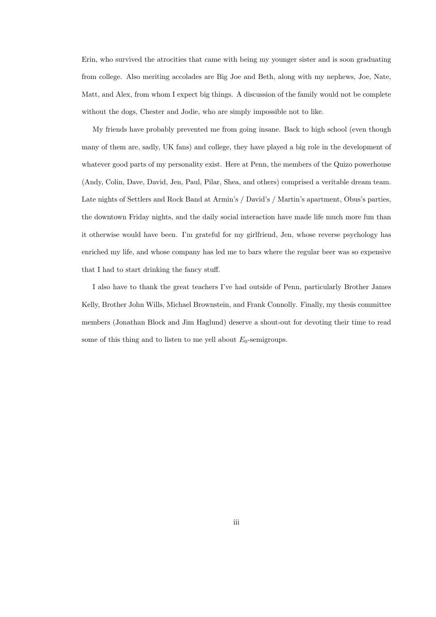Erin, who survived the atrocities that came with being my younger sister and is soon graduating from college. Also meriting accolades are Big Joe and Beth, along with my nephews, Joe, Nate, Matt, and Alex, from whom I expect big things. A discussion of the family would not be complete without the dogs, Chester and Jodie, who are simply impossible not to like.

My friends have probably prevented me from going insane. Back to high school (even though many of them are, sadly, UK fans) and college, they have played a big role in the development of whatever good parts of my personality exist. Here at Penn, the members of the Quizo powerhouse (Andy, Colin, Dave, David, Jen, Paul, Pilar, Shea, and others) comprised a veritable dream team. Late nights of Settlers and Rock Band at Armin's / David's / Martin's apartment, Obus's parties, the downtown Friday nights, and the daily social interaction have made life much more fun than it otherwise would have been. I'm grateful for my girlfriend, Jen, whose reverse psychology has enriched my life, and whose company has led me to bars where the regular beer was so expensive that I had to start drinking the fancy stuff.

I also have to thank the great teachers I've had outside of Penn, particularly Brother James Kelly, Brother John Wills, Michael Brownstein, and Frank Connolly. Finally, my thesis committee members (Jonathan Block and Jim Haglund) deserve a shout-out for devoting their time to read some of this thing and to listen to me yell about  $E_0$ -semigroups.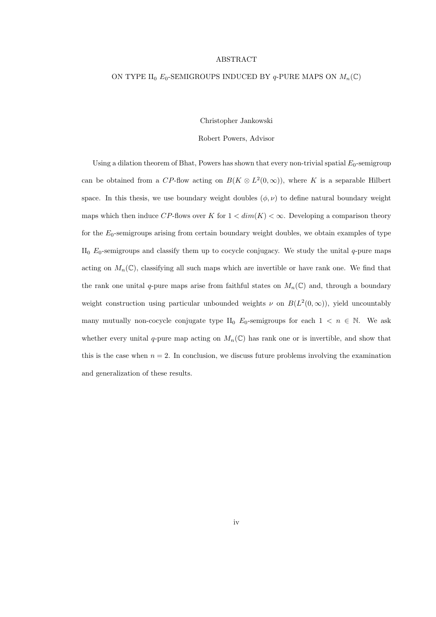#### ABSTRACT

#### ON TYPE II<sub>0</sub>  $E_0$ -SEMIGROUPS INDUCED BY q-PURE MAPS ON  $M_n(\mathbb{C})$

Christopher Jankowski

Robert Powers, Advisor

Using a dilation theorem of Bhat, Powers has shown that every non-trivial spatial  $E_0$ -semigroup can be obtained from a CP-flow acting on  $B(K \otimes L^2(0,\infty))$ , where K is a separable Hilbert space. In this thesis, we use boundary weight doubles  $(\phi, \nu)$  to define natural boundary weight maps which then induce CP-flows over K for  $1 < dim(K) < \infty$ . Developing a comparison theory for the  $E_0$ -semigroups arising from certain boundary weight doubles, we obtain examples of type  $II_0$   $E_0$ -semigroups and classify them up to cocycle conjugacy. We study the unital q-pure maps acting on  $M_n(\mathbb{C})$ , classifying all such maps which are invertible or have rank one. We find that the rank one unital q-pure maps arise from faithful states on  $M_n(\mathbb{C})$  and, through a boundary weight construction using particular unbounded weights  $\nu$  on  $B(L^2(0,\infty))$ , yield uncountably many mutually non-cocycle conjugate type II<sub>0</sub>  $E_0$ -semigroups for each  $1 \lt n \in \mathbb{N}$ . We ask whether every unital q-pure map acting on  $M_n(\mathbb{C})$  has rank one or is invertible, and show that this is the case when  $n = 2$ . In conclusion, we discuss future problems involving the examination and generalization of these results.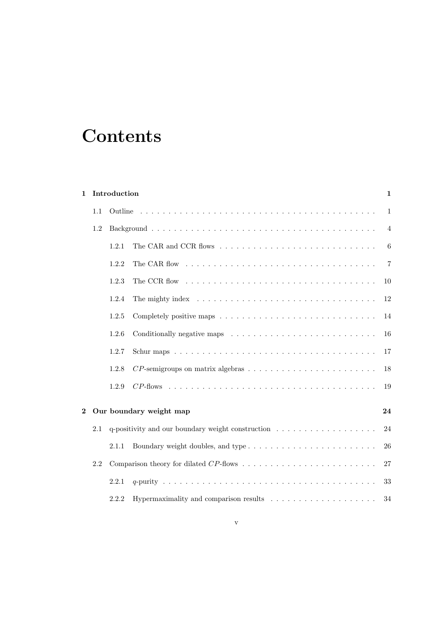# **Contents**

| Introduction<br>$\mathbf{1}$ |                                                                                                |       |                                                                                            |                  |
|------------------------------|------------------------------------------------------------------------------------------------|-------|--------------------------------------------------------------------------------------------|------------------|
|                              | 1.1                                                                                            |       |                                                                                            | $1\,$            |
|                              | 1.2                                                                                            |       |                                                                                            | $\overline{4}$   |
|                              |                                                                                                | 1.2.1 |                                                                                            | $\boldsymbol{6}$ |
|                              |                                                                                                | 1.2.2 |                                                                                            | $\overline{7}$   |
|                              |                                                                                                | 1.2.3 |                                                                                            | 10               |
|                              |                                                                                                | 1.2.4 | The mighty index $\dots \dots \dots \dots \dots \dots \dots \dots \dots \dots \dots \dots$ | 12               |
|                              |                                                                                                | 1.2.5 |                                                                                            | 14               |
|                              |                                                                                                | 1.2.6 | Conditionally negative maps $\ldots \ldots \ldots \ldots \ldots \ldots \ldots \ldots$      | 16               |
|                              |                                                                                                | 1.2.7 |                                                                                            | 17               |
|                              |                                                                                                | 1.2.8 |                                                                                            | 18               |
|                              |                                                                                                | 1.2.9 |                                                                                            | 19               |
| $\overline{2}$               |                                                                                                |       | Our boundary weight map                                                                    | 24               |
|                              | q-positivity and our boundary weight construction $\dots \dots \dots \dots \dots \dots$<br>2.1 |       | 24                                                                                         |                  |
|                              |                                                                                                | 2.1.1 |                                                                                            | 26               |
|                              | 2.2                                                                                            |       |                                                                                            |                  |
|                              |                                                                                                | 2.2.1 |                                                                                            | 33               |
|                              |                                                                                                | 2.2.2 |                                                                                            | 34               |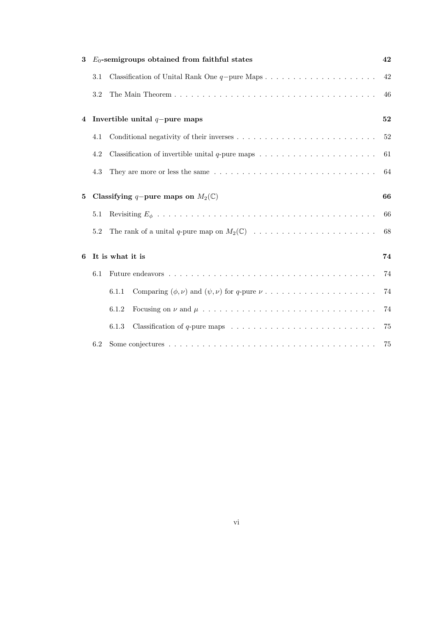| 3                                                 |         | $E_0$ -semigroups obtained from faithful states                                                            | 42     |  |  |
|---------------------------------------------------|---------|------------------------------------------------------------------------------------------------------------|--------|--|--|
|                                                   | $3.1\,$ |                                                                                                            | 42     |  |  |
|                                                   | 3.2     |                                                                                                            | 46     |  |  |
| $\overline{\mathbf{4}}$                           |         | Invertible unital $q$ -pure maps                                                                           |        |  |  |
|                                                   | 4.1     |                                                                                                            | $52\,$ |  |  |
|                                                   | 4.2     |                                                                                                            | 61     |  |  |
|                                                   | 4.3     |                                                                                                            | 64     |  |  |
| Classifying q-pure maps on $M_2(\mathbb{C})$<br>5 |         |                                                                                                            | 66     |  |  |
|                                                   | 5.1     |                                                                                                            | 66     |  |  |
|                                                   | 5.2     |                                                                                                            | 68     |  |  |
| 6                                                 |         | It is what it is                                                                                           |        |  |  |
|                                                   | 6.1     |                                                                                                            | 74     |  |  |
|                                                   |         | 6.1.1                                                                                                      | 74     |  |  |
|                                                   |         | 6.1.2                                                                                                      | 74     |  |  |
|                                                   |         | Classification of $q$ -pure maps $\ldots \ldots \ldots \ldots \ldots \ldots \ldots \ldots \ldots$<br>6.1.3 | 75     |  |  |
|                                                   | 6.2     |                                                                                                            | 75     |  |  |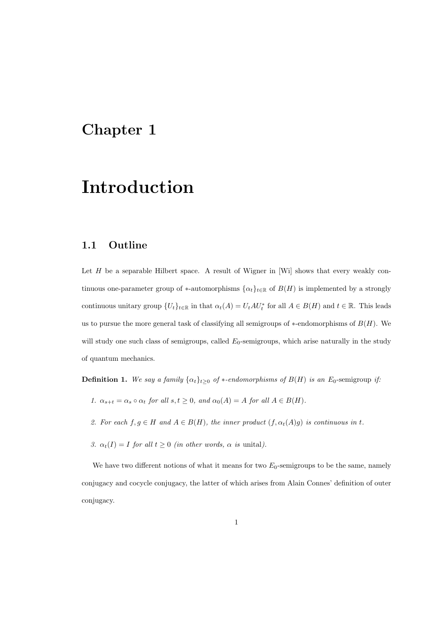# Chapter 1

# Introduction

## 1.1 Outline

Let  $H$  be a separable Hilbert space. A result of Wigner in [Wi] shows that every weakly continuous one-parameter group of \*-automorphisms  $\{\alpha_t\}_{t\in\mathbb{R}}$  of  $B(H)$  is implemented by a strongly continuous unitary group  $\{U_t\}_{t\in\mathbb{R}}$  in that  $\alpha_t(A) = U_t A U_t^*$  for all  $A \in B(H)$  and  $t \in \mathbb{R}$ . This leads us to pursue the more general task of classifying all semigroups of  $*$ -endomorphisms of  $B(H)$ . We will study one such class of semigroups, called  $E_0$ -semigroups, which arise naturally in the study of quantum mechanics.

**Definition 1.** We say a family  $\{\alpha_t\}_{t\geq 0}$  of \*-endomorphisms of  $B(H)$  is an  $E_0$ -semigroup if:

- 1.  $\alpha_{s+t} = \alpha_s \circ \alpha_t$  for all  $s, t \geq 0$ , and  $\alpha_0(A) = A$  for all  $A \in B(H)$ .
- 2. For each  $f, g \in H$  and  $A \in B(H)$ , the inner product  $(f, \alpha_t(A)g)$  is continuous in t.
- 3.  $\alpha_t(I) = I$  for all  $t \geq 0$  (in other words,  $\alpha$  is unital).

We have two different notions of what it means for two  $E_0$ -semigroups to be the same, namely conjugacy and cocycle conjugacy, the latter of which arises from Alain Connes' definition of outer conjugacy.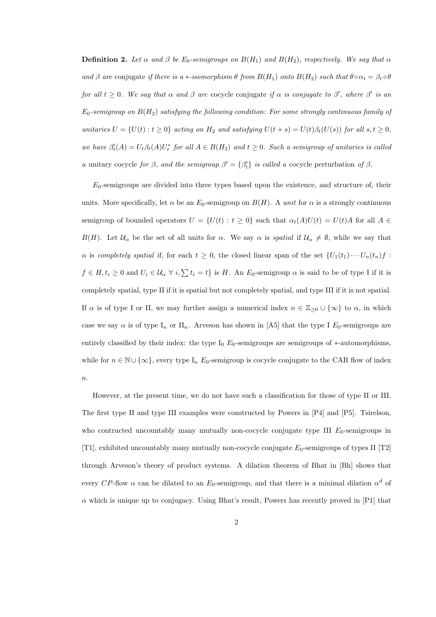**Definition 2.** Let  $\alpha$  and  $\beta$  be  $E_0$ -semigroups on  $B(H_1)$  and  $B(H_2)$ , respectively. We say that  $\alpha$ and β are conjugate if there is a \*-isomorphism  $\theta$  from  $B(H_1)$  onto  $B(H_2)$  such that  $\theta \circ \alpha_t = \beta_t \circ \theta$ for all  $t \geq 0$ . We say that  $\alpha$  and  $\beta$  are cocycle conjugate if  $\alpha$  is conjugate to  $\beta'$ , where  $\beta'$  is an  $E_0$ -semigroup on  $B(H_2)$  satisfying the following condition: For some strongly continuous family of unitaries  $U = \{U(t) : t \ge 0\}$  acting on  $H_2$  and satisfying  $U(t + s) = U(t)\beta_t(U(s))$  for all  $s, t \ge 0$ , we have  $\beta_t(A) = U_t \beta_t(A) U_t^*$  for all  $A \in B(H_2)$  and  $t \geq 0$ . Such a semigroup of unitaries is called a unitary cocycle for  $\beta$ , and the semigroup  $\beta' = {\beta'_t}$  is called a cocycle perturbation of  $\beta$ .

 $E_0$ -semigroups are divided into three types based upon the existence, and structure of, their units. More specifically, let  $\alpha$  be an  $E_0$ -semigroup on  $B(H)$ . A unit for  $\alpha$  is a strongly continuous semigroup of bounded operators  $U = \{U(t) : t \ge 0\}$  such that  $\alpha_t(A)U(t) = U(t)A$  for all  $A \in$ B(H). Let  $\mathcal{U}_{\alpha}$  be the set of all units for  $\alpha$ . We say  $\alpha$  is *spatial* if  $\mathcal{U}_{\alpha} \neq \emptyset$ , while we say that  $\alpha$  is completely spatial if, for each  $t \geq 0$ , the closed linear span of the set  $\{U_1(t_1)\cdots U_n(t_n)f\}$ :  $f \in H, t_i \geq 0$  and  $U_i \in \mathcal{U}_\alpha \ \forall i, \sum t_i = t$  is H. An  $E_0$ -semigroup  $\alpha$  is said to be of type I if it is completely spatial, type II if it is spatial but not completely spatial, and type III if it is not spatial. If  $\alpha$  is of type I or II, we may further assign a numerical index  $n \in \mathbb{Z}_{\geq 0} \cup \{\infty\}$  to  $\alpha$ , in which case we say  $\alpha$  is of type I<sub>n</sub> or II<sub>n</sub>. Arveson has shown in [A5] that the type I  $E_0$ -semigroups are entirely classified by their index: the type  $I_0$  E<sub>0</sub>-semigroups are semigroups of  $*$ -automorphisms. while for  $n \in \mathbb{N} \cup \{\infty\}$ , every type I<sub>n</sub> E<sub>0</sub>-semigroup is cocycle conjugate to the CAR flow of index  $\it n.$ 

However, at the present time, we do not have such a classification for those of type II or III. The first type II and type III examples were constructed by Powers in [P4] and [P5]. Tsirelson, who contructed uncountably many mutually non-cocycle conjugate type III  $E_0$ -semigroups in [T1], exhibited uncountably many mutually non-cocycle conjugate  $E_0$ -semigroups of types II [T2] through Arveson's theory of product systems. A dilation theorem of Bhat in [Bh] shows that every CP-flow  $\alpha$  can be dilated to an  $E_0$ -semigroup, and that there is a minimal dilation  $\alpha^d$  of  $\alpha$  which is unique up to conjugacy. Using Bhat's result, Powers has recently proved in [P1] that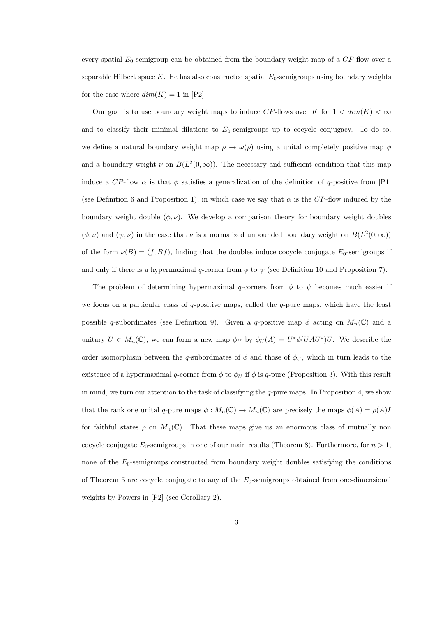every spatial  $E_0$ -semigroup can be obtained from the boundary weight map of a  $CP$ -flow over a separable Hilbert space  $K$ . He has also constructed spatial  $E_0$ -semigroups using boundary weights for the case where  $dim(K) = 1$  in [P2].

Our goal is to use boundary weight maps to induce CP-flows over K for  $1 < dim(K) < \infty$ and to classify their minimal dilations to  $E_0$ -semigroups up to cocycle conjugacy. To do so, we define a natural boundary weight map  $\rho \to \omega(\rho)$  using a unital completely positive map  $\phi$ and a boundary weight  $\nu$  on  $B(L^2(0,\infty))$ . The necessary and sufficient condition that this map induce a CP-flow  $\alpha$  is that  $\phi$  satisfies a generalization of the definition of q-positive from [P1] (see Definition 6 and Proposition 1), in which case we say that  $\alpha$  is the CP-flow induced by the boundary weight double  $(\phi, \nu)$ . We develop a comparison theory for boundary weight doubles  $(\phi, \nu)$  and  $(\psi, \nu)$  in the case that  $\nu$  is a normalized unbounded boundary weight on  $B(L^2(0, \infty))$ of the form  $\nu(B) = (f, Bf)$ , finding that the doubles induce cocycle conjugate  $E_0$ -semigroups if and only if there is a hypermaximal q-corner from  $\phi$  to  $\psi$  (see Definition 10 and Proposition 7).

The problem of determining hypermaximal q-corners from  $\phi$  to  $\psi$  becomes much easier if we focus on a particular class of  $q$ -positive maps, called the  $q$ -pure maps, which have the least possible q-subordinates (see Definition 9). Given a q-positive map  $\phi$  acting on  $M_n(\mathbb{C})$  and a unitary  $U \in M_n(\mathbb{C})$ , we can form a new map  $\phi_U$  by  $\phi_U(A) = U^* \phi(UAU^*)U$ . We describe the order isomorphism between the q-subordinates of  $\phi$  and those of  $\phi_U$ , which in turn leads to the existence of a hypermaximal q-corner from  $\phi$  to  $\phi_U$  if  $\phi$  is q-pure (Proposition 3). With this result in mind, we turn our attention to the task of classifying the  $q$ -pure maps. In Proposition 4, we show that the rank one unital q-pure maps  $\phi : M_n(\mathbb{C}) \to M_n(\mathbb{C})$  are precisely the maps  $\phi(A) = \rho(A)I$ for faithful states  $\rho$  on  $M_n(\mathbb{C})$ . That these maps give us an enormous class of mutually non cocycle conjugate  $E_0$ -semigroups in one of our main results (Theorem 8). Furthermore, for  $n > 1$ , none of the  $E_0$ -semigroups constructed from boundary weight doubles satisfying the conditions of Theorem 5 are cocycle conjugate to any of the  $E_0$ -semigroups obtained from one-dimensional weights by Powers in [P2] (see Corollary 2).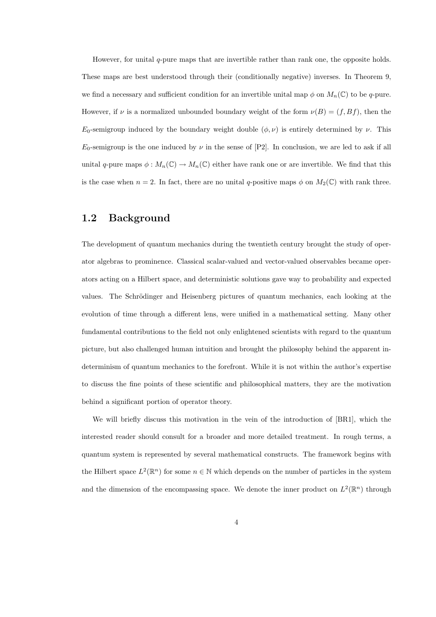However, for unital  $q$ -pure maps that are invertible rather than rank one, the opposite holds. These maps are best understood through their (conditionally negative) inverses. In Theorem 9, we find a necessary and sufficient condition for an invertible unital map  $\phi$  on  $M_n(\mathbb{C})$  to be q-pure. However, if  $\nu$  is a normalized unbounded boundary weight of the form  $\nu(B) = (f, Bf)$ , then the  $E_0$ -semigroup induced by the boundary weight double  $(\phi, \nu)$  is entirely determined by  $\nu$ . This  $E_0$ -semigroup is the one induced by  $\nu$  in the sense of [P2]. In conclusion, we are led to ask if all unital q-pure maps  $\phi: M_n(\mathbb{C}) \to M_n(\mathbb{C})$  either have rank one or are invertible. We find that this is the case when  $n = 2$ . In fact, there are no unital q-positive maps  $\phi$  on  $M_2(\mathbb{C})$  with rank three.

## 1.2 Background

The development of quantum mechanics during the twentieth century brought the study of operator algebras to prominence. Classical scalar-valued and vector-valued observables became operators acting on a Hilbert space, and deterministic solutions gave way to probability and expected values. The Schrödinger and Heisenberg pictures of quantum mechanics, each looking at the evolution of time through a different lens, were unified in a mathematical setting. Many other fundamental contributions to the field not only enlightened scientists with regard to the quantum picture, but also challenged human intuition and brought the philosophy behind the apparent indeterminism of quantum mechanics to the forefront. While it is not within the author's expertise to discuss the fine points of these scientific and philosophical matters, they are the motivation behind a significant portion of operator theory.

We will briefly discuss this motivation in the vein of the introduction of [BR1], which the interested reader should consult for a broader and more detailed treatment. In rough terms, a quantum system is represented by several mathematical constructs. The framework begins with the Hilbert space  $L^2(\mathbb{R}^n)$  for some  $n \in \mathbb{N}$  which depends on the number of particles in the system and the dimension of the encompassing space. We denote the inner product on  $L^2(\mathbb{R}^n)$  through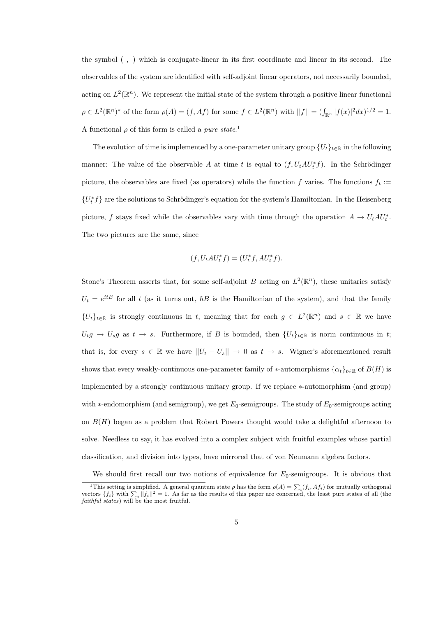the symbol ( , ) which is conjugate-linear in its first coordinate and linear in its second. The observables of the system are identified with self-adjoint linear operators, not necessarily bounded, acting on  $L^2(\mathbb{R}^n)$ . We represent the initial state of the system through a positive linear functional  $\rho \in L^2(\mathbb{R}^n)^*$  of the form  $\rho(A) = (f, Af)$  for some  $f \in L^2(\mathbb{R}^n)$  with  $||f|| = (\int_{\mathbb{R}^n} |f(x)|^2 dx)^{1/2} = 1$ . A functional  $\rho$  of this form is called a *pure state*.<sup>1</sup>

The evolution of time is implemented by a one-parameter unitary group  $\{U_t\}_{t\in\mathbb{R}}$  in the following manner: The value of the observable A at time t is equal to  $(f, U_t A U_t^* f)$ . In the Schrödinger picture, the observables are fixed (as operators) while the function f varies. The functions  $f_t :=$  ${U_t^*}f$  are the solutions to Schrödinger's equation for the system's Hamiltonian. In the Heisenberg picture, f stays fixed while the observables vary with time through the operation  $A \to U_t A U_t^*$ . The two pictures are the same, since

$$
(f, U_t A U_t^* f) = (U_t^* f, A U_t^* f).
$$

Stone's Theorem asserts that, for some self-adjoint B acting on  $L^2(\mathbb{R}^n)$ , these unitaries satisfy  $U_t = e^{itB}$  for all t (as it turns out,  $\hbar B$  is the Hamiltonian of the system), and that the family  $\{U_t\}_{t\in\mathbb{R}}$  is strongly continuous in t, meaning that for each  $g \in L^2(\mathbb{R}^n)$  and  $s \in \mathbb{R}$  we have  $U_t g \to U_s g$  as  $t \to s$ . Furthermore, if B is bounded, then  $\{U_t\}_{t\in\mathbb{R}}$  is norm continuous in t; that is, for every  $s \in \mathbb{R}$  we have  $||U_t - U_s|| \to 0$  as  $t \to s$ . Wigner's aforementioned result shows that every weakly-continuous one-parameter family of \*-automorphisms  $\{\alpha_t\}_{t\in\mathbb{R}}$  of  $B(H)$  is implemented by a strongly continuous unitary group. If we replace ∗-automorphism (and group) with  $*$ -endomorphism (and semigroup), we get  $E_0$ -semigroups. The study of  $E_0$ -semigroups acting on  $B(H)$  began as a problem that Robert Powers thought would take a delightful afternoon to solve. Needless to say, it has evolved into a complex subject with fruitful examples whose partial classification, and division into types, have mirrored that of von Neumann algebra factors.

We should first recall our two notions of equivalence for  $E_0$ -semigroups. It is obvious that

<sup>&</sup>lt;sup>1</sup>This setting is simplified. A general quantum state  $\rho$  has the form  $\rho(A) = \sum_i (f_i, Af_i)$  for mutually orthogonal vectors  $\{f_i\}$  with  $\sum_i ||f_i||^2 = 1$ . As far as the results of this paper are concerned, the least pure states of all (the faithful states) will be the most fruitful.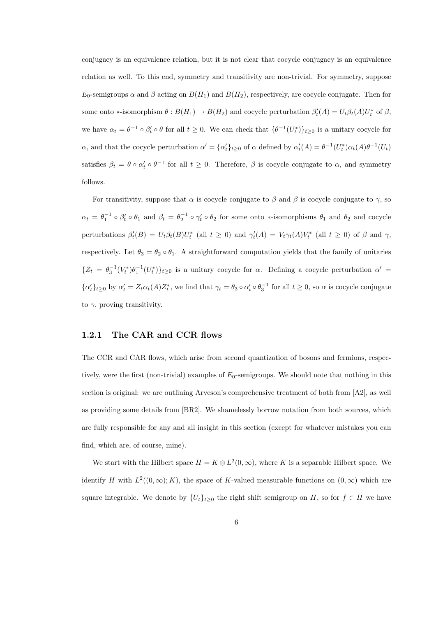conjugacy is an equivalence relation, but it is not clear that cocycle conjugacy is an equivalence relation as well. To this end, symmetry and transitivity are non-trivial. For symmetry, suppose  $E_0$ -semigroups  $\alpha$  and  $\beta$  acting on  $B(H_1)$  and  $B(H_2)$ , respectively, are cocycle conjugate. Then for some onto \*-isomorphism  $\theta : B(H_1) \to B(H_2)$  and cocycle perturbation  $\beta'_t(A) = U_t \beta_t(A) U_t^*$  of  $\beta$ , we have  $\alpha_t = \theta^{-1} \circ \beta'_t \circ \theta$  for all  $t \geq 0$ . We can check that  $\{\theta^{-1}(U_t^*)\}_{t \geq 0}$  is a unitary cocycle for  $\alpha$ , and that the cocycle perturbation  $\alpha' = {\alpha'_t}_{t\geq 0}$  of  $\alpha$  defined by  $\alpha'_t(A) = \theta^{-1}(U_t^*)\alpha_t(A)\theta^{-1}(U_t)$ satisfies  $\beta_t = \theta \circ \alpha'_t \circ \theta^{-1}$  for all  $t \geq 0$ . Therefore,  $\beta$  is cocycle conjugate to  $\alpha$ , and symmetry follows.

For transitivity, suppose that  $\alpha$  is cocycle conjugate to  $\beta$  and  $\beta$  is cocycle conjugate to  $\gamma$ , so  $\alpha_t = \theta_1^{-1} \circ \beta'_t \circ \theta_1$  and  $\beta_t = \theta_2^{-1} \circ \gamma'_t \circ \theta_2$  for some onto \*-isomorphisms  $\theta_1$  and  $\theta_2$  and cocycle perturbations  $\beta'_t(B) = U_t \beta_t(B) U_t^*$  (all  $t \ge 0$ ) and  $\gamma'_t(A) = V_t \gamma_t(A) V_t^*$  (all  $t \ge 0$ ) of  $\beta$  and  $\gamma$ , respectively. Let  $\theta_3 = \theta_2 \circ \theta_1$ . A straightforward computation yields that the family of unitaries  ${Z_t = \theta_3^{-1}(V_t^*)\theta_1^{-1}(U_t^*)}_{t\geq 0}$  is a unitary cocycle for  $\alpha$ . Defining a cocycle perturbation  $\alpha'$  $\{\alpha_t'\}_{t\geq 0}$  by  $\alpha_t' = Z_t \alpha_t(A) Z_t^*$ , we find that  $\gamma_t = \theta_3 \circ \alpha_t' \circ \theta_3^{-1}$  for all  $t \geq 0$ , so  $\alpha$  is cocycle conjugate to  $\gamma$ , proving transitivity.

#### 1.2.1 The CAR and CCR flows

The CCR and CAR flows, which arise from second quantization of bosons and fermions, respectively, were the first (non-trivial) examples of  $E_0$ -semigroups. We should note that nothing in this section is original: we are outlining Arveson's comprehensive treatment of both from [A2], as well as providing some details from [BR2]. We shamelessly borrow notation from both sources, which are fully responsible for any and all insight in this section (except for whatever mistakes you can find, which are, of course, mine).

We start with the Hilbert space  $H = K \otimes L^2(0, \infty)$ , where K is a separable Hilbert space. We identify H with  $L^2((0,\infty);K)$ , the space of K-valued measurable functions on  $(0,\infty)$  which are square integrable. We denote by  $\{U_t\}_{t\geq 0}$  the right shift semigroup on H, so for  $f \in H$  we have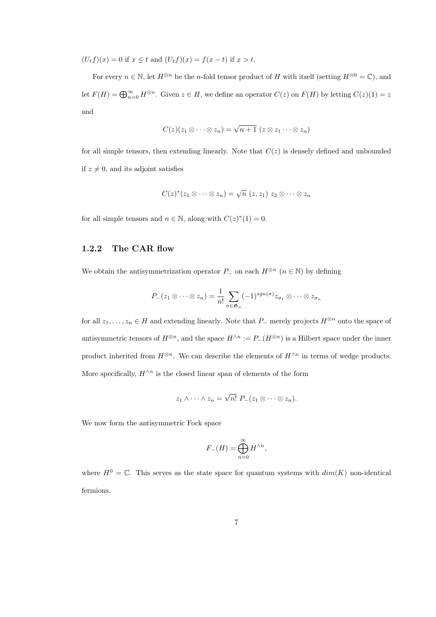$(U_tf)(x) = 0$  if  $x \le t$  and  $(U_tf)(x) = f(x-t)$  if  $x > t$ .

For every  $n \in \mathbb{N}$ , let  $H^{\otimes n}$  be the n-fold tensor product of H with itself (setting  $H^{\otimes 0} = \mathbb{C}$ ), and let  $F(H) = \bigoplus_{n=0}^{\infty} H^{\otimes n}$ . Given  $z \in H$ , we define an operator  $C(z)$  on  $F(H)$  by letting  $C(z)(1) = z$ and

$$
C(z)(z_1 \otimes \cdots \otimes z_n) = \sqrt{n+1} \ (z \otimes z_1 \cdots \otimes z_n)
$$

for all simple tensors, then extending linearly. Note that  $C(z)$  is densely defined and unbounded if  $z \neq 0$ , and its adjoint satisfies

$$
C(z)^{*}(z_{1} \otimes \cdots \otimes z_{n}) = \sqrt{n} (z, z_{1}) z_{2} \otimes \cdots \otimes z_{n}
$$

for all simple tensors and  $n \in \mathbb{N}$ , along with  $C(z)^*(1) = 0$ .

#### 1.2.2 The CAR flow

We obtain the antisymmetrization operator  $P_-\,$  on each  $H^{\otimes n}$  ( $n \in \mathbb{N}$ ) by defining

$$
P_{-}(z_1 \otimes \cdots \otimes z_n) = \frac{1}{n!} \sum_{\sigma \in \mathfrak{G}_n} (-1)^{sgn(\sigma)} z_{\sigma_1} \otimes \cdots \otimes z_{\sigma_n}
$$

for all  $z_1, \ldots, z_n \in H$  and extending linearly. Note that  $P_-\,$  merely projects  $H^{\otimes n}$  onto the space of antisymmetric tensors of  $H^{\otimes n}$ , and the space  $H^{\wedge n} := P_-(H^{\otimes n})$  is a Hilbert space under the inner product inherited from  $H^{\otimes n}$ . We can describe the elements of  $H^{\wedge n}$  in terms of wedge products. More specifically,  $H^{\wedge n}$  is the closed linear span of elements of the form

$$
z_1 \wedge \cdots \wedge z_n = \sqrt{n!} \ P_{-}(z_1 \otimes \cdots \otimes z_n).
$$

We now form the antisymmetric Fock space

$$
F_{-}(H) = \bigoplus_{n=0}^{\infty} H^{\wedge n},
$$

where  $H^0 = \mathbb{C}$ . This serves as the state space for quantum systems with  $dim(K)$  non-identical fermions.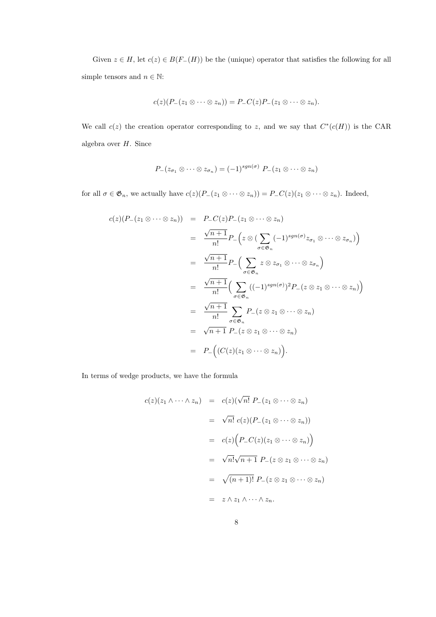Given  $z \in H$ , let  $c(z) \in B(F_{-}(H))$  be the (unique) operator that satisfies the following for all simple tensors and  $n \in \mathbb{N}$ :

$$
c(z)(P_{-}(z_1\otimes\cdots\otimes z_n))=P_{-}C(z)P_{-}(z_1\otimes\cdots\otimes z_n).
$$

We call  $c(z)$  the creation operator corresponding to z, and we say that  $C^*(c(H))$  is the CAR algebra over H. Since

$$
P_{-}(z_{\sigma_1} \otimes \cdots \otimes z_{\sigma_n}) = (-1)^{sgn(\sigma)} P_{-}(z_1 \otimes \cdots \otimes z_n)
$$

for all  $\sigma \in \mathfrak{G}_n$ , we actually have  $c(z)(P_-(z_1 \otimes \cdots \otimes z_n)) = P_-C(z)(z_1 \otimes \cdots \otimes z_n)$ . Indeed,

$$
c(z)(P_{-}(z_{1} \otimes \cdots \otimes z_{n})) = P_{-}C(z)P_{-}(z_{1} \otimes \cdots \otimes z_{n})
$$
  
\n
$$
= \frac{\sqrt{n+1}}{n!} P_{-}\left(z \otimes (\sum_{\sigma \in \mathfrak{G}_{n}} (-1)^{sgn(\sigma)} z_{\sigma_{1}} \otimes \cdots \otimes z_{\sigma_{n}})\right)
$$
  
\n
$$
= \frac{\sqrt{n+1}}{n!} P_{-}\left(\sum_{\sigma \in \mathfrak{G}_{n}} z \otimes z_{\sigma_{1}} \otimes \cdots \otimes z_{\sigma_{n}}\right)
$$
  
\n
$$
= \frac{\sqrt{n+1}}{n!} \left(\sum_{\sigma \in \mathfrak{G}_{n}} ((-1)^{sgn(\sigma)})^{2} P_{-}(z \otimes z_{1} \otimes \cdots \otimes z_{n})\right)
$$
  
\n
$$
= \frac{\sqrt{n+1}}{n!} \sum_{\sigma \in \mathfrak{G}_{n}} P_{-}(z \otimes z_{1} \otimes \cdots \otimes z_{n})
$$
  
\n
$$
= \sqrt{n+1} P_{-}(z \otimes z_{1} \otimes \cdots \otimes z_{n})
$$
  
\n
$$
= P_{-}\left((C(z)(z_{1} \otimes \cdots \otimes z_{n}))\right).
$$

In terms of wedge products, we have the formula

$$
c(z)(z_1 \wedge \cdots \wedge z_n) = c(z)(\sqrt{n!} P_-(z_1 \otimes \cdots \otimes z_n)
$$
  

$$
= \sqrt{n!} c(z) (P_-(z_1 \otimes \cdots \otimes z_n))
$$
  

$$
= c(z) (P_- C(z) (z_1 \otimes \cdots \otimes z_n))
$$
  

$$
= \sqrt{n!} \sqrt{n+1} P_-(z \otimes z_1 \otimes \cdots \otimes z_n)
$$
  

$$
= \sqrt{(n+1)!} P_-(z \otimes z_1 \otimes \cdots \otimes z_n)
$$
  

$$
= z \wedge z_1 \wedge \cdots \wedge z_n.
$$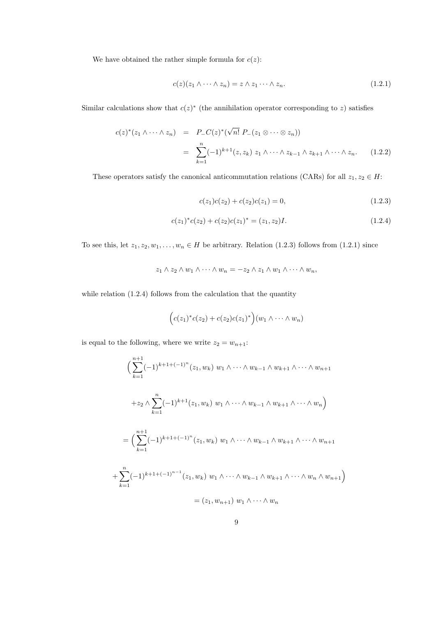We have obtained the rather simple formula for  $c(z)$ :

$$
c(z)(z_1 \wedge \dots \wedge z_n) = z \wedge z_1 \dots \wedge z_n. \tag{1.2.1}
$$

Similar calculations show that  $c(z)^*$  (the annihilation operator corresponding to z) satisfies

$$
c(z)^{*}(z_{1}\wedge\cdots\wedge z_{n}) = P_{-}C(z)^{*}(\sqrt{n!} P_{-}(z_{1}\otimes\cdots\otimes z_{n}))
$$
  

$$
= \sum_{k=1}^{n}(-1)^{k+1}(z,z_{k}) z_{1}\wedge\cdots\wedge z_{k-1}\wedge z_{k+1}\wedge\cdots\wedge z_{n}. \qquad (1.2.2)
$$

These operators satisfy the canonical anticommutation relations (CARs) for all  $z_1, z_2 \in H$ :

$$
c(z_1)c(z_2) + c(z_2)c(z_1) = 0,
$$
\n(1.2.3)

$$
c(z_1)^*c(z_2) + c(z_2)c(z_1)^* = (z_1, z_2)I.
$$
\n(1.2.4)

To see this, let  $z_1, z_2, w_1, \ldots, w_n \in H$  be arbitrary. Relation (1.2.3) follows from (1.2.1) since

$$
z_1 \wedge z_2 \wedge w_1 \wedge \cdots \wedge w_n = -z_2 \wedge z_1 \wedge w_1 \wedge \cdots \wedge w_n,
$$

while relation  $(1.2.4)$  follows from the calculation that the quantity

$$
(c(z1)*c(z2) + c(z2)c(z1)*)(w1 \wedge \cdots \wedge wn)
$$

is equal to the following, where we write  $z_2 = w_{n+1}$ :

$$
\left(\sum_{k=1}^{n+1}(-1)^{k+1+(-1)^n}(z_1,w_k) w_1 \wedge \cdots \wedge w_{k-1} \wedge w_{k+1} \wedge \cdots \wedge w_{n+1} \right)
$$
  
+
$$
z_2 \wedge \sum_{k=1}^n (-1)^{k+1}(z_1,w_k) w_1 \wedge \cdots \wedge w_{k-1} \wedge w_{k+1} \wedge \cdots \wedge w_n)
$$
  
=
$$
\left(\sum_{k=1}^{n+1}(-1)^{k+1+(-1)^n}(z_1,w_k) w_1 \wedge \cdots \wedge w_{k-1} \wedge w_{k+1} \wedge \cdots \wedge w_{n+1} \right)
$$
  
+
$$
\sum_{k=1}^n (-1)^{k+1+(-1)^{n-1}}(z_1,w_k) w_1 \wedge \cdots \wedge w_{k-1} \wedge w_{k+1} \wedge \cdots \wedge w_n \wedge w_{n+1})
$$
  
=
$$
(z_1, w_{n+1}) w_1 \wedge \cdots \wedge w_n
$$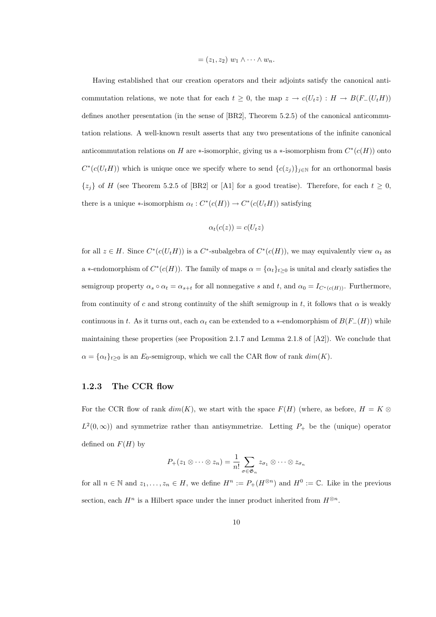$$
= (z_1, z_2) w_1 \wedge \cdots \wedge w_n.
$$

Having established that our creation operators and their adjoints satisfy the canonical anticommutation relations, we note that for each  $t \geq 0$ , the map  $z \to c(U_t z) : H \to B(F_-(U_t H))$ defines another presentation (in the sense of [BR2], Theorem 5.2.5) of the canonical anticommutation relations. A well-known result asserts that any two presentations of the infinite canonical anticommutation relations on H are \*-isomorphic, giving us a \*-isomorphism from  $C^*(c(H))$  onto  $C^*(c(U_tH))$  which is unique once we specify where to send  $\{c(z_j)\}_{j\in\mathbb{N}}$  for an orthonormal basis  $\{z_j\}$  of H (see Theorem 5.2.5 of [BR2] or [A1] for a good treatise). Therefore, for each  $t \geq 0$ , there is a unique  $\ast$ -isomorphism  $\alpha_t: C^*(c(H)) \to C^*(c(U_t H))$  satisfying

$$
\alpha_t(c(z)) = c(U_t z)
$$

for all  $z \in H$ . Since  $C^*(c(U_t H))$  is a  $C^*$ -subalgebra of  $C^*(c(H))$ , we may equivalently view  $\alpha_t$  as a \*-endomorphism of  $C^*(c(H))$ . The family of maps  $\alpha = {\{\alpha_t\}_{t \geq 0}}$  is unital and clearly satisfies the semigroup property  $\alpha_s \circ \alpha_t = \alpha_{s+t}$  for all nonnegative s and t, and  $\alpha_0 = I_{C^*(c(H))}$ . Furthermore, from continuity of c and strong continuity of the shift semigroup in t, it follows that  $\alpha$  is weakly continuous in t. As it turns out, each  $\alpha_t$  can be extended to a ∗-endomorphism of  $B(F_-(H))$  while maintaining these properties (see Proposition 2.1.7 and Lemma 2.1.8 of [A2]). We conclude that  $\alpha = {\alpha_t}_{t\geq 0}$  is an  $E_0$ -semigroup, which we call the CAR flow of rank  $dim(K)$ .

#### 1.2.3 The CCR flow

For the CCR flow of rank  $dim(K)$ , we start with the space  $F(H)$  (where, as before,  $H = K \otimes$  $L^2(0,\infty)$  and symmetrize rather than antisymmetrize. Letting  $P_+$  be the (unique) operator defined on  $F(H)$  by

$$
P_{+}(z_{1} \otimes \cdots \otimes z_{n}) = \frac{1}{n!} \sum_{\sigma \in \mathfrak{G}_{n}} z_{\sigma_{1}} \otimes \cdots \otimes z_{\sigma_{n}}
$$

for all  $n \in \mathbb{N}$  and  $z_1, \ldots, z_n \in H$ , we define  $H^n := P_+(H^{\otimes n})$  and  $H^0 := \mathbb{C}$ . Like in the previous section, each  $H^n$  is a Hilbert space under the inner product inherited from  $H^{\otimes n}$ .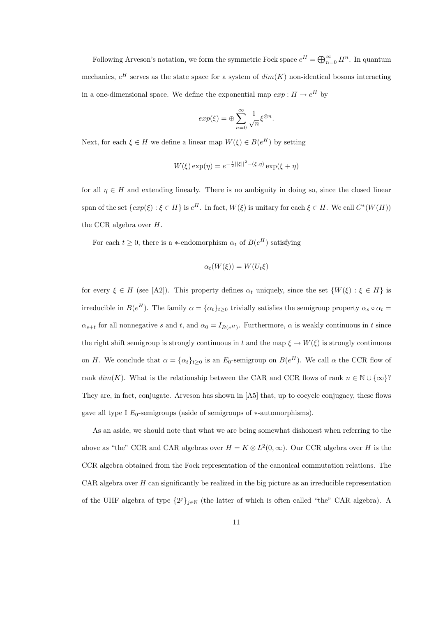Following Arveson's notation, we form the symmetric Fock space  $e^H = \bigoplus_{n=0}^{\infty} H^n$ . In quantum mechanics,  $e^H$  serves as the state space for a system of  $dim(K)$  non-identical bosons interacting in a one-dimensional space. We define the exponential map  $exp: H \to e^H$  by

$$
exp(\xi) = \oplus \sum_{n=0}^{\infty} \frac{1}{\sqrt{n}} \xi^{\otimes n}.
$$

Next, for each  $\xi \in H$  we define a linear map  $W(\xi) \in B(e^H)$  by setting

$$
W(\xi) \exp(\eta) = e^{-\frac{1}{2}||\xi||^2 - (\xi, \eta)} \exp(\xi + \eta)
$$

for all  $\eta \in H$  and extending linearly. There is no ambiguity in doing so, since the closed linear span of the set  $\{exp(\xi): \xi \in H\}$  is  $e^H$ . In fact,  $W(\xi)$  is unitary for each  $\xi \in H$ . We call  $C^*(W(H))$ the CCR algebra over H.

For each  $t \geq 0$ , there is a \*-endomorphism  $\alpha_t$  of  $B(e^H)$  satisfying

$$
\alpha_t(W(\xi)) = W(U_t \xi)
$$

for every  $\xi \in H$  (see [A2]). This property defines  $\alpha_t$  uniquely, since the set  $\{W(\xi) : \xi \in H\}$  is irreducible in  $B(e^H)$ . The family  $\alpha = {\{\alpha_t\}_{t \geq 0}}$  trivially satisfies the semigroup property  $\alpha_s \circ \alpha_t =$  $\alpha_{s+t}$  for all nonnegative s and t, and  $\alpha_0 = I_{B(e^H)}$ . Furthermore,  $\alpha$  is weakly continuous in t since the right shift semigroup is strongly continuous in t and the map  $\xi \to W(\xi)$  is strongly continuous on H. We conclude that  $\alpha = {\{\alpha_t\}}_{t\geq 0}$  is an  $E_0$ -semigroup on  $B(e^H)$ . We call  $\alpha$  the CCR flow of rank  $dim(K)$ . What is the relationship between the CAR and CCR flows of rank  $n \in \mathbb{N} \cup \{\infty\}$ ? They are, in fact, conjugate. Arveson has shown in [A5] that, up to cocycle conjugacy, these flows gave all type I  $E_0$ -semigroups (aside of semigroups of  $*$ -automorphisms).

As an aside, we should note that what we are being somewhat dishonest when referring to the above as "the" CCR and CAR algebras over  $H = K \otimes L^2(0, \infty)$ . Our CCR algebra over H is the CCR algebra obtained from the Fock representation of the canonical commutation relations. The CAR algebra over  $H$  can significantly be realized in the big picture as an irreducible representation of the UHF algebra of type  $\{2^j\}_{j\in\mathbb{N}}$  (the latter of which is often called "the" CAR algebra). A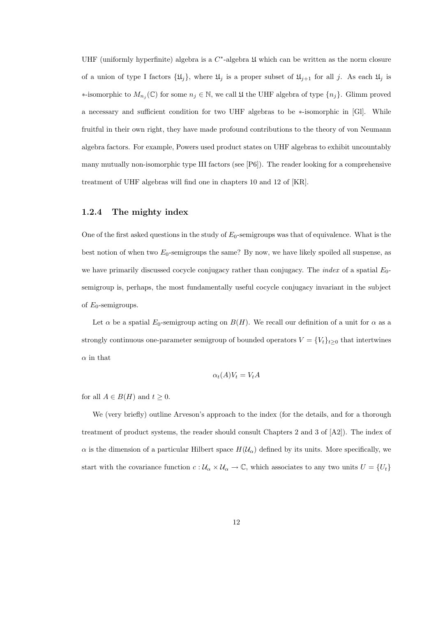UHF (uniformly hyperfinite) algebra is a  $C^*$ -algebra  $\mathfrak U$  which can be written as the norm closure of a union of type I factors  $\{\mathfrak{U}_j\}$ , where  $\mathfrak{U}_j$  is a proper subset of  $\mathfrak{U}_{j+1}$  for all j. As each  $\mathfrak{U}_j$  is  $*$ -isomorphic to  $M_{n_j}(\mathbb{C})$  for some  $n_j \in \mathbb{N}$ , we call  $\mathfrak U$  the UHF algebra of type  $\{n_j\}$ . Glimm proved a necessary and sufficient condition for two UHF algebras to be ∗-isomorphic in [Gl]. While fruitful in their own right, they have made profound contributions to the theory of von Neumann algebra factors. For example, Powers used product states on UHF algebras to exhibit uncountably many mutually non-isomorphic type III factors (see [P6]). The reader looking for a comprehensive treatment of UHF algebras will find one in chapters 10 and 12 of [KR].

#### 1.2.4 The mighty index

One of the first asked questions in the study of  $E_0$ -semigroups was that of equivalence. What is the best notion of when two  $E_0$ -semigroups the same? By now, we have likely spoiled all suspense, as we have primarily discussed cocycle conjugacy rather than conjugacy. The *index* of a spatial  $E_0$ semigroup is, perhaps, the most fundamentally useful cocycle conjugacy invariant in the subject of  $E_0$ -semigroups.

Let  $\alpha$  be a spatial  $E_0$ -semigroup acting on  $B(H)$ . We recall our definition of a unit for  $\alpha$  as a strongly continuous one-parameter semigroup of bounded operators  $V = \{V_t\}_{t\geq 0}$  that intertwines  $\alpha$  in that

$$
\alpha_t(A)V_t = V_tA
$$

for all  $A \in B(H)$  and  $t \geq 0$ .

We (very briefly) outline Arveson's approach to the index (for the details, and for a thorough treatment of product systems, the reader should consult Chapters 2 and 3 of [A2]). The index of  $\alpha$  is the dimension of a particular Hilbert space  $H(\mathcal{U}_{\alpha})$  defined by its units. More specifically, we start with the covariance function  $c : U_\alpha \times U_\alpha \to \mathbb{C}$ , which associates to any two units  $U = \{U_t\}$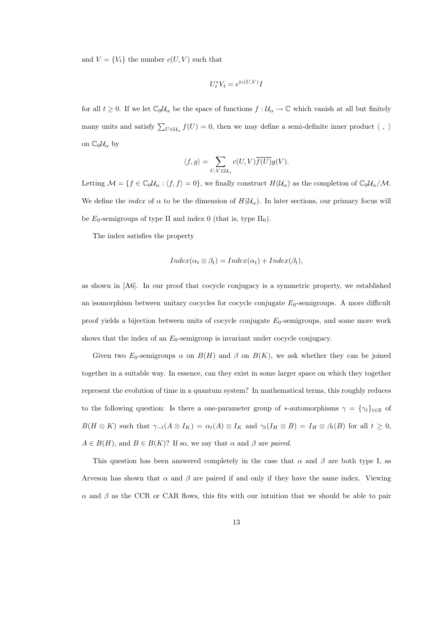and  $V = \{V_t\}$  the number  $c(U, V)$  such that

$$
U_t^* V_t = e^{tc(U, V)} I
$$

for all  $t \geq 0$ . If we let  $\mathbb{C}_0\mathcal{U}_\alpha$  be the space of functions  $f : \mathcal{U}_\alpha \to \mathbb{C}$  which vanish at all but finitely many units and satisfy  $\sum_{U \in \mathcal{U}_{\alpha}} f(U) = 0$ , then we may define a semi-definite inner product  $\langle , \rangle$ on  $\mathbb{C}_0\mathcal{U}_\alpha$  by

$$
\langle f,g\rangle=\sum_{U,V\in\mathcal{U}_\alpha}c(U,V)\overline{f(U)}g(V).
$$

Letting  $\mathcal{M} = \{f \in \mathbb{C}_0 \mathcal{U}_\alpha : \langle f, f \rangle = 0\}$ , we finally construct  $H(\mathcal{U}_\alpha)$  as the completion of  $\mathbb{C}_0 \mathcal{U}_\alpha/\mathcal{M}$ . We define the *index* of  $\alpha$  to be the dimension of  $H(\mathcal{U}_{\alpha})$ . In later sections, our primary focus will be  $E_0$ -semigroups of type II and index 0 (that is, type II<sub>0</sub>).

The index satisfies the property

$$
Index(\alpha_t \otimes \beta_t) = Index(\alpha_t) + Index(\beta_t),
$$

as shown in [A6]. In our proof that cocycle conjugacy is a symmetric property, we established an isomorphism between unitary cocycles for cocycle conjugate  $E_0$ -semigroups. A more difficult proof yields a bijection between units of cocycle conjugate  $E_0$ -semigroups, and some more work shows that the index of an  $E_0$ -semigroup is invariant under cocycle conjugacy.

Given two  $E_0$ -semigroups  $\alpha$  on  $B(H)$  and  $\beta$  on  $B(K)$ , we ask whether they can be joined together in a suitable way. In essence, can they exist in some larger space on which they together represent the evolution of time in a quantum system? In mathematical terms, this roughly reduces to the following question: Is there a one-parameter group of \*-automorphisms  $\gamma = {\gamma_t}_{t \in \mathbb{R}}$  of  $B(H \otimes K)$  such that  $\gamma_{-t}(A \otimes I_K) = \alpha_t(A) \otimes I_K$  and  $\gamma_t(I_H \otimes B) = I_H \otimes \beta_t(B)$  for all  $t \geq 0$ ,  $A \in B(H)$ , and  $B \in B(K)$ ? If so, we say that  $\alpha$  and  $\beta$  are paired.

This question has been answered completely in the case that  $\alpha$  and  $\beta$  are both type I, as Arveson has shown that  $\alpha$  and  $\beta$  are paired if and only if they have the same index. Viewing  $\alpha$  and  $\beta$  as the CCR or CAR flows, this fits with our intuition that we should be able to pair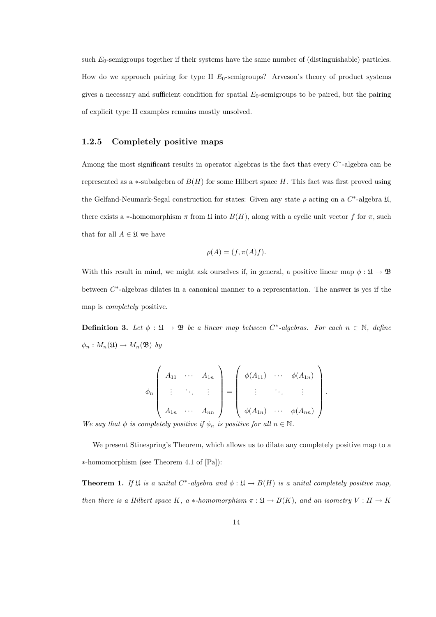such  $E_0$ -semigroups together if their systems have the same number of (distinguishable) particles. How do we approach pairing for type II  $E_0$ -semigroups? Arveson's theory of product systems gives a necessary and sufficient condition for spatial  $E_0$ -semigroups to be paired, but the pairing of explicit type II examples remains mostly unsolved.

#### 1.2.5 Completely positive maps

Among the most significant results in operator algebras is the fact that every  $C^*$ -algebra can be represented as a  $*$ -subalgebra of  $B(H)$  for some Hilbert space H. This fact was first proved using the Gelfand-Neumark-Segal construction for states: Given any state  $\rho$  acting on a  $C^*$ -algebra  $\mathfrak{U}$ , there exists a ∗-homomorphism  $\pi$  from  $\mathfrak U$  into  $B(H)$ , along with a cyclic unit vector f for  $\pi$ , such that for all  $A \in \mathfrak{U}$  we have

$$
\rho(A) = (f, \pi(A)f).
$$

With this result in mind, we might ask ourselves if, in general, a positive linear map  $\phi : \mathfrak{U} \to \mathfrak{B}$ between  $C^*$ -algebras dilates in a canonical manner to a representation. The answer is yes if the map is completely positive.

**Definition 3.** Let  $\phi : \mathfrak{U} \to \mathfrak{B}$  be a linear map between  $C^*$ -algebras. For each  $n \in \mathbb{N}$ , define  $\phi_n: M_n(\mathfrak{U}) \to M_n(\mathfrak{B})$  by

$$
\phi_n\left(\begin{array}{cccc}\nA_{11} & \cdots & A_{1n} \\
\vdots & \ddots & \vdots \\
A_{1n} & \cdots & A_{nn}\n\end{array}\right) = \left(\begin{array}{cccc}\n\phi(A_{11}) & \cdots & \phi(A_{1n}) \\
\vdots & \ddots & \vdots \\
\phi(A_{1n}) & \cdots & \phi(A_{nn})\n\end{array}\right).
$$

We say that  $\phi$  is completely positive if  $\phi_n$  is positive for all  $n \in \mathbb{N}$ .

We present Stinespring's Theorem, which allows us to dilate any completely positive map to a ∗-homomorphism (see Theorem 4.1 of [Pa]):

**Theorem 1.** If  $\mathfrak{U}$  is a unital C<sup>\*</sup>-algebra and  $\phi : \mathfrak{U} \to B(H)$  is a unital completely positive map, then there is a Hilbert space K, a \*-homomorphism  $\pi : \mathfrak{U} \to B(K)$ , and an isometry  $V : H \to K$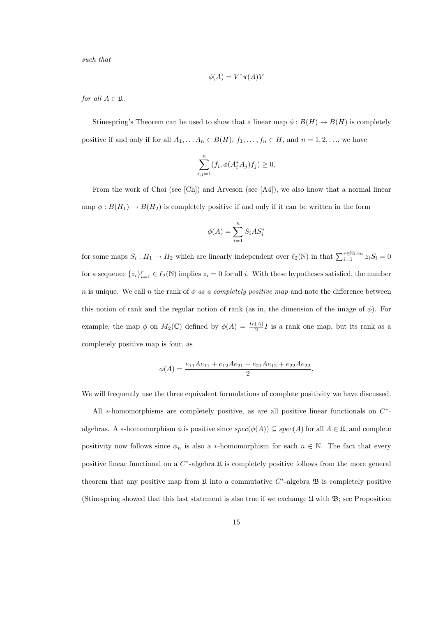such that

$$
\phi(A)=V^*\pi(A)V
$$

for all  $A \in \mathfrak{U}$ .

Stinespring's Theorem can be used to show that a linear map  $\phi : B(H) \to B(H)$  is completely positive if and only if for all  $A_1, \ldots, A_n \in B(H)$ ,  $f_1, \ldots, f_n \in H$ , and  $n = 1, 2, \ldots$ , we have

$$
\sum_{i,j=1}^{n} (f_i, \phi(A_i^* A_j) f_j) \ge 0.
$$

From the work of Choi (see [Ch]) and Arveson (see [A4]), we also know that a normal linear map  $\phi : B(H_1) \to B(H_2)$  is completely positive if and only if it can be written in the form

$$
\phi(A) = \sum_{i=1}^{n} S_i A S_i^*
$$

for some maps  $S_i: H_1 \to H_2$  which are linearly independent over  $\ell_2(\mathbb{N})$  in that  $\sum_{i=1}^{r \in \mathbb{N} \cup \infty} z_i S_i = 0$ for a sequence  $\{z_i\}_{i=1}^r \in \ell_2(\mathbb{N})$  implies  $z_i = 0$  for all i. With these hypotheses satisfied, the number n is unique. We call n the rank of  $\phi$  as a completely positive map and note the difference between this notion of rank and the regular notion of rank (as in, the dimension of the image of  $\phi$ ). For example, the map  $\phi$  on  $M_2(\mathbb{C})$  defined by  $\phi(A) = \frac{tr(A)}{2}I$  is a rank one map, but its rank as a completely positive map is four, as

$$
\phi(A) = \frac{e_{11}Ae_{11} + e_{12}Ae_{21} + e_{21}Ae_{12} + e_{22}Ae_{22}}{2}.
$$

We will frequently use the three equivalent formulations of complete positivity we have discussed.

All  $*$ -homomorphisms are completely positive, as are all positive linear functionals on  $C^*$ algebras. A ∗-homomorphism  $\phi$  is positive since  $spec(\phi(A)) \subseteq spec(A)$  for all  $A \in \mathfrak{U}$ , and complete positivity now follows since  $\phi_n$  is also a ∗-homomorphism for each  $n \in \mathbb{N}$ . The fact that every positive linear functional on a  $C^*$ -algebra  $\mathfrak U$  is completely positive follows from the more general theorem that any positive map from  $\mathfrak U$  into a commutative  $C^*$ -algebra  $\mathfrak B$  is completely positive (Stinespring showed that this last statement is also true if we exchange  $\mathfrak U$  with  $\mathfrak B$ ; see Proposition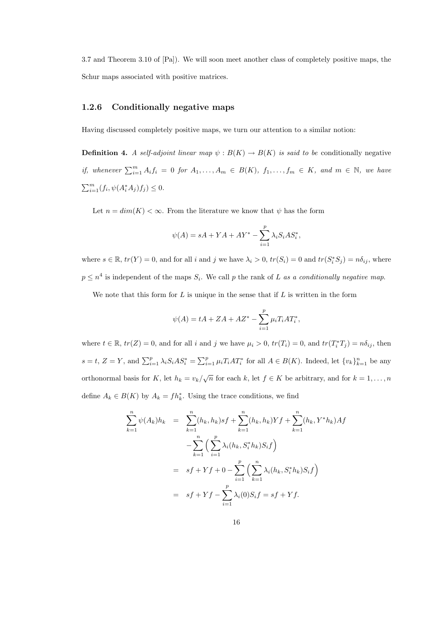3.7 and Theorem 3.10 of [Pa]). We will soon meet another class of completely positive maps, the Schur maps associated with positive matrices.

#### 1.2.6 Conditionally negative maps

Having discussed completely positive maps, we turn our attention to a similar notion:

**Definition 4.** A self-adjoint linear map  $\psi : B(K) \to B(K)$  is said to be conditionally negative if, whenever  $\sum_{i=1}^{m} A_i f_i = 0$  for  $A_1, \ldots, A_m \in B(K)$ ,  $f_1, \ldots, f_m \in K$ , and  $m \in \mathbb{N}$ , we have  $\sum_{i=1}^{m} (f_i, \psi(A_i^* A_j) f_j) \leq 0.$ 

Let  $n = dim(K) < \infty$ . From the literature we know that  $\psi$  has the form

$$
\psi(A) = sA + YA + AY^* - \sum_{i=1}^p \lambda_i S_i A S_i^*,
$$

where  $s \in \mathbb{R}$ ,  $tr(Y) = 0$ , and for all i and j we have  $\lambda_i > 0$ ,  $tr(S_i) = 0$  and  $tr(S_i^* S_j) = n\delta_{ij}$ , where  $p \leq n^4$  is independent of the maps  $S_i$ . We call p the rank of L as a conditionally negative map.

We note that this form for  $L$  is unique in the sense that if  $L$  is written in the form

$$
\psi(A) = tA + ZA + AZ^* - \sum_{i=1}^{p} \mu_i T_i A T_i^*,
$$

where  $t \in \mathbb{R}$ ,  $tr(Z) = 0$ , and for all i and j we have  $\mu_i > 0$ ,  $tr(T_i) = 0$ , and  $tr(T_i^*T_j) = n\delta_{ij}$ , then  $s = t, Z = Y$ , and  $\sum_{i=1}^{p} \lambda_i S_i A S_i^* = \sum_{i=1}^{p} \mu_i T_i A T_i^*$  for all  $A \in B(K)$ . Indeed, let  $\{v_k\}_{k=1}^{n}$  be any orthonormal basis for K, let  $h_k = v_k/\sqrt{n}$  for each k, let  $f \in K$  be arbitrary, and for  $k = 1, ..., n$ define  $A_k \in B(K)$  by  $A_k = fh_k^*$ . Using the trace conditions, we find

$$
\sum_{k=1}^{n} \psi(A_k)h_k = \sum_{k=1}^{n} (h_k, h_k)sf + \sum_{k=1}^{n} (h_k, h_k)Yf + \sum_{k=1}^{n} (h_k, Y^*h_k)Af
$$
  

$$
- \sum_{k=1}^{n} \Big( \sum_{i=1}^{n} \lambda_i(h_k, S_i^*h_k)S_i f \Big)
$$
  

$$
= sf + Yf + 0 - \sum_{i=1}^{n} \Big( \sum_{k=1}^{n} \lambda_i(h_k, S_i^*h_k)S_i f \Big)
$$
  

$$
= sf + Yf - \sum_{i=1}^{n} \lambda_i(0)S_i f = sf + Yf.
$$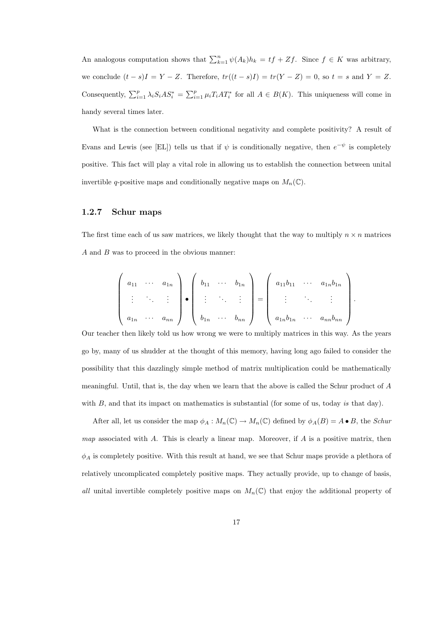An analogous computation shows that  $\sum_{k=1}^{n} \psi(A_k)h_k = tf + Zf$ . Since  $f \in K$  was arbitrary, we conclude  $(t - s)I = Y - Z$ . Therefore,  $tr((t - s)I) = tr(Y - Z) = 0$ , so  $t = s$  and  $Y = Z$ . Consequently,  $\sum_{i=1}^p \lambda_i S_i A S_i^* = \sum_{i=1}^p \mu_i T_i A T_i^*$  for all  $A \in B(K)$ . This uniqueness will come in handy several times later.

What is the connection between conditional negativity and complete positivity? A result of Evans and Lewis (see [EL]) tells us that if  $\psi$  is conditionally negative, then  $e^{-\psi}$  is completely positive. This fact will play a vital role in allowing us to establish the connection between unital invertible q-positive maps and conditionally negative maps on  $M_n(\mathbb{C})$ .

#### 1.2.7 Schur maps

The first time each of us saw matrices, we likely thought that the way to multiply  $n \times n$  matrices A and B was to proceed in the obvious manner:

$$
\left(\begin{array}{cccc} a_{11} & \cdots & a_{1n} \\ \vdots & \ddots & \vdots \\ a_{1n} & \cdots & a_{nn} \end{array}\right) \bullet \left(\begin{array}{cccc} b_{11} & \cdots & b_{1n} \\ \vdots & \ddots & \vdots \\ b_{1n} & \cdots & b_{nn} \end{array}\right) = \left(\begin{array}{cccc} a_{11}b_{11} & \cdots & a_{1n}b_{1n} \\ \vdots & \ddots & \vdots \\ a_{1n}b_{1n} & \cdots & a_{nn}b_{nn} \end{array}\right).
$$

Our teacher then likely told us how wrong we were to multiply matrices in this way. As the years go by, many of us shudder at the thought of this memory, having long ago failed to consider the possibility that this dazzlingly simple method of matrix multiplication could be mathematically meaningful. Until, that is, the day when we learn that the above is called the Schur product of A with  $B$ , and that its impact on mathematics is substantial (for some of us, today is that day).

After all, let us consider the map  $\phi_A : M_n(\mathbb{C}) \to M_n(\mathbb{C})$  defined by  $\phi_A(B) = A \bullet B$ , the *Schur* map associated with A. This is clearly a linear map. Moreover, if  $A$  is a positive matrix, then  $\phi_A$  is completely positive. With this result at hand, we see that Schur maps provide a plethora of relatively uncomplicated completely positive maps. They actually provide, up to change of basis, all unital invertible completely positive maps on  $M_n(\mathbb{C})$  that enjoy the additional property of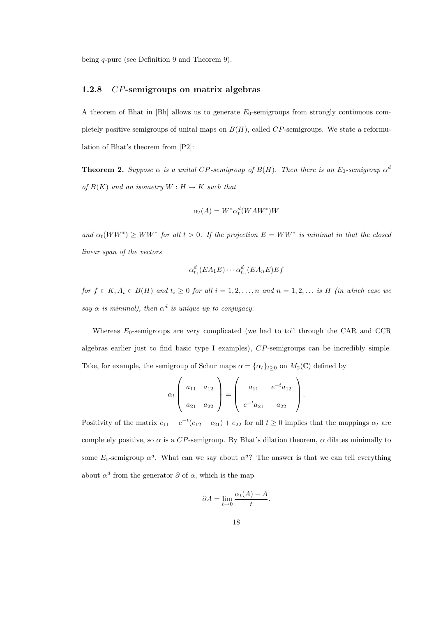being q-pure (see Definition 9 and Theorem 9).

#### 1.2.8 CP-semigroups on matrix algebras

A theorem of Bhat in  $[Bh]$  allows us to generate  $E_0$ -semigroups from strongly continuous completely positive semigroups of unital maps on  $B(H)$ , called  $CP$ -semigroups. We state a reformulation of Bhat's theorem from [P2]:

**Theorem 2.** Suppose  $\alpha$  is a unital CP-semigroup of  $B(H)$ . Then there is an  $E_0$ -semigroup  $\alpha^d$ of  $B(K)$  and an isometry  $W : H \to K$  such that

$$
\alpha_t(A) = W^* \alpha_t^d (WAW^*)W
$$

and  $\alpha_t(WW^*) \geq WW^*$  for all  $t > 0$ . If the projection  $E = WW^*$  is minimal in that the closed linear span of the vectors

$$
\alpha_{t_1}^d(EA_1E)\cdots \alpha_{t_n}^d(EA_nE)Ef
$$

for  $f \in K$ ,  $A_i \in B(H)$  and  $t_i \geq 0$  for all  $i = 1, 2, ..., n$  and  $n = 1, 2, ...$  is H (in which case we say  $\alpha$  is minimal), then  $\alpha^d$  is unique up to conjugacy.

Whereas  $E_0$ -semigroups are very complicated (we had to toil through the CAR and CCR algebras earlier just to find basic type I examples), CP-semigroups can be incredibly simple. Take, for example, the semigroup of Schur maps  $\alpha = {\{\alpha_t\}}_{t\geq 0}$  on  $M_2(\mathbb{C})$  defined by

$$
\alpha_t \left( \begin{array}{cc} a_{11} & a_{12} \\ a_{21} & a_{22} \end{array} \right) = \left( \begin{array}{cc} a_{11} & e^{-t} a_{12} \\ e^{-t} a_{21} & a_{22} \end{array} \right).
$$

Positivity of the matrix  $e_{11} + e^{-t}(e_{12} + e_{21}) + e_{22}$  for all  $t \ge 0$  implies that the mappings  $\alpha_t$  are completely positive, so  $\alpha$  is a CP-semigroup. By Bhat's dilation theorem,  $\alpha$  dilates minimally to some  $E_0$ -semigroup  $\alpha^d$ . What can we say about  $\alpha^d$ ? The answer is that we can tell everything about  $\alpha^d$  from the generator  $\partial$  of  $\alpha$ , which is the map

$$
\partial A = \lim_{t \to 0} \frac{\alpha_t(A) - A}{t}.
$$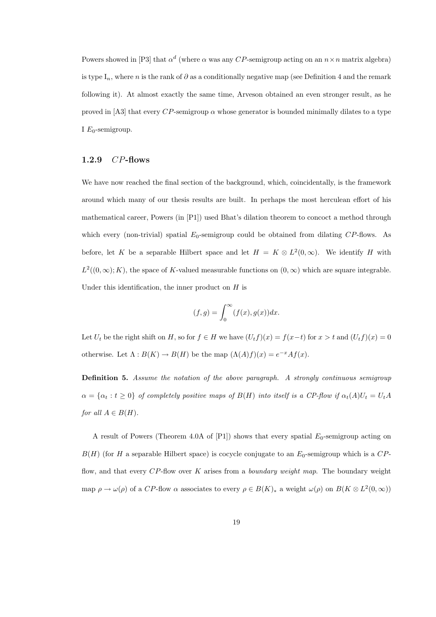Powers showed in [P3] that  $\alpha^d$  (where  $\alpha$  was any CP-semigroup acting on an  $n \times n$  matrix algebra) is type  $I_n$ , where n is the rank of  $\partial$  as a conditionally negative map (see Definition 4 and the remark following it). At almost exactly the same time, Arveson obtained an even stronger result, as he proved in [A3] that every CP-semigroup  $\alpha$  whose generator is bounded minimally dilates to a type I  $E_0$ -semigroup.

#### 1.2.9 CP-flows

We have now reached the final section of the background, which, coincidentally, is the framework around which many of our thesis results are built. In perhaps the most herculean effort of his mathematical career, Powers (in [P1]) used Bhat's dilation theorem to concoct a method through which every (non-trivial) spatial  $E_0$ -semigroup could be obtained from dilating  $CP$ -flows. As before, let K be a separable Hilbert space and let  $H = K \otimes L^2(0, \infty)$ . We identify H with  $L^2((0,\infty);K)$ , the space of K-valued measurable functions on  $(0,\infty)$  which are square integrable. Under this identification, the inner product on  $H$  is

$$
(f,g) = \int_0^\infty (f(x), g(x))dx.
$$

Let  $U_t$  be the right shift on H, so for  $f \in H$  we have  $(U_t f)(x) = f(x-t)$  for  $x > t$  and  $(U_t f)(x) = 0$ otherwise. Let  $\Lambda : B(K) \to B(H)$  be the map  $(\Lambda(A)f)(x) = e^{-x}Af(x)$ .

Definition 5. Assume the notation of the above paragraph. A strongly continuous semigroup  $\alpha = {\alpha_t : t \ge 0}$  of completely positive maps of  $B(H)$  into itself is a CP-flow if  $\alpha_t(A)U_t = U_tA$ for all  $A \in B(H)$ .

A result of Powers (Theorem 4.0A of  $[P1]$ ) shows that every spatial  $E_0$ -semigroup acting on  $B(H)$  (for H a separable Hilbert space) is cocycle conjugate to an  $E_0$ -semigroup which is a CPflow, and that every  $CP$ -flow over K arises from a *boundary weight map*. The boundary weight map  $\rho \to \omega(\rho)$  of a CP-flow  $\alpha$  associates to every  $\rho \in B(K)_*$  a weight  $\omega(\rho)$  on  $B(K \otimes L^2(0,\infty))$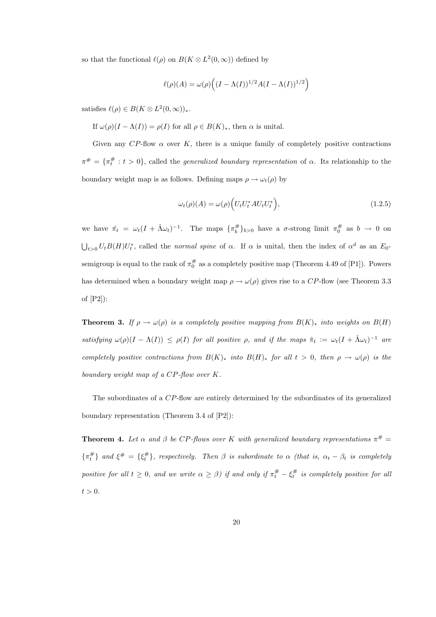so that the functional  $\ell(\rho)$  on  $B(K \otimes L^2(0,\infty))$  defined by

$$
\ell(\rho)(A) = \omega(\rho)\Big((I - \Lambda(I))^{1/2}A(I - \Lambda(I))^{1/2}\Big)
$$

satisfies  $\ell(\rho) \in B(K \otimes L^2(0,\infty))_*$ .

If  $\omega(\rho)(I - \Lambda(I)) = \rho(I)$  for all  $\rho \in B(K)_*$ , then  $\alpha$  is unital.

Given any  $CP$ -flow  $\alpha$  over K, there is a unique family of completely positive contractions  $\pi^{\#} = {\pi^{\#}_t : t > 0}$ , called the *generalized boundary representation* of  $\alpha$ . Its relationship to the boundary weight map is as follows. Defining maps  $\rho \to \omega_t(\rho)$  by

$$
\omega_t(\rho)(A) = \omega(\rho) \Big( U_t U_t^* A U_t U_t^* \Big), \tag{1.2.5}
$$

we have  $\hat{\pi}_t = \omega_t (I + \hat{\Lambda} \omega_t)^{-1}$ . The maps  $\{\pi_b^{\#}\}_{b>0}$  have a  $\sigma$ -strong limit  $\pi_0^{\#}$  as  $b \to 0$  on  $\bigcup_{t>0} U_t B(H) U_t^*$ , called the normal spine of  $\alpha$ . If  $\alpha$  is unital, then the index of  $\alpha^d$  as an  $E_0$ semigroup is equal to the rank of  $\pi_0^{\#}$  as a completely positive map (Theorem 4.49 of [P1]). Powers has determined when a boundary weight map  $\rho \to \omega(\rho)$  gives rise to a CP-flow (see Theorem 3.3 of [P2]):

**Theorem 3.** If  $\rho \to \omega(\rho)$  is a completely positive mapping from  $B(K)_{*}$  into weights on  $B(H)$ satisfying  $\omega(\rho)(I - \Lambda(I)) \leq \rho(I)$  for all positive  $\rho$ , and if the maps  $\hat{\pi}_t := \omega_t(I + \hat{\Lambda}\omega_t)^{-1}$  are completely positive contractions from  $B(K)_*$  into  $B(H)_*$  for all  $t > 0$ , then  $\rho \to \omega(\rho)$  is the boundary weight map of a CP-flow over K.

The subordinates of a CP-flow are entirely determined by the subordinates of its generalized boundary representation (Theorem 3.4 of [P2]):

**Theorem 4.** Let  $\alpha$  and  $\beta$  be CP-flows over K with generalized boundary representations  $\pi^{\#}$  =  $\{\pi_t^{\#}\}\$  and  $\xi^{\#} = \{\xi_t^{\#}\}\$ , respectively. Then  $\beta$  is subordinate to  $\alpha$  (that is,  $\alpha_t - \beta_t$  is completely positive for all  $t \geq 0$ , and we write  $\alpha \geq \beta$ ) if and only if  $\pi_t^{\#} - \xi_t^{\#}$  is completely positive for all  $t > 0$ .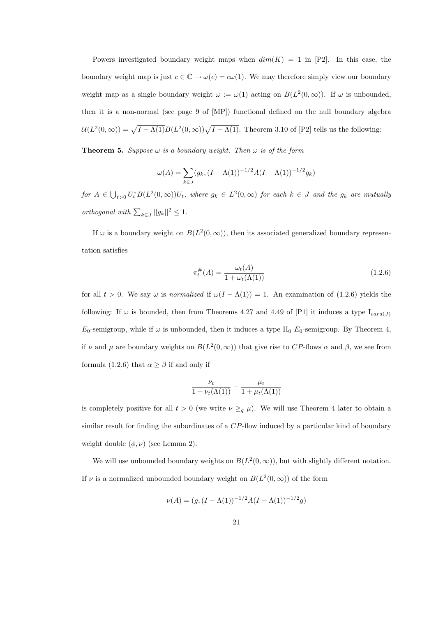Powers investigated boundary weight maps when  $dim(K) = 1$  in [P2]. In this case, the boundary weight map is just  $c \in \mathbb{C} \to \omega(c) = c\omega(1)$ . We may therefore simply view our boundary weight map as a single boundary weight  $\omega := \omega(1)$  acting on  $B(L^2(0,\infty))$ . If  $\omega$  is unbounded, then it is a non-normal (see page 9 of [MP]) functional defined on the null boundary algebra  $\mathcal{U}(L^2(0,\infty)) = \sqrt{I-\Lambda(1)}B(L^2(0,\infty))\sqrt{I-\Lambda(1)}$ . Theorem 3.10 of [P2] tells us the following:

**Theorem 5.** Suppose  $\omega$  is a boundary weight. Then  $\omega$  is of the form

$$
\omega(A) = \sum_{k \in J} (g_k, (I - \Lambda(1))^{-1/2} A (I - \Lambda(1))^{-1/2} g_k)
$$

for  $A \in \bigcup_{t>0} U_t^* B(L^2(0,\infty))U_t$ , where  $g_k \in L^2(0,\infty)$  for each  $k \in J$  and the  $g_k$  are mutually orthogonal with  $\sum_{k \in J} ||g_k||^2 \leq 1$ .

If  $\omega$  is a boundary weight on  $B(L^2(0,\infty))$ , then its associated generalized boundary representation satisfies

$$
\pi_t^{\#}(A) = \frac{\omega_t(A)}{1 + \omega_t(\Lambda(1))}
$$
\n(1.2.6)

for all  $t > 0$ . We say  $\omega$  is normalized if  $\omega(I - \Lambda(1)) = 1$ . An examination of (1.2.6) yields the following: If  $\omega$  is bounded, then from Theorems 4.27 and 4.49 of [P1] it induces a type  $I_{card(J)}$  $E_0$ -semigroup, while if  $\omega$  is unbounded, then it induces a type II<sub>0</sub>  $E_0$ -semigroup. By Theorem 4, if v and  $\mu$  are boundary weights on  $B(L^2(0,\infty))$  that give rise to CP-flows  $\alpha$  and  $\beta$ , we see from formula (1.2.6) that  $\alpha \geq \beta$  if and only if

$$
\frac{\nu_t}{1 + \nu_t(\Lambda(1))} - \frac{\mu_t}{1 + \mu_t(\Lambda(1))}
$$

is completely positive for all  $t > 0$  (we write  $\nu \geq_q \mu$ ). We will use Theorem 4 later to obtain a similar result for finding the subordinates of a CP-flow induced by a particular kind of boundary weight double  $(\phi, \nu)$  (see Lemma 2).

We will use unbounded boundary weights on  $B(L^2(0,\infty))$ , but with slightly different notation. If  $\nu$  is a normalized unbounded boundary weight on  $B(L^2(0,\infty))$  of the form

$$
\nu(A) = (g,(I - \Lambda(1))^{-1/2}A(I - \Lambda(1))^{-1/2}g)
$$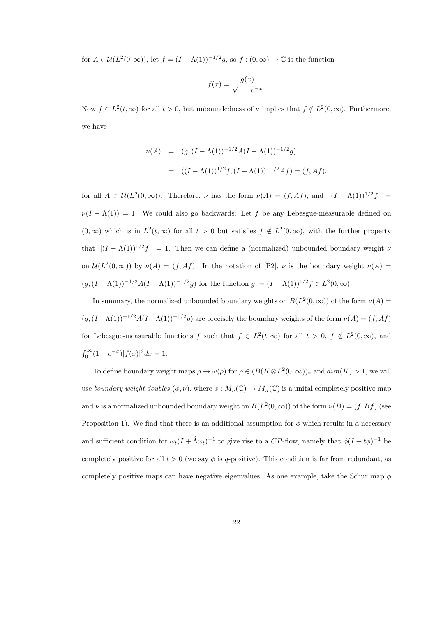for  $A \in \mathcal{U}(L^2(0,\infty))$ , let  $f = (I - \Lambda(1))^{-1/2}g$ , so  $f : (0,\infty) \to \mathbb{C}$  is the function

$$
f(x) = \frac{g(x)}{\sqrt{1 - e^{-x}}}.
$$

Now  $f \in L^2(t, \infty)$  for all  $t > 0$ , but unboundedness of  $\nu$  implies that  $f \notin L^2(0, \infty)$ . Furthermore, we have

$$
\nu(A) = (g, (I - \Lambda(1))^{-1/2} A (I - \Lambda(1))^{-1/2} g)
$$
  
= 
$$
((I - \Lambda(1))^{1/2} f, (I - \Lambda(1))^{-1/2} Af) = (f, Af).
$$

for all  $A \in \mathcal{U}(L^2(0,\infty))$ . Therefore,  $\nu$  has the form  $\nu(A) = (f,Af)$ , and  $||(I - \Lambda(1))^{1/2}f|| =$  $\nu(I - \Lambda(1)) = 1$ . We could also go backwards: Let f be any Lebesgue-measurable defined on  $(0, \infty)$  which is in  $L^2(t, \infty)$  for all  $t > 0$  but satisfies  $f \notin L^2(0, \infty)$ , with the further property that  $||(I - \Lambda(1))^{1/2}f|| = 1$ . Then we can define a (normalized) unbounded boundary weight  $\nu$ on  $\mathcal{U}(L^2(0,\infty))$  by  $\nu(A) = (f,Af)$ . In the notation of [P2],  $\nu$  is the boundary weight  $\nu(A) =$  $(g,(I-\Lambda(1))^{-1/2}A(I-\Lambda(1))^{-1/2}g)$  for the function  $g:=(I-\Lambda(1))^{1/2}f\in L^2(0,\infty)$ .

In summary, the normalized unbounded boundary weights on  $B(L^2(0,\infty))$  of the form  $\nu(A)$  $(g,(I-\Lambda(1))^{-1/2}A(I-\Lambda(1))^{-1/2}g)$  are precisely the boundary weights of the form  $\nu(A)=(f,Af)$ for Lebesgue-measurable functions f such that  $f \in L^2(t,\infty)$  for all  $t > 0$ ,  $f \notin L^2(0,\infty)$ , and  $\int_0^\infty (1 - e^{-x}) |f(x)|^2 dx = 1.$ 

To define boundary weight maps  $\rho \to \omega(\rho)$  for  $\rho \in (B(K \otimes L^2(0, \infty))_*$  and  $dim(K) > 1$ , we will use boundary weight doubles  $(\phi, \nu)$ , where  $\phi : M_n(\mathbb{C}) \to M_n(\mathbb{C})$  is a unital completely positive map and  $\nu$  is a normalized unbounded boundary weight on  $B(L^2(0,\infty))$  of the form  $\nu(B) = (f,Bf)$  (see Proposition 1). We find that there is an additional assumption for  $\phi$  which results in a necessary and sufficient condition for  $\omega_t (I + \hat{\Lambda} \omega_t)^{-1}$  to give rise to a CP-flow, namely that  $\phi (I + t\phi)^{-1}$  be completely positive for all  $t > 0$  (we say  $\phi$  is q-positive). This condition is far from redundant, as completely positive maps can have negative eigenvalues. As one example, take the Schur map  $\phi$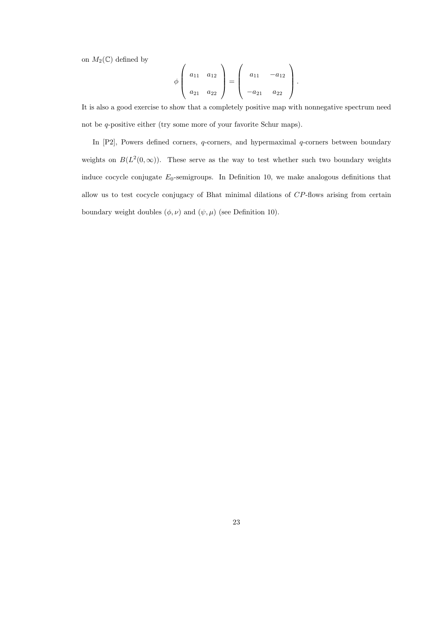on  $M_2(\mathbb{C})$  defined by

$$
\phi\left(\begin{array}{cc} a_{11} & a_{12} \\ a_{21} & a_{22} \end{array}\right) = \left(\begin{array}{cc} a_{11} & -a_{12} \\ -a_{21} & a_{22} \end{array}\right).
$$

It is also a good exercise to show that a completely positive map with nonnegative spectrum need not be *q*-positive either (try some more of your favorite Schur maps).

In  $[P2]$ , Powers defined corners,  $q$ -corners, and hypermaximal  $q$ -corners between boundary weights on  $B(L^2(0,\infty))$ . These serve as the way to test whether such two boundary weights induce cocycle conjugate  $E_0$ -semigroups. In Definition 10, we make analogous definitions that allow us to test cocycle conjugacy of Bhat minimal dilations of CP-flows arising from certain boundary weight doubles  $(\phi, \nu)$  and  $(\psi, \mu)$  (see Definition 10).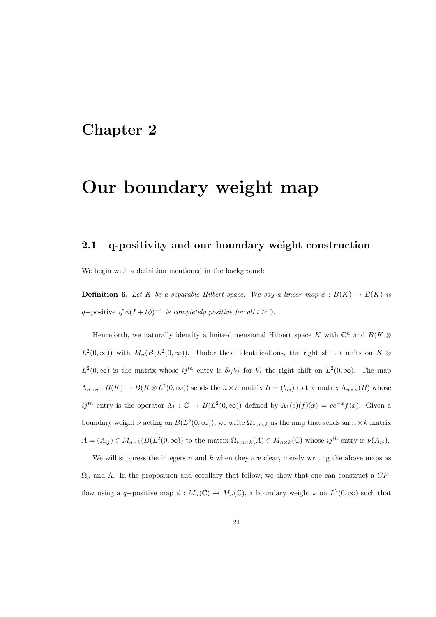# Chapter 2

# Our boundary weight map

### 2.1 q-positivity and our boundary weight construction

We begin with a definition mentioned in the background:

**Definition 6.** Let K be a separable Hilbert space. We say a linear map  $\phi : B(K) \to B(K)$  is q-positive if  $\phi(I + t\phi)^{-1}$  is completely positive for all  $t \geq 0$ .

Henceforth, we naturally identify a finite-dimensional Hilbert space K with  $\mathbb{C}^n$  and  $B(K \otimes$  $L^2(0,\infty)$  with  $M_n(B(L^2(0,\infty))$ . Under these identifications, the right shift t units on  $K\otimes$  $L^2(0,\infty)$  is the matrix whose  $ij^{th}$  entry is  $\delta_{ij}V_t$  for  $V_t$  the right shift on  $L^2(0,\infty)$ . The map  $\Lambda_{n\times n}: B(K) \to B(K \otimes L^2(0,\infty))$  sends the  $n \times n$  matrix  $B=(b_{ij})$  to the matrix  $\Lambda_{n\times n}(B)$  whose ij<sup>th</sup> entry is the operator  $\Lambda_1 : \mathbb{C} \to B(L^2(0,\infty))$  defined by  $\Lambda_1(c)(f)(x) = ce^{-x}f(x)$ . Given a boundary weight  $\nu$  acting on  $B(L^2(0,\infty))$ , we write  $\Omega_{\nu,n\times k}$  as the map that sends an  $n\times k$  matrix  $A = (A_{ij}) \in M_{n \times k}(B(L^2(0, \infty)))$  to the matrix  $\Omega_{\nu,n \times k}(A) \in M_{n \times k}(\mathbb{C})$  whose  $ij^{th}$  entry is  $\nu(A_{ij})$ .

We will suppress the integers  $n$  and  $k$  when they are clear, merely writing the above maps as  $\Omega_{\nu}$  and  $\Lambda$ . In the proposition and corollary that follow, we show that one can construct a  $CP$ flow using a q-positive map  $\phi: M_n(\mathbb{C}) \to M_n(\mathbb{C})$ , a boundary weight  $\nu$  on  $L^2(0, \infty)$  such that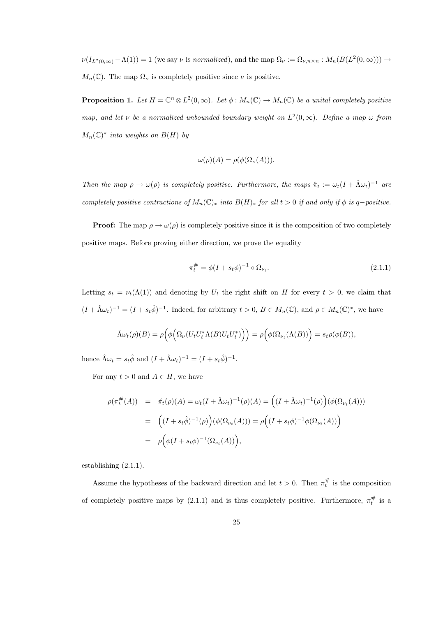$\nu(I_{L^2(0,\infty)} - \Lambda(1)) = 1$  (we say  $\nu$  is normalized), and the map  $\Omega_{\nu} := \Omega_{\nu,n \times n} : M_n(B(L^2(0,\infty))) \to$  $M_n(\mathbb{C})$ . The map  $\Omega_{\nu}$  is completely positive since  $\nu$  is positive.

**Proposition 1.** Let  $H = \mathbb{C}^n \otimes L^2(0, \infty)$ . Let  $\phi : M_n(\mathbb{C}) \to M_n(\mathbb{C})$  be a unital completely positive map, and let v be a normalized unbounded boundary weight on  $L^2(0,\infty)$ . Define a map  $\omega$  from  $M_n(\mathbb{C})^*$  into weights on  $B(H)$  by

$$
\omega(\rho)(A) = \rho(\phi(\Omega_{\nu}(A))).
$$

Then the map  $\rho \to \omega(\rho)$  is completely positive. Furthermore, the maps  $\hat{\pi}_t := \omega_t (I + \hat{\Lambda} \omega_t)^{-1}$  are completely positive contractions of  $M_n(\mathbb{C})_*$  into  $B(H)_*$  for all  $t > 0$  if and only if  $\phi$  is q-positive.

**Proof:** The map  $\rho \to \omega(\rho)$  is completely positive since it is the composition of two completely positive maps. Before proving either direction, we prove the equality

$$
\pi_t^{\#} = \phi(I + s_t \phi)^{-1} \circ \Omega_{\nu_t}.
$$
\n(2.1.1)

Letting  $s_t = \nu_t(\Lambda(1))$  and denoting by  $U_t$  the right shift on H for every  $t > 0$ , we claim that  $(I + \hat{\Lambda} \omega_t)^{-1} = (I + s_t \hat{\phi})^{-1}$ . Indeed, for arbitrary  $t > 0$ ,  $B \in M_n(\mathbb{C})$ , and  $\rho \in M_n(\mathbb{C})^*$ , we have

$$
\hat{\Lambda} \omega_t(\rho)(B) = \rho \Big( \phi \Big( \Omega_{\nu} (U_t U_t^* \Lambda(B) U_t U_t^* ) \Big) \Big) = \rho \Big( \phi(\Omega_{\nu_t} (\Lambda(B)) \Big) = s_t \rho(\phi(B)),
$$

hence  $\hat{\Lambda} \omega_t = s_t \hat{\phi}$  and  $(I + \hat{\Lambda} \omega_t)^{-1} = (I + s_t \hat{\phi})^{-1}$ .

For any  $t > 0$  and  $A \in H$ , we have

$$
\rho(\pi_t^{\#}(A)) = \hat{\pi}_t(\rho)(A) = \omega_t(I + \hat{\Lambda}\omega_t)^{-1}(\rho)(A) = ((I + \hat{\Lambda}\omega_t)^{-1}(\rho))(\phi(\Omega_{\nu_t}(A)))
$$
  

$$
= ((I + s_t\hat{\phi})^{-1}(\rho))(\phi(\Omega_{\nu_t}(A))) = \rho((I + s_t\phi)^{-1}\phi(\Omega_{\nu_t}(A)))
$$
  

$$
= \rho(\phi(I + s_t\phi)^{-1}(\Omega_{\nu_t}(A))),
$$

establishing (2.1.1).

Assume the hypotheses of the backward direction and let  $t > 0$ . Then  $\pi_t^{\#}$  is the composition of completely positive maps by  $(2.1.1)$  and is thus completely positive. Furthermore,  $\pi_t^{\#}$  is a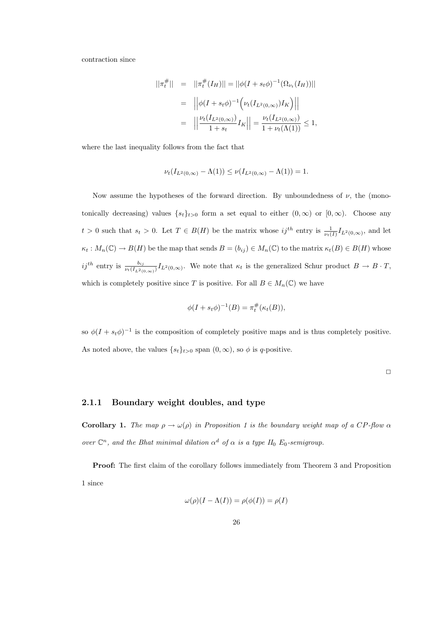contraction since

$$
||\pi_t^{\#}|| = ||\pi_t^{\#}(I_H)|| = ||\phi(I + s_t \phi)^{-1}(\Omega_{\nu_t}(I_H))||
$$
  
= 
$$
||\phi(I + s_t \phi)^{-1} (\nu_t(I_{L^2(0,\infty)})I_K)||
$$
  
= 
$$
||\frac{\nu_t(I_{L^2(0,\infty)})}{1 + s_t}I_K|| = \frac{\nu_t(I_{L^2(0,\infty)})}{1 + \nu_t(\Lambda(1))} \le 1,
$$

where the last inequality follows from the fact that

$$
\nu_t(I_{L^2(0,\infty)} - \Lambda(1)) \le \nu(I_{L^2(0,\infty)} - \Lambda(1)) = 1.
$$

Now assume the hypotheses of the forward direction. By unboundedness of  $\nu$ , the (monotonically decreasing) values  $\{s_t\}_{t>0}$  form a set equal to either  $(0,\infty)$  or  $[0,\infty)$ . Choose any  $t > 0$  such that  $s_t > 0$ . Let  $T \in B(H)$  be the matrix whose  $ij^{th}$  entry is  $\frac{1}{\nu_t(I)} I_{L^2(0,\infty)}$ , and let  $\kappa_t: M_n(\mathbb{C}) \to B(H)$  be the map that sends  $B = (b_{ij}) \in M_n(\mathbb{C})$  to the matrix  $\kappa_t(B) \in B(H)$  whose ij<sup>th</sup> entry is  $\frac{b_{ij}}{\nu_t(I_{L^2(0,\infty)})}I_{L^2(0,\infty)}$ . We note that  $\kappa_t$  is the generalized Schur product  $B \to B \cdot T$ , which is completely positive since T is positive. For all  $B \in M_n(\mathbb{C})$  we have

$$
\phi(I + s_t \phi)^{-1}(B) = \pi_t^{\#}(\kappa_t(B)),
$$

so  $\phi(I + s_t \phi)^{-1}$  is the composition of completely positive maps and is thus completely positive. As noted above, the values  $\{s_t\}_{t>0}$  span  $(0,\infty)$ , so  $\phi$  is q-positive.

 $\Box$ 

#### 2.1.1 Boundary weight doubles, and type

Corollary 1. The map  $\rho \to \omega(\rho)$  in Proposition 1 is the boundary weight map of a CP-flow  $\alpha$ over  $\mathbb{C}^n$ , and the Bhat minimal dilation  $\alpha^d$  of  $\alpha$  is a type  $II_0$  E<sub>0</sub>-semigroup.

Proof: The first claim of the corollary follows immediately from Theorem 3 and Proposition 1 since

$$
\omega(\rho)(I - \Lambda(I)) = \rho(\phi(I)) = \rho(I)
$$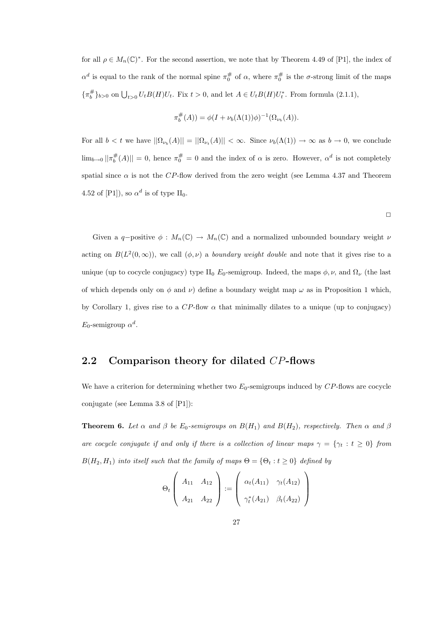for all  $\rho \in M_n(\mathbb{C})^*$ . For the second assertion, we note that by Theorem 4.49 of [P1], the index of  $\alpha^d$  is equal to the rank of the normal spine  $\pi_0^{\#}$  of  $\alpha$ , where  $\pi_0^{\#}$  is the  $\sigma$ -strong limit of the maps  $\{\pi_b^{\#}\}_{b>0}$  on  $\bigcup_{t>0} U_t B(H) U_t$ . Fix  $t>0$ , and let  $A \in U_t B(H) U_t^*$ . From formula (2.1.1),

$$
\pi_b^{\#}(A)) = \phi(I + \nu_b(\Lambda(1))\phi)^{-1}(\Omega_{\nu_b}(A)).
$$

For all  $b < t$  we have  $||\Omega_{\nu_b}(A)|| = ||\Omega_{\nu_t}(A)|| < \infty$ . Since  $\nu_b(\Lambda(1)) \to \infty$  as  $b \to 0$ , we conclude  $\lim_{b\to 0} ||\pi_b^{\#}(A)|| = 0$ , hence  $\pi_0^{\#} = 0$  and the index of  $\alpha$  is zero. However,  $\alpha^d$  is not completely spatial since  $\alpha$  is not the CP-flow derived from the zero weight (see Lemma 4.37 and Theorem 4.52 of [P1]), so  $\alpha^d$  is of type II<sub>0</sub>.

 $\Box$ 

Given a q-positive  $\phi: M_n(\mathbb{C}) \to M_n(\mathbb{C})$  and a normalized unbounded boundary weight  $\nu$ acting on  $B(L^2(0,\infty))$ , we call  $(\phi,\nu)$  a *boundary weight double* and note that it gives rise to a unique (up to cocycle conjugacy) type II<sub>0</sub>  $E_0$ -semigroup. Indeed, the maps  $\phi, \nu$ , and  $\Omega_{\nu}$  (the last of which depends only on  $\phi$  and  $\nu$ ) define a boundary weight map  $\omega$  as in Proposition 1 which, by Corollary 1, gives rise to a  $CP$ -flow  $\alpha$  that minimally dilates to a unique (up to conjugacy)  $E_0$ -semigroup  $\alpha^d$ .

### 2.2 Comparison theory for dilated CP-flows

We have a criterion for determining whether two  $E_0$ -semigroups induced by  $CP$ -flows are cocycle conjugate (see Lemma 3.8 of [P1]):

**Theorem 6.** Let  $\alpha$  and  $\beta$  be  $E_0$ -semigroups on  $B(H_1)$  and  $B(H_2)$ , respectively. Then  $\alpha$  and  $\beta$ are cocycle conjugate if and only if there is a collection of linear maps  $\gamma = {\gamma_t : t \ge 0}$  from  $B(H_2, H_1)$  into itself such that the family of maps  $\Theta = {\Theta_t : t \geq 0}$  defined by

$$
\Theta_t \left( \begin{array}{cc} A_{11} & A_{12} \\ A_{21} & A_{22} \end{array} \right) := \left( \begin{array}{cc} \alpha_t(A_{11}) & \gamma_t(A_{12}) \\ \gamma_t^*(A_{21}) & \beta_t(A_{22}) \end{array} \right)
$$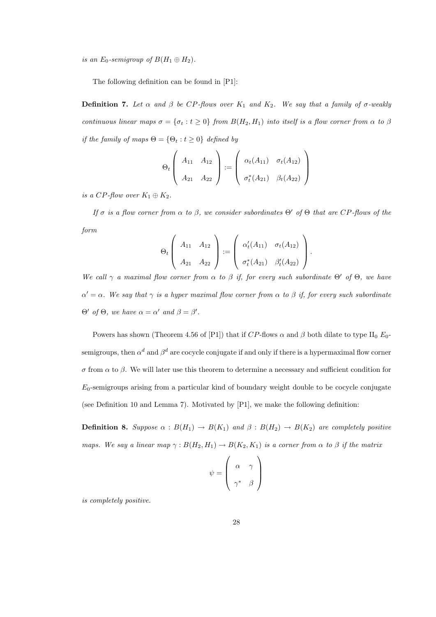is an  $E_0$ -semigroup of  $B(H_1 \oplus H_2)$ .

The following definition can be found in [P1]:

**Definition 7.** Let  $\alpha$  and  $\beta$  be CP-flows over  $K_1$  and  $K_2$ . We say that a family of  $\sigma$ -weakly continuous linear maps  $\sigma = {\sigma_t : t \ge 0}$  from  $B(H_2, H_1)$  into itself is a flow corner from  $\alpha$  to  $\beta$ if the family of maps  $\Theta = \{\Theta_t : t \geq 0\}$  defined by

$$
\Theta_t \left( \begin{array}{cc} A_{11} & A_{12} \\ A_{21} & A_{22} \end{array} \right) := \left( \begin{array}{cc} \alpha_t(A_{11}) & \sigma_t(A_{12}) \\ \sigma_t^*(A_{21}) & \beta_t(A_{22}) \end{array} \right)
$$

is a CP-flow over  $K_1 \oplus K_2$ .

If  $\sigma$  is a flow corner from  $\alpha$  to  $\beta$ , we consider subordinates  $\Theta'$  of  $\Theta$  that are CP-flows of the form

$$
\Theta_t\left(\begin{array}{cc} A_{11} & A_{12} \\ A_{21} & A_{22} \end{array}\right) := \left(\begin{array}{cc} \alpha'_t(A_{11}) & \sigma_t(A_{12}) \\ \sigma^*_t(A_{21}) & \beta'_t(A_{22}) \end{array}\right).
$$

We call  $\gamma$  a maximal flow corner from  $\alpha$  to  $\beta$  if, for every such subordinate  $\Theta'$  of  $\Theta$ , we have  $\alpha' = \alpha$ . We say that  $\gamma$  is a hyper maximal flow corner from  $\alpha$  to  $\beta$  if, for every such subordinate  $Θ'$  of  $Θ$ , we have  $α = α'$  and  $β = β'$ .

Powers has shown (Theorem 4.56 of [P1]) that if  $CP$ -flows  $\alpha$  and  $\beta$  both dilate to type II<sub>0</sub> E<sub>0</sub>semigroups, then  $\alpha^d$  and  $\beta^d$  are cocycle conjugate if and only if there is a hypermaximal flow corner σ from α to β. We will later use this theorem to determine a necessary and sufficient condition for  $E_0$ -semigroups arising from a particular kind of boundary weight double to be cocycle conjugate (see Definition 10 and Lemma 7). Motivated by [P1], we make the following definition:

**Definition 8.** Suppose  $\alpha$  :  $B(H_1) \rightarrow B(K_1)$  and  $\beta$  :  $B(H_2) \rightarrow B(K_2)$  are completely positive maps. We say a linear map  $\gamma : B(H_2, H_1) \to B(K_2, K_1)$  is a corner from  $\alpha$  to  $\beta$  if the matrix

$$
\psi = \left(\begin{array}{cc} \alpha & \gamma \\ \gamma^* & \beta \end{array}\right)
$$

is completely positive.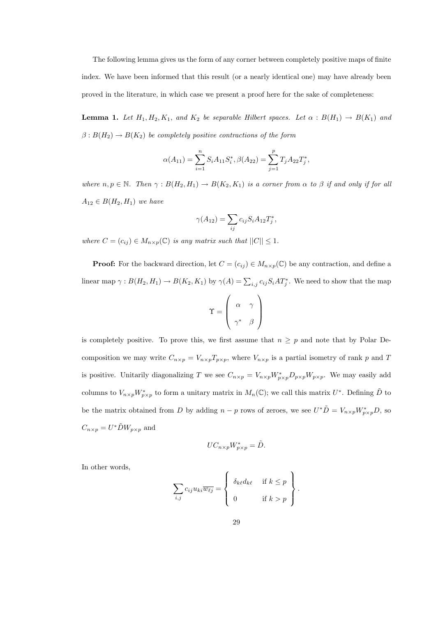The following lemma gives us the form of any corner between completely positive maps of finite index. We have been informed that this result (or a nearly identical one) may have already been proved in the literature, in which case we present a proof here for the sake of completeness:

**Lemma 1.** Let  $H_1, H_2, K_1$ , and  $K_2$  be separable Hilbert spaces. Let  $\alpha : B(H_1) \to B(K_1)$  and  $\beta: B(H_2) \to B(K_2)$  be completely positive contractions of the form

$$
\alpha(A_{11}) = \sum_{i=1}^{n} S_i A_{11} S_i^*, \beta(A_{22}) = \sum_{j=1}^{p} T_j A_{22} T_j^*,
$$

where  $n, p \in \mathbb{N}$ . Then  $\gamma : B(H_2, H_1) \to B(K_2, K_1)$  is a corner from  $\alpha$  to  $\beta$  if and only if for all  $A_{12} \in B(H_2, H_1)$  we have

$$
\gamma(A_{12}) = \sum_{ij} c_{ij} S_i A_{12} T_j^*,
$$

where  $C = (c_{ij}) \in M_{n \times p}(\mathbb{C})$  is any matrix such that  $||C|| \leq 1$ .

**Proof:** For the backward direction, let  $C = (c_{ij}) \in M_{n \times p}(\mathbb{C})$  be any contraction, and define a linear map  $\gamma: B(H_2, H_1) \to B(K_2, K_1)$  by  $\gamma(A) = \sum_{i,j} c_{ij} S_i A T_j^*$ . We need to show that the map

$$
\Upsilon = \left(\begin{array}{cc} \alpha & \gamma \\ \gamma^* & \beta \end{array}\right)
$$

is completely positive. To prove this, we first assume that  $n \geq p$  and note that by Polar Decomposition we may write  $C_{n\times p} = V_{n\times p}T_{p\times p}$ , where  $V_{n\times p}$  is a partial isometry of rank p and T is positive. Unitarily diagonalizing T we see  $C_{n\times p} = V_{n\times p}W_{p\times p}^*D_{p\times p}W_{p\times p}$ . We may easily add columns to  $V_{n\times p}W^*_{p\times p}$  to form a unitary matrix in  $M_n(\mathbb{C})$ ; we call this matrix  $U^*$ . Defining  $\tilde{D}$  to be the matrix obtained from D by adding  $n - p$  rows of zeroes, we see  $U^* \tilde{D} = V_{n \times p} W_{p \times p}^* D$ , so  $C_{n\times p} = U^* \tilde{D} W_{p\times p}$  and

$$
UC_{n\times p}W_{p\times p}^* = \tilde{D}.
$$

In other words,

$$
\sum_{i,j} c_{ij} u_{ki} \overline{w_{\ell j}} = \begin{cases} \delta_{k\ell} d_{k\ell} & \text{if } k \leq p \\ 0 & \text{if } k > p \end{cases}.
$$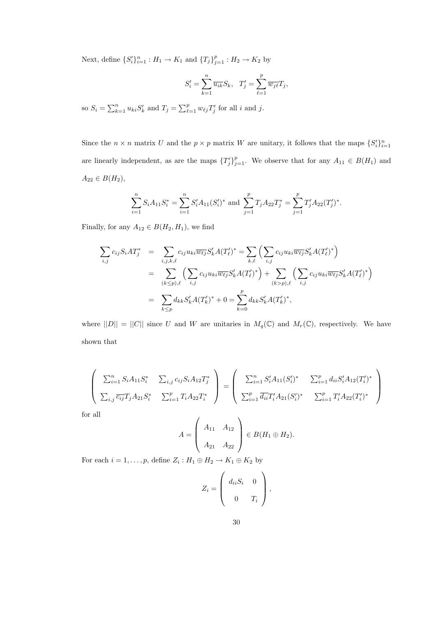Next, define  $\{S_i'\}_{i=1}^n : H_1 \to K_1$  and  $\{T_j\}_{j=1}^p : H_2 \to K_2$  by

$$
S_i' = \sum_{k=1}^n \overline{u_{ik}} S_k, \quad T_j' = \sum_{\ell=1}^p \overline{w_{j\ell}} T_j,
$$

so  $S_i = \sum_{k=1}^n u_{ki} S'_k$  and  $T_j = \sum_{\ell=1}^p w_{\ell j} T'_j$  for all i and j.

Since the  $n \times n$  matrix U and the  $p \times p$  matrix W are unitary, it follows that the maps  $\{S_i'\}_{i=1}^n$ are linearly independent, as are the maps  $\{T_j'\}_{j=1}^p$ . We observe that for any  $A_{11} \in B(H_1)$  and  $A_{22} \in B(H_2),$ 

$$
\sum_{i=1}^{n} S_i A_{11} S_i^* = \sum_{i=1}^{n} S_i' A_{11} (S_i')^* \text{ and } \sum_{j=1}^{p} T_j A_{22} T_j^* = \sum_{j=1}^{p} T_j' A_{22} (T_j')^*.
$$

Finally, for any  $A_{12} \in B(H_2, H_1)$ , we find

$$
\sum_{i,j} c_{ij} S_i A T_j^* = \sum_{i,j,k,\ell} c_{ij} u_{ki} \overline{w_{\ell j}} S_k' A (T_{\ell}')^* = \sum_{k,\ell} \left( \sum_{i,j} c_{ij} u_{ki} \overline{w_{\ell j}} S_k' A (T_{\ell}')^* \right)
$$
  

$$
= \sum_{(k \le p),\ell} \left( \sum_{i,j} c_{ij} u_{ki} \overline{w_{\ell j}} S_k' A (T_{\ell}')^* \right) + \sum_{(k > p),\ell} \left( \sum_{i,j} c_{ij} u_{ki} \overline{w_{\ell j}} S_k' A (T_{\ell}')^* \right)
$$
  

$$
= \sum_{k \le p} d_{kk} S_k' A (T_k')^* + 0 = \sum_{k=0}^p d_{kk} S_k' A (T_k')^*,
$$

where  $||D|| = ||C||$  since U and W are unitaries in  $M_q(\mathbb{C})$  and  $M_r(\mathbb{C})$ , respectively. We have shown that

$$
\begin{pmatrix}\n\sum_{i=1}^{n} S_i A_{11} S_i^* & \sum_{i,j} c_{ij} S_i A_{12} T_j^* \\
\sum_{i,j} \overline{c_{ij}} T_j A_{21} S_i^* & \sum_{i=1}^{p} T_i A_{22} T_i^*\n\end{pmatrix} = \begin{pmatrix}\n\sum_{i=1}^{n} S_i' A_{11} (S_i')^* & \sum_{i=1}^{p} d_{ii} S_i' A_{12} (T_i')^* \\
\sum_{i=1}^{p} \overline{d_{ii}} T_i' A_{21} (S_i')^* & \sum_{i=1}^{p} T_i' A_{22} (T_i')^*\n\end{pmatrix}
$$

for all

$$
A = \left(\begin{array}{cc} A_{11} & A_{12} \\ A_{21} & A_{22} \end{array}\right) \in B(H_1 \oplus H_2).
$$

For each  $i = 1, \ldots, p$ , define  $Z_i : H_1 \oplus H_2 \to K_1 \oplus K_2$  by

$$
Z_i = \left(\begin{array}{cc} d_{ii}S_i & 0 \\ 0 & T_i \end{array}\right),
$$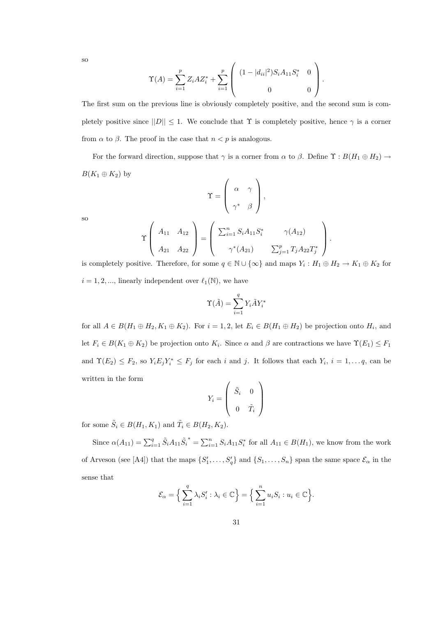so

$$
\Upsilon(A) = \sum_{i=1}^{p} Z_i A Z_i^* + \sum_{i=1}^{p} \left( \begin{array}{cc} (1 - |d_{ii}|^2) S_i A_{11} S_i^* & 0 \\ 0 & 0 \end{array} \right).
$$

The first sum on the previous line is obviously completely positive, and the second sum is completely positive since  $||D|| \leq 1$ . We conclude that  $\Upsilon$  is completely positive, hence  $\gamma$  is a corner from  $\alpha$  to  $\beta$ . The proof in the case that  $n < p$  is analogous.

For the forward direction, suppose that  $\gamma$  is a corner from  $\alpha$  to  $\beta$ . Define  $\Upsilon : B(H_1 \oplus H_2) \rightarrow$  $B(K_1 \oplus K_2)$  by

$$
\Upsilon = \left( \begin{array}{cc} \alpha & \gamma \\ \gamma^* & \beta \end{array} \right),
$$

so

$$
\Upsilon\left(\begin{array}{cc} A_{11} & A_{12} \\ A_{21} & A_{22} \end{array}\right) = \left(\begin{array}{cc} \sum_{i=1}^{n} S_i A_{11} S_i^* & \gamma(A_{12}) \\ \gamma^*(A_{21}) & \sum_{j=1}^{p} T_j A_{22} T_j^* \end{array}\right).
$$

is completely positive. Therefore, for some  $q \in \mathbb{N} \cup \{\infty\}$  and maps  $Y_i : H_1 \oplus H_2 \to K_1 \oplus K_2$  for  $i = 1, 2, \dots$ , linearly independent over  $\ell_1(\mathbb{N})$ , we have

$$
\Upsilon(\tilde{A}) = \sum_{i=1}^{q} Y_i \tilde{A} Y_i^*
$$

for all  $A \in B(H_1 \oplus H_2, K_1 \oplus K_2)$ . For  $i = 1, 2$ , let  $E_i \in B(H_1 \oplus H_2)$  be projection onto  $H_i$ , and let  $F_i \in B(K_1 \oplus K_2)$  be projection onto  $K_i$ . Since  $\alpha$  and  $\beta$  are contractions we have  $\Upsilon(E_1) \leq F_1$ and  $\Upsilon(E_2) \leq F_2$ , so  $Y_i E_j Y_i^* \leq F_j$  for each i and j. It follows that each  $Y_i$ ,  $i = 1, ..., q$ , can be written in the form

$$
Y_i = \left(\begin{array}{cc} \tilde{S}_i & 0 \\ 0 & \tilde{T}_i \end{array}\right)
$$

for some  $\tilde{S}_i \in B(H_1, K_1)$  and  $\tilde{T}_i \in B(H_2, K_2)$ .

Since  $\alpha(A_{11}) = \sum_{i=1}^{q} \tilde{S}_i A_{11} \tilde{S}_i$ <sup>\*</sup> =  $\sum_{i=1}^{n} S_i A_{11} S_i^*$  for all  $A_{11} \in B(H_1)$ , we know from the work of Arveson (see [A4]) that the maps  $\{S'_1,\ldots,S'_q\}$  and  $\{S_1,\ldots,S_n\}$  span the same space  $\mathcal{E}_{\alpha}$  in the sense that

$$
\mathcal{E}_{\alpha} = \Big\{ \sum_{i=1}^{q} \lambda_{i} S'_{i} : \lambda_{i} \in \mathbb{C} \Big\} = \Big\{ \sum_{i=1}^{n} u_{i} S_{i} : u_{i} \in \mathbb{C} \Big\}.
$$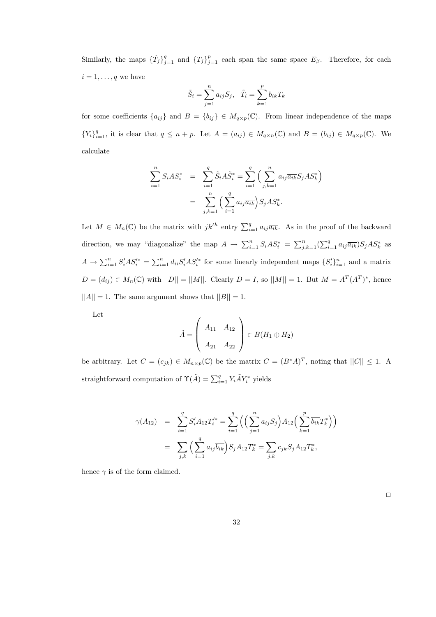Similarly, the maps  $\{\tilde{T}_j\}_{j=1}^q$  and  $\{T_j\}_{j=1}^p$  each span the same space  $E_\beta$ . Therefore, for each  $i = 1, \ldots, q$  we have

$$
\tilde{S}_i = \sum_{j=1}^n a_{ij} S_j
$$
,  $\tilde{T}_i = \sum_{k=1}^p b_{ik} T_k$ 

for some coefficients  $\{a_{ij}\}\$ and  $B = \{b_{ij}\}\in M_{q\times p}(\mathbb{C})$ . From linear independence of the maps  ${Y_i}_{i=1}^q$ , it is clear that  $q \leq n+p$ . Let  $A = (a_{ij}) \in M_{q \times n}(\mathbb{C})$  and  $B = (b_{ij}) \in M_{q \times p}(\mathbb{C})$ . We calculate

$$
\sum_{i=1}^{n} S_i A S_i^* = \sum_{i=1}^{q} \tilde{S}_i A \tilde{S}_i^* = \sum_{i=1}^{q} \left( \sum_{j,k=1}^{n} a_{ij} \overline{a_{ik}} S_j A S_k^* \right)
$$

$$
= \sum_{j,k=1}^{n} \left( \sum_{i=1}^{q} a_{ij} \overline{a_{ik}} \right) S_j A S_k^*.
$$

Let  $M \in M_n(\mathbb{C})$  be the matrix with  $jk^{th}$  entry  $\sum_{i=1}^q a_{ij} \overline{a_{ik}}$ . As in the proof of the backward direction, we may "diagonalize" the map  $A \to \sum_{i=1}^n S_iAS_i^* = \sum_{j,k=1}^n (\sum_{i=1}^q a_{ij}\overline{a_{ik}})S_jAS_k^*$  as  $A \to \sum_{i=1}^n S_i'AS_i'^* = \sum_{i=1}^n d_{ii}S_i'AS_i'^*$  for some linearly independent maps  $\{S_i'\}_{i=1}^n$  and a matrix  $D = (d_{ij}) \in M_n(\mathbb{C})$  with  $||D|| = ||M||$ . Clearly  $D = I$ , so  $||M|| = 1$ . But  $M = A^T(A^T)^*$ , hence  $||A|| = 1$ . The same argument shows that  $||B|| = 1$ .

Let

$$
\tilde{A} = \left(\begin{array}{cc} A_{11} & A_{12} \\ A_{21} & A_{22} \end{array}\right) \in B(H_1 \oplus H_2)
$$

be arbitrary. Let  $C = (c_{jk}) \in M_{n \times p}(\mathbb{C})$  be the matrix  $C = (B^*A)^T$ , noting that  $||C|| \leq 1$ . A straightforward computation of  $\Upsilon(\tilde{A}) = \sum_{i=1}^{q} Y_i \tilde{A} Y_i^*$  yields

$$
\gamma(A_{12}) = \sum_{i=1}^{q} S'_{i} A_{12} T'_{i}^{*} = \sum_{i=1}^{q} \left( \left( \sum_{j=1}^{n} a_{ij} S_{j} \right) A_{12} \left( \sum_{k=1}^{p} \overline{b_{ik}} T_{k}^{*} \right) \right)
$$

$$
= \sum_{j,k} \left( \sum_{i=1}^{q} a_{ij} \overline{b_{ik}} \right) S_{j} A_{12} T_{k}^{*} = \sum_{j,k} c_{jk} S_{j} A_{12} T_{k}^{*},
$$

hence  $\gamma$  is of the form claimed.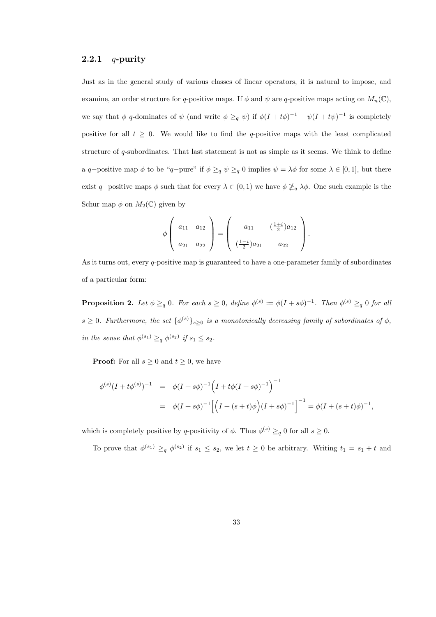#### 2.2.1  $q$ -purity

Just as in the general study of various classes of linear operators, it is natural to impose, and examine, an order structure for q-positive maps. If  $\phi$  and  $\psi$  are q-positive maps acting on  $M_n(\mathbb{C})$ , we say that  $\phi$  q-dominates of  $\psi$  (and write  $\phi \geq_{q} \psi$ ) if  $\phi(I + t\phi)^{-1} - \psi(I + t\psi)^{-1}$  is completely positive for all  $t \geq 0$ . We would like to find the q-positive maps with the least complicated structure of q-subordinates. That last statement is not as simple as it seems. We think to define a q-positive map  $\phi$  to be "q-pure" if  $\phi \geq_q \psi \geq_q 0$  implies  $\psi = \lambda \phi$  for some  $\lambda \in [0,1]$ , but there exist q-positive maps  $\phi$  such that for every  $\lambda \in (0,1)$  we have  $\phi \not\geq_q \lambda \phi$ . One such example is the Schur map  $\phi$  on  $M_2(\mathbb{C})$  given by

$$
\phi\left(\begin{array}{cc} a_{11} & a_{12} \\ a_{21} & a_{22} \end{array}\right) = \left(\begin{array}{cc} a_{11} & \left(\frac{1+i}{2}\right)a_{12} \\ \left(\frac{1-i}{2}\right)a_{21} & a_{22} \end{array}\right).
$$

As it turns out, every q-positive map is guaranteed to have a one-parameter family of subordinates of a particular form:

**Proposition 2.** Let  $\phi \geq_q 0$ . For each  $s \geq 0$ , define  $\phi^{(s)} := \phi(I + s\phi)^{-1}$ . Then  $\phi^{(s)} \geq_q 0$  for all  $s \geq 0$ . Furthermore, the set  $\{\phi^{(s)}\}_{s \geq 0}$  is a monotonically decreasing family of subordinates of  $\phi$ , in the sense that  $\phi^{(s_1)} \geq_q \phi^{(s_2)}$  if  $s_1 \leq s_2$ .

**Proof:** For all  $s \geq 0$  and  $t \geq 0$ , we have

$$
\begin{aligned}\n\phi^{(s)}(I + t\phi^{(s)})^{-1} &= \phi(I + s\phi)^{-1} \Big( I + t\phi(I + s\phi)^{-1} \Big)^{-1} \\
&= \phi(I + s\phi)^{-1} \Big[ \Big( I + (s + t)\phi \Big) (I + s\phi)^{-1} \Big]^{-1} = \phi(I + (s + t)\phi)^{-1},\n\end{aligned}
$$

which is completely positive by q-positivity of  $\phi$ . Thus  $\phi^{(s)} \geq_q 0$  for all  $s \geq 0$ .

To prove that  $\phi^{(s_1)} \geq_q \phi^{(s_2)}$  if  $s_1 \leq s_2$ , we let  $t \geq 0$  be arbitrary. Writing  $t_1 = s_1 + t$  and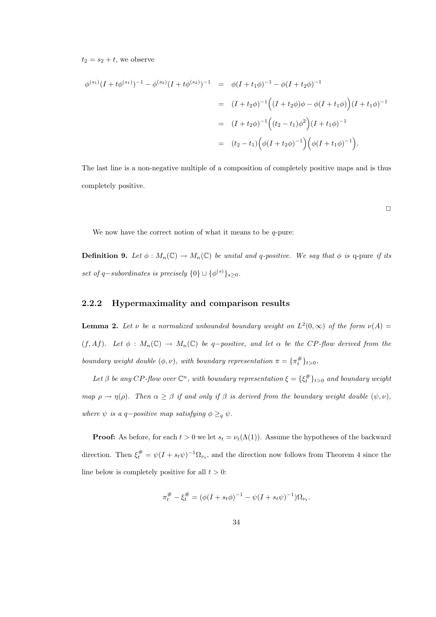$t_2 = s_2 + t$ , we observe

$$
\phi^{(s_1)}(I + t\phi^{(s_1)})^{-1} - \phi^{(s_2)}(I + t\phi^{(s_2)})^{-1} = \phi(I + t_1\phi)^{-1} - \phi(I + t_2\phi)^{-1}
$$
  

$$
= (I + t_2\phi)^{-1} ((I + t_2\phi)\phi - \phi(I + t_1\phi))(I + t_1\phi)^{-1}
$$
  

$$
= (I + t_2\phi)^{-1} ((t_2 - t_1)\phi^2)(I + t_1\phi)^{-1}
$$
  

$$
= (t_2 - t_1) (\phi(I + t_2\phi)^{-1}) (\phi(I + t_1\phi)^{-1}).
$$

The last line is a non-negative multiple of a composition of completely positive maps and is thus completely positive.

 $\Box$ 

We now have the correct notion of what it means to be  $q$ -pure:

**Definition 9.** Let  $\phi: M_n(\mathbb{C}) \to M_n(\mathbb{C})$  be unital and q-positive. We say that  $\phi$  is q-pure if its set of q-subordinates is precisely  $\{0\} \cup \{\phi^{(s)}\}_{s \geq 0}$ .

#### 2.2.2 Hypermaximality and comparison results

**Lemma 2.** Let v be a normalized unbounded boundary weight on  $L^2(0,\infty)$  of the form  $\nu(A)$  $(f, Af)$ . Let  $\phi : M_n(\mathbb{C}) \to M_n(\mathbb{C})$  be q-positive, and let  $\alpha$  be the CP-flow derived from the boundary weight double  $(\phi, \nu)$ , with boundary representation  $\pi = {\pi_t^{\#}}_{t>0}$ .

Let  $\beta$  be any CP-flow over  $\mathbb{C}^n$ , with boundary representation  $\xi = \{\xi_t^{\#}\}_{t>0}$  and boundary weight map  $\rho \to \eta(\rho)$ . Then  $\alpha \geq \beta$  if and only if  $\beta$  is derived from the boundary weight double  $(\psi, \nu)$ , where  $\psi$  is a q-positive map satisfying  $\phi \geq_q \psi$ .

**Proof:** As before, for each  $t > 0$  we let  $s_t = \nu_t(\Lambda(1))$ . Assume the hypotheses of the backward direction. Then  $\xi_t^{\#} = \psi(I + s_t \psi)^{-1} \Omega_{\nu_t}$ , and the direction now follows from Theorem 4 since the line below is completely positive for all  $t > 0$ :

$$
\pi_t^{\#} - \xi_t^{\#} = (\phi(I + s_t \phi)^{-1} - \psi(I + s_t \psi)^{-1})\Omega_{\nu_t}.
$$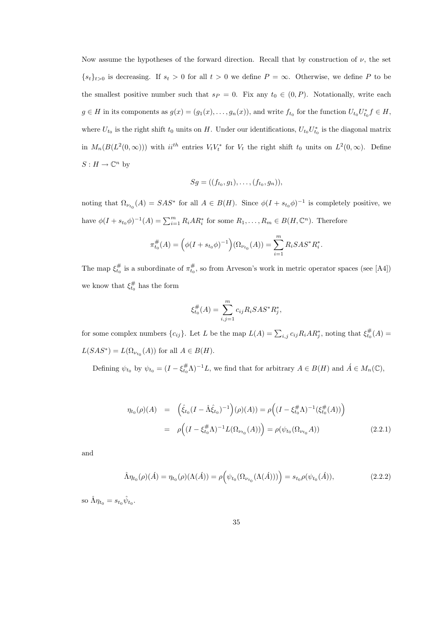Now assume the hypotheses of the forward direction. Recall that by construction of  $\nu$ , the set  ${s_t}_{t>0}$  is decreasing. If  $s_t > 0$  for all  $t > 0$  we define  $P = \infty$ . Otherwise, we define P to be the smallest positive number such that  $s_P = 0$ . Fix any  $t_0 \in (0, P)$ . Notationally, write each  $g \in H$  in its components as  $g(x) = (g_1(x), \ldots, g_n(x))$ , and write  $f_{t_0}$  for the function  $U_{t_0}U_{t_0}^* f \in H$ , where  $U_{t_0}$  is the right shift  $t_0$  units on H. Under our identifications,  $U_{t_0}U_{t_0}^*$  is the diagonal matrix in  $M_n(B(L^2(0,\infty)))$  with  $ii^{th}$  entries  $V_tV_t^*$  for  $V_t$  the right shift  $t_0$  units on  $L^2(0,\infty)$ . Define  $S: H \to \mathbb{C}^n$  by

$$
Sg = ((f_{t_0}, g_1), \ldots, (f_{t_0}, g_n)),
$$

noting that  $\Omega_{\nu_{t_0}}(A) = SAS^*$  for all  $A \in B(H)$ . Since  $\phi(I + s_{t_0}\phi)^{-1}$  is completely positive, we have  $\phi(I + s_{t_0}\phi)^{-1}(A) = \sum_{i=1}^m R_i AR_i^*$  for some  $R_1, \ldots, R_m \in B(H, \mathbb{C}^n)$ . Therefore

$$
\pi_{t_0}^{\#}(A) = \left(\phi(I + s_{t_0}\phi)^{-1}\right)(\Omega_{\nu_{t_0}}(A)) = \sum_{i=1}^m R_i S A S^* R_i^*.
$$

The map  $\xi_{t_0}^{\#}$  is a subordinate of  $\pi_{t_0}^{\#}$ , so from Arveson's work in metric operator spaces (see [A4]) we know that  $\xi_{t_0}^{\#}$  has the form

$$
\xi_{t_0}^{\#}(A) = \sum_{i,j=1}^{m} c_{ij} R_i S A S^* R_j^*,
$$

for some complex numbers  $\{c_{ij}\}\$ . Let L be the map  $L(A) = \sum_{i,j} c_{ij} R_i A R_j^*$ , noting that  $\xi_{t_0}^{\#}(A) =$  $L(SAS^*) = L(\Omega_{\nu_{t_0}}(A))$  for all  $A \in B(H)$ .

Defining  $\psi_{t_0}$  by  $\psi_{t_0} = (I - \xi_{t_0}^{\#} \Lambda)^{-1} L$ , we find that for arbitrary  $A \in B(H)$  and  $\acute{A} \in M_n(\mathbb{C})$ ,

$$
\eta_{t_0}(\rho)(A) = \left(\hat{\xi}_{t_0}(I - \hat{\Lambda}\hat{\xi}_{t_0})^{-1}\right)(\rho)(A)) = \rho\left((I - \xi_{t_0}^{\#}\Lambda)^{-1}(\xi_{t_0}^{\#}(A))\right)
$$

$$
= \rho\left((I - \xi_{t_0}^{\#}\Lambda)^{-1}L(\Omega_{\nu_{t_0}}(A))\right) = \rho(\psi_{t_0}(\Omega_{\nu_{t_0}}A)) \tag{2.2.1}
$$

and

$$
\hat{\Lambda}\eta_{t_0}(\rho)(\hat{A}) = \eta_{t_0}(\rho)(\Lambda(\hat{A})) = \rho\Big(\psi_{t_0}(\Omega_{\nu_{t_0}}(\Lambda(\hat{A})))\Big) = s_{t_0}\rho(\psi_{t_0}(\hat{A})),\tag{2.2.2}
$$

so  $\hat{\Lambda}\eta_{t_0} = s_{t_0}\hat{\psi}_{t_0}$ .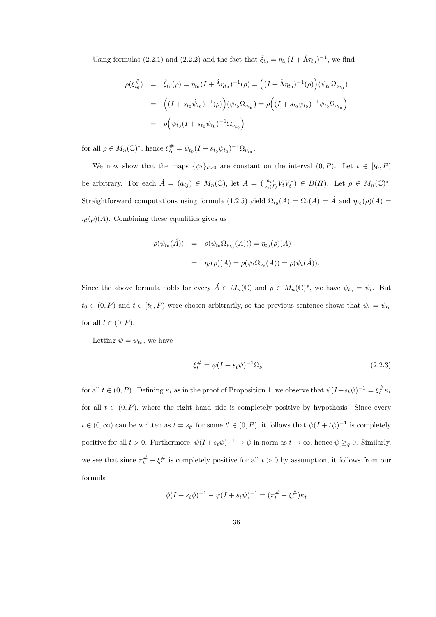Using formulas (2.2.1) and (2.2.2) and the fact that  $\hat{\xi}_{t_0} = \eta_{t_0} (I + \hat{\Lambda} \tau_{t_0})^{-1}$ , we find

$$
\rho(\xi_{t_0}^{\#}) = \hat{\xi}_{t_0}(\rho) = \eta_{t_0}(I + \hat{\Lambda}\eta_{t_0})^{-1}(\rho) = ((I + \hat{\Lambda}\eta_{t_0})^{-1}(\rho))(\psi_{t_0}\Omega_{\nu_{t_0}})
$$
  
\n
$$
= ((I + s_{t_0}\hat{\psi}_{t_0})^{-1}(\rho))(\psi_{t_0}\Omega_{\nu_{t_0}}) = \rho((I + s_{t_0}\psi_{t_0})^{-1}\psi_{t_0}\Omega_{\nu_{t_0}})
$$
  
\n
$$
= \rho(\psi_{t_0}(I + s_{t_0}\psi_{t_0})^{-1}\Omega_{\nu_{t_0}})
$$

for all  $\rho \in M_n(\mathbb{C})^*$ , hence  $\xi_{t_0}^{\#} = \psi_{t_0} (I + s_{t_0} \psi_{t_0})^{-1} \Omega_{\nu_{t_0}}$ .

We now show that the maps  $\{\psi_t\}_{t>0}$  are constant on the interval  $(0, P)$ . Let  $t \in [t_0, P)$ be arbitrary. For each  $\acute{A} = (a_{ij}) \in M_n(\mathbb{C})$ , let  $A = (\frac{a_{ij}}{\nu_t(I)}V_tV_t^*) \in B(H)$ . Let  $\rho \in M_n(\mathbb{C})^*$ . Straightforward computations using formula (1.2.5) yield  $\Omega_{t_0}(A) = \Omega_t(A) = \hat{A}$  and  $\eta_{t_0}(\rho)(A) =$  $\eta_t(\rho)(A)$ . Combining these equalities gives us

$$
\rho(\psi_{t_0}(\hat{A})) = \rho(\psi_{t_0} \Omega_{\nu_{t_0}}(A))) = \eta_{t_0}(\rho)(A)
$$
  
= 
$$
\eta_t(\rho)(A) = \rho(\psi_t \Omega_{\nu_t}(A)) = \rho(\psi_t(\hat{A})).
$$

Since the above formula holds for every  $\acute{A} \in M_n(\mathbb{C})$  and  $\rho \in M_n(\mathbb{C})^*$ , we have  $\psi_{t_0} = \psi_t$ . But  $t_0 \in (0, P)$  and  $t \in [t_0, P)$  were chosen arbitrarily, so the previous sentence shows that  $\psi_t = \psi_{t_0}$ for all  $t \in (0, P)$ .

Letting  $\psi = \psi_{t_0}$ , we have

$$
\xi_t^{\#} = \psi(I + s_t \psi)^{-1} \Omega_{\nu_t}
$$
\n(2.2.3)

for all  $t \in (0, P)$ . Defining  $\kappa_t$  as in the proof of Proposition 1, we observe that  $\psi(I + s_t \psi)^{-1} = \xi_t^{\#} \kappa_t$ for all  $t \in (0, P)$ , where the right hand side is completely positive by hypothesis. Since every  $t \in (0,\infty)$  can be written as  $t = s_{t'}$  for some  $t' \in (0,P)$ , it follows that  $\psi(I + t\psi)^{-1}$  is completely positive for all  $t > 0$ . Furthermore,  $\psi(I + s_t \psi)^{-1} \to \psi$  in norm as  $t \to \infty$ , hence  $\psi \geq_q 0$ . Similarly, we see that since  $\pi_t^{\#} - \xi_t^{\#}$  is completely positive for all  $t > 0$  by assumption, it follows from our formula

$$
\phi(I + s_t \phi)^{-1} - \psi(I + s_t \psi)^{-1} = (\pi_t^{\#} - \xi_t^{\#}) \kappa_t
$$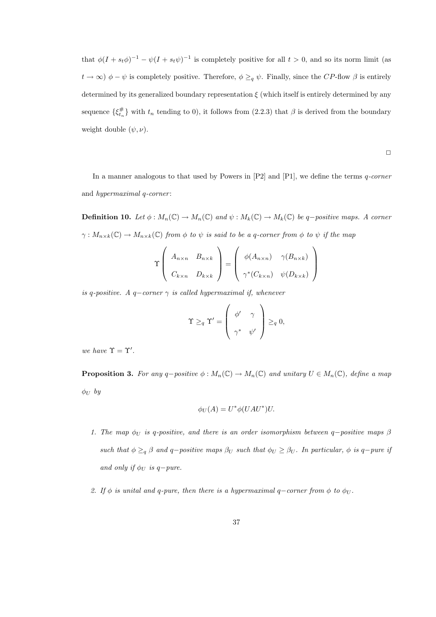that  $\phi(I + s_t \phi)^{-1} - \psi(I + s_t \psi)^{-1}$  is completely positive for all  $t > 0$ , and so its norm limit (as  $t \to \infty$ )  $\phi - \psi$  is completely positive. Therefore,  $\phi \geq_q \psi$ . Finally, since the CP-flow  $\beta$  is entirely determined by its generalized boundary representation  $\xi$  (which itself is entirely determined by any sequence  $\{\xi_{t_n}^{\#}\}\right)$  with  $t_n$  tending to 0), it follows from (2.2.3) that  $\beta$  is derived from the boundary weight double  $(\psi, \nu)$ .

$$
\Box
$$

In a manner analogous to that used by Powers in  $[P2]$  and  $[P1]$ , we define the terms q-corner and *hypermaximal q*-corner:

**Definition 10.** Let  $\phi : M_n(\mathbb{C}) \to M_n(\mathbb{C})$  and  $\psi : M_k(\mathbb{C}) \to M_k(\mathbb{C})$  be q-positive maps. A corner  $\gamma: M_{n\times k}(\mathbb{C})\to M_{n\times k}(\mathbb{C})$  from  $\phi$  to  $\psi$  is said to be a q-corner from  $\phi$  to  $\psi$  if the map

$$
\Upsilon\left(\begin{array}{cc} A_{n\times n} & B_{n\times k} \\ C_{k\times n} & D_{k\times k} \end{array}\right) = \left(\begin{array}{cc} \phi(A_{n\times n}) & \gamma(B_{n\times k}) \\ \gamma^*(C_{k\times n}) & \psi(D_{k\times k}) \end{array}\right)
$$

is q-positive. A q-corner  $\gamma$  is called hypermaximal if, whenever

$$
\Upsilon \geq_q \Upsilon' = \begin{pmatrix} \phi' & \gamma \\ \gamma^* & \psi' \end{pmatrix} \geq_q 0,
$$

we have  $\Upsilon = \Upsilon'$ .

**Proposition 3.** For any q-positive  $\phi : M_n(\mathbb{C}) \to M_n(\mathbb{C})$  and unitary  $U \in M_n(\mathbb{C})$ , define a map  $\phi_U$  by

$$
\phi_U(A) = U^* \phi(UAU^*)U.
$$

- 1. The map  $\phi_U$  is q-positive, and there is an order isomorphism between q-positive maps  $\beta$ such that  $\phi \geq_q \beta$  and q-positive maps  $\beta_U$  such that  $\phi_U \geq \beta_U$ . In particular,  $\phi$  is q-pure if and only if  $\phi_U$  is q-pure.
- 2. If  $\phi$  is unital and q-pure, then there is a hypermaximal q-corner from  $\phi$  to  $\phi_U$ .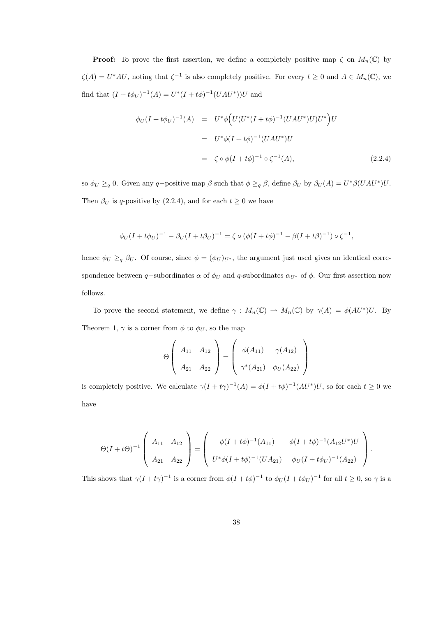**Proof:** To prove the first assertion, we define a completely positive map  $\zeta$  on  $M_n(\mathbb{C})$  by  $\zeta(A) = U^*AU$ , noting that  $\zeta^{-1}$  is also completely positive. For every  $t \geq 0$  and  $A \in M_n(\mathbb{C})$ , we find that  $(I + t\phi_U)^{-1}(A) = U^*(I + t\phi)^{-1}(UAU^*))U$  and

$$
\phi_U(I + t\phi_U)^{-1}(A) = U^* \phi \Big( U(U^*(I + t\phi)^{-1}(UAU^*)U)U^* \Big)U
$$
  

$$
= U^* \phi (I + t\phi)^{-1}(UAU^*)U
$$
  

$$
= \zeta \circ \phi (I + t\phi)^{-1} \circ \zeta^{-1}(A), \qquad (2.2.4)
$$

so  $\phi_U \geq_q 0$ . Given any q-positive map  $\beta$  such that  $\phi \geq_q \beta$ , define  $\beta_U$  by  $\beta_U(A) = U^* \beta (UAU^*)U$ . Then  $\beta_U$  is q-positive by (2.2.4), and for each  $t \geq 0$  we have

$$
\phi_U (I + t\phi_U)^{-1} - \beta_U (I + t\beta_U)^{-1} = \zeta \circ (\phi (I + t\phi)^{-1} - \beta (I + t\beta)^{-1}) \circ \zeta^{-1},
$$

hence  $\phi_U \geq_q \beta_U$ . Of course, since  $\phi = (\phi_U)_{U^*}$ , the argument just used gives an identical correspondence between q-subordinates  $\alpha$  of  $\phi_U$  and q-subordinates  $\alpha_{U^*}$  of  $\phi$ . Our first assertion now follows.

To prove the second statement, we define  $\gamma : M_n(\mathbb{C}) \to M_n(\mathbb{C})$  by  $\gamma(A) = \phi(AU^*)U$ . By Theorem 1,  $\gamma$  is a corner from  $\phi$  to  $\phi_U$ , so the map

$$
\Theta\left(\begin{array}{cc} A_{11} & A_{12} \\ A_{21} & A_{22} \end{array}\right) = \left(\begin{array}{cc} \phi(A_{11}) & \gamma(A_{12}) \\ \gamma^*(A_{21}) & \phi_U(A_{22}) \end{array}\right)
$$

is completely positive. We calculate  $\gamma(I + t\gamma)^{-1}(A) = \phi(I + t\phi)^{-1}(AU^*)U$ , so for each  $t \geq 0$  we have

$$
\Theta(I+t\Theta)^{-1}\left(\begin{array}{cc} A_{11} & A_{12} \\ A_{21} & A_{22} \end{array}\right)=\left(\begin{array}{cc} \phi(I+t\phi)^{-1}(A_{11}) & \phi(I+t\phi)^{-1}(A_{12}U^*)U \\ U^*\phi(I+t\phi)^{-1}(UA_{21}) & \phi_U(I+t\phi_U)^{-1}(A_{22}) \end{array}\right).
$$

This shows that  $\gamma(I + t\gamma)^{-1}$  is a corner from  $\phi(I + t\phi)^{-1}$  to  $\phi_U(I + t\phi_U)^{-1}$  for all  $t \geq 0$ , so  $\gamma$  is a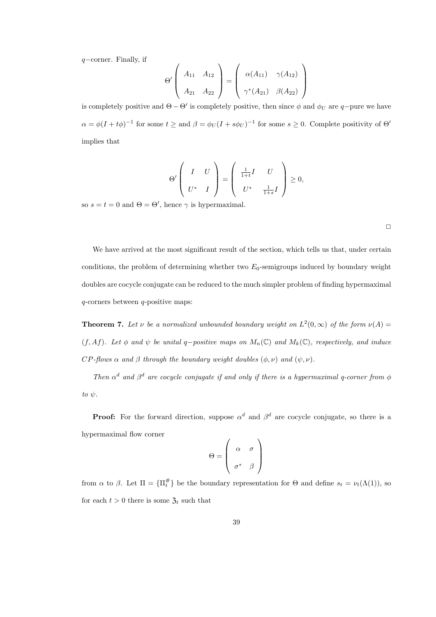q−corner. Finally, if

$$
\Theta'\left(\begin{array}{cc} A_{11} & A_{12} \\ A_{21} & A_{22} \end{array}\right) = \left(\begin{array}{cc} \alpha(A_{11}) & \gamma(A_{12}) \\ \gamma^*(A_{21}) & \beta(A_{22}) \end{array}\right)
$$

is completely positive and  $\Theta - \Theta'$  is completely positive, then since  $\phi$  and  $\phi_U$  are q-pure we have  $\alpha = \phi(I + t\phi)^{-1}$  for some  $t \geq$  and  $\beta = \phi_U(I + s\phi_U)^{-1}$  for some  $s \geq 0$ . Complete positivity of  $\Theta'$ implies that

$$
\Theta'\left(\begin{array}{cc}I&U\\U^*&I\end{array}\right)=\left(\begin{array}{cc}\frac{1}{1+t}I&U\\U^*&\frac{1}{1+s}I\end{array}\right)\geq 0,
$$

so  $s = t = 0$  and  $\Theta = \Theta'$ , hence  $\gamma$  is hypermaximal.

We have arrived at the most significant result of the section, which tells us that, under certain conditions, the problem of determining whether two  $E_0$ -semigroups induced by boundary weight doubles are cocycle conjugate can be reduced to the much simpler problem of finding hypermaximal  $q$ -corners between  $q$ -positive maps:

**Theorem 7.** Let  $\nu$  be a normalized unbounded boundary weight on  $L^2(0,\infty)$  of the form  $\nu(A)$ (f, Af). Let  $\phi$  and  $\psi$  be unital q-positive maps on  $M_n(\mathbb{C})$  and  $M_k(\mathbb{C})$ , respectively, and induce  $CP$ -flows  $\alpha$  and  $\beta$  through the boundary weight doubles  $(\phi, \nu)$  and  $(\psi, \nu)$ .

Then  $\alpha^d$  and  $\beta^d$  are cocycle conjugate if and only if there is a hypermaximal q-corner from  $\phi$ to  $\psi$ .

**Proof:** For the forward direction, suppose  $\alpha^d$  and  $\beta^d$  are cocycle conjugate, so there is a hypermaximal flow corner

$$
\Theta = \left(\begin{array}{cc} \alpha & \sigma \\ \sigma^* & \beta \end{array}\right)
$$

from  $\alpha$  to  $\beta$ . Let  $\Pi = {\Pi_t^{\#}}$  be the boundary representation for  $\Theta$  and define  $s_t = \nu_t(\Lambda(1))$ , so for each  $t > 0$  there is some  $\mathfrak{Z}_t$  such that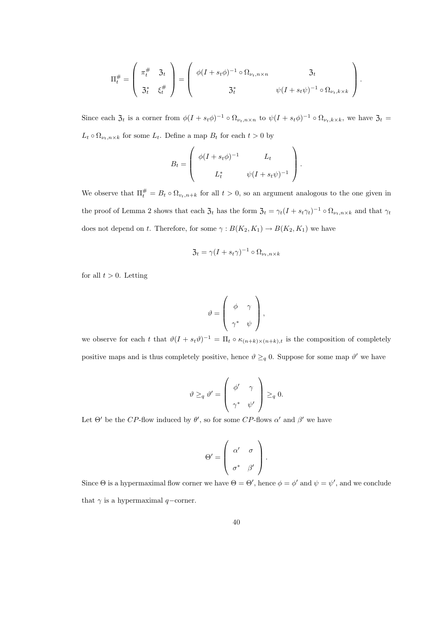$$
\Pi_t^{\#} = \left(\begin{array}{c} \pi_t^{\#} & \mathfrak{Z}_t \\ \mathfrak{Z}_t^* & \xi_t^{\#} \end{array}\right) = \left(\begin{array}{cc} \phi(I + s_t \phi)^{-1} \circ \Omega_{\nu_t, n \times n} & \mathfrak{Z}_t \\ \mathfrak{Z}_t^* & \psi(I + s_t \psi)^{-1} \circ \Omega_{\nu_t, k \times k} \end{array}\right).
$$

Since each  $\mathfrak{Z}_t$  is a corner from  $\phi(I + s_t \phi)^{-1} \circ \Omega_{\nu_t, n \times n}$  to  $\psi(I + s_t \phi)^{-1} \circ \Omega_{\nu_t, k \times k}$ , we have  $\mathfrak{Z}_t =$  $L_t \circ \Omega_{\nu_t, n \times k}$  for some  $L_t$ . Define a map  $B_t$  for each  $t > 0$  by

$$
B_t = \begin{pmatrix} \phi(I + s_t \phi)^{-1} & L_t \\ L_t^* & \psi(I + s_t \psi)^{-1} \end{pmatrix}.
$$

We observe that  $\Pi_t^{\#} = B_t \circ \Omega_{v_t,n+k}$  for all  $t > 0$ , so an argument analogous to the one given in the proof of Lemma 2 shows that each  $\mathfrak{Z}_t$  has the form  $\mathfrak{Z}_t = \gamma_t (I + s_t \gamma_t)^{-1} \circ \Omega_{\nu_t, n \times k}$  and that  $\gamma_t$ does not depend on t. Therefore, for some  $\gamma: B(K_2, K_1) \to B(K_2, K_1)$  we have

$$
\mathfrak{Z}_t = \gamma (I + s_t \gamma)^{-1} \circ \Omega_{\nu_t, n \times k}
$$

for all  $t > 0$ . Letting

$$
\vartheta = \left(\begin{array}{cc} \phi & \gamma \\ \gamma^* & \psi \end{array}\right),
$$

we observe for each t that  $\vartheta(I + s_t \vartheta)^{-1} = \Pi_t \circ \kappa_{(n+k)\times(n+k),t}$  is the composition of completely positive maps and is thus completely positive, hence  $\vartheta \geq_q 0$ . Suppose for some map  $\vartheta'$  we have

$$
\vartheta \geq_q \vartheta' = \begin{pmatrix} \phi' & \gamma \\ \gamma^* & \psi' \end{pmatrix} \geq_q 0.
$$

Let  $\Theta'$  be the CP-flow induced by  $\theta'$ , so for some CP-flows  $\alpha'$  and  $\beta'$  we have

$$
\Theta' = \left( \begin{array}{cc} \alpha' & \sigma \\ \sigma^* & \beta' \end{array} \right).
$$

Since  $\Theta$  is a hypermaximal flow corner we have  $\Theta = \Theta'$ , hence  $\phi = \phi'$  and  $\psi = \psi'$ , and we conclude that  $\gamma$  is a hypermaximal  $q$ −corner.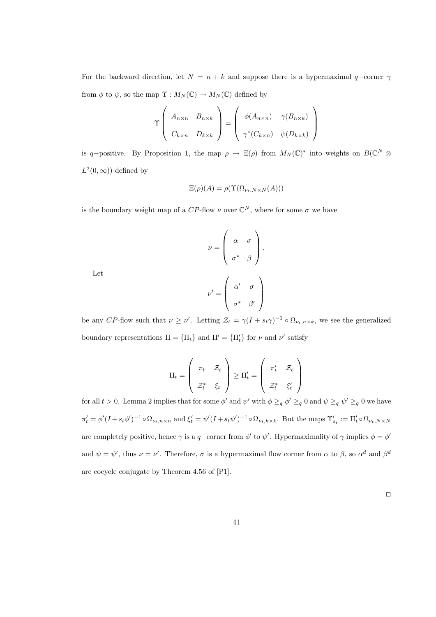For the backward direction, let  $N = n + k$  and suppose there is a hypermaximal q-corner  $\gamma$ from  $\phi$  to  $\psi$ , so the map  $\Upsilon : M_N(\mathbb{C}) \to M_N(\mathbb{C})$  defined by

$$
\Upsilon\left(\begin{array}{cc} A_{n\times n} & B_{n\times k} \\ C_{k\times n} & D_{k\times k} \end{array}\right) = \left(\begin{array}{cc} \phi(A_{n\times n}) & \gamma(B_{n\times k}) \\ \gamma^*(C_{k\times n}) & \psi(D_{k\times k}) \end{array}\right)
$$

is q-positive. By Proposition 1, the map  $\rho \to \Xi(\rho)$  from  $M_N(\mathbb{C})^*$  into weights on  $B(\mathbb{C}^N \otimes$  $L^2(0,\infty)$  defined by

$$
\Xi(\rho)(A) = \rho(\Upsilon(\Omega_{\nu_t,N \times N}(A)))
$$

is the boundary weight map of a CP-flow  $\nu$  over  $\mathbb{C}^N$ , where for some  $\sigma$  we have

$$
\nu = \begin{pmatrix} \alpha & \sigma \\ \sigma^* & \beta \end{pmatrix}.
$$

$$
\nu' = \begin{pmatrix} \alpha' & \sigma \\ \sigma^* & \beta' \end{pmatrix}
$$

Let

be any CP-flow such that  $\nu \geq \nu'$ . Letting  $\mathcal{Z}_t = \gamma (I + s_t \gamma)^{-1} \circ \Omega_{\nu_t, n \times k}$ , we see the generalized boundary representations  $\Pi = {\Pi_t}$  and  $\Pi' = {\Pi'_t}$  for  $\nu$  and  $\nu'$  satisfy

$$
\Pi_t = \left(\begin{array}{cc} \pi_t & \mathcal{Z}_t \\ \mathcal{Z}_t^* & \xi_t \end{array}\right) \geq \Pi'_t = \left(\begin{array}{cc} \pi'_t & \mathcal{Z}_t \\ \mathcal{Z}_t^* & \xi'_t \end{array}\right)
$$

for all  $t > 0$ . Lemma 2 implies that for some  $\phi'$  and  $\psi'$  with  $\phi \geq_q \phi' \geq_q 0$  and  $\psi \geq_q \psi' \geq_q 0$  we have  $\pi'_t = \phi'(I + s_t \phi')^{-1} \circ \Omega_{\nu_t, n \times n}$  and  $\xi'_t = \psi'(I + s_t \psi')^{-1} \circ \Omega_{\nu_t, k \times k}$ . But the maps  $\Upsilon'_{s_t} := \Pi'_t \circ \Omega_{\nu_t, N \times N}$ are completely positive, hence  $\gamma$  is a q-corner from  $\phi'$  to  $\psi'$ . Hypermaximality of  $\gamma$  implies  $\phi = \phi'$ and  $\psi = \psi'$ , thus  $\nu = \nu'$ . Therefore,  $\sigma$  is a hypermaximal flow corner from  $\alpha$  to  $\beta$ , so  $\alpha^d$  and  $\beta^d$ are cocycle conjugate by Theorem 4.56 of [P1].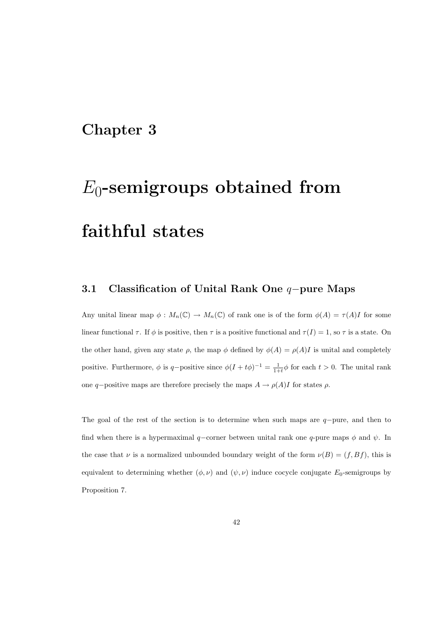### Chapter 3

# $E_0$ -semigroups obtained from faithful states

### 3.1 Classification of Unital Rank One q−pure Maps

Any unital linear map  $\phi: M_n(\mathbb{C}) \to M_n(\mathbb{C})$  of rank one is of the form  $\phi(A) = \tau(A)I$  for some linear functional  $\tau$ . If  $\phi$  is positive, then  $\tau$  is a positive functional and  $\tau(I) = 1$ , so  $\tau$  is a state. On the other hand, given any state  $\rho$ , the map  $\phi$  defined by  $\phi(A) = \rho(A)I$  is unital and completely positive. Furthermore,  $\phi$  is q-positive since  $\phi(I + t\phi)^{-1} = \frac{1}{1+t}\phi$  for each  $t > 0$ . The unital rank one q–positive maps are therefore precisely the maps  $A \to \rho(A)I$  for states  $\rho$ .

The goal of the rest of the section is to determine when such maps are q−pure, and then to find when there is a hypermaximal q−corner between unital rank one q-pure maps  $\phi$  and  $\psi$ . In the case that  $\nu$  is a normalized unbounded boundary weight of the form  $\nu(B) = (f, Bf)$ , this is equivalent to determining whether  $(\phi, \nu)$  and  $(\psi, \nu)$  induce cocycle conjugate  $E_0$ -semigroups by Proposition 7.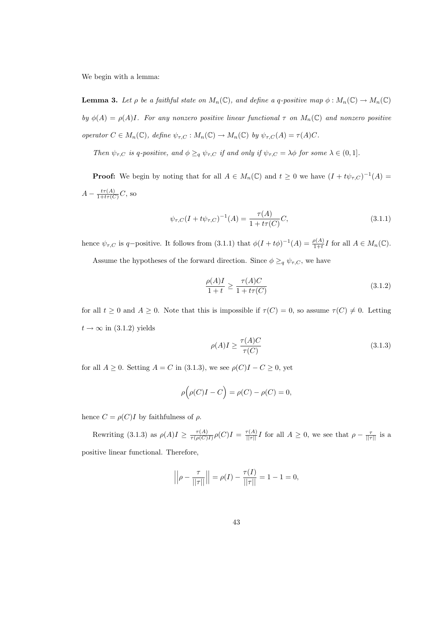We begin with a lemma:

**Lemma 3.** Let  $\rho$  be a faithful state on  $M_n(\mathbb{C})$ , and define a q-positive map  $\phi : M_n(\mathbb{C}) \to M_n(\mathbb{C})$ by  $\phi(A) = \rho(A)I$ . For any nonzero positive linear functional  $\tau$  on  $M_n(\mathbb{C})$  and nonzero positive operator  $C \in M_n(\mathbb{C})$ , define  $\psi_{\tau,C} : M_n(\mathbb{C}) \to M_n(\mathbb{C})$  by  $\psi_{\tau,C}(A) = \tau(A)C$ .

Then  $\psi_{\tau,C}$  is q-positive, and  $\phi \geq_q \psi_{\tau,C}$  if and only if  $\psi_{\tau,C} = \lambda \phi$  for some  $\lambda \in (0,1]$ .

**Proof:** We begin by noting that for all  $A \in M_n(\mathbb{C})$  and  $t \geq 0$  we have  $(I + t\psi_{\tau,C})^{-1}(A) =$  $A - \frac{t\tau(A)}{1+t\tau(C)}C$ , so

$$
\psi_{\tau,C}(I + t\psi_{\tau,C})^{-1}(A) = \frac{\tau(A)}{1 + t\tau(C)}C,
$$
\n(3.1.1)

hence  $\psi_{\tau,C}$  is q-positive. It follows from (3.1.1) that  $\phi(I+t\phi)^{-1}(A) = \frac{\rho(A)}{1+t}I$  for all  $A \in M_n(\mathbb{C})$ .

Assume the hypotheses of the forward direction. Since  $\phi \geq_q \psi_{\tau,C}$ , we have

$$
\frac{\rho(A)I}{1+t} \ge \frac{\tau(A)C}{1+t\tau(C)}\tag{3.1.2}
$$

for all  $t \geq 0$  and  $A \geq 0$ . Note that this is impossible if  $\tau(C) = 0$ , so assume  $\tau(C) \neq 0$ . Letting  $t \rightarrow \infty$  in (3.1.2) yields

$$
\rho(A)I \ge \frac{\tau(A)C}{\tau(C)}\tag{3.1.3}
$$

for all  $A \geq 0$ . Setting  $A = C$  in (3.1.3), we see  $\rho(C)I - C \geq 0$ , yet

$$
\rho(\rho(C)I - C) = \rho(C) - \rho(C) = 0,
$$

hence  $C = \rho(C)I$  by faithfulness of  $\rho$ .

Rewriting (3.1.3) as  $\rho(A)I \geq \frac{\tau(A)}{\tau(A)}$  $\frac{\tau(A)}{\tau(\rho(C)I)}\rho(C)I = \frac{\tau(A)}{||\tau||}I$  for all  $A \geq 0$ , we see that  $\rho - \frac{\tau}{||\tau||}$  is a positive linear functional. Therefore,

$$
\left| \left| \rho - \frac{\tau}{\|\tau\|} \right| \right| = \rho(I) - \frac{\tau(I)}{\|\tau\|} = 1 - 1 = 0,
$$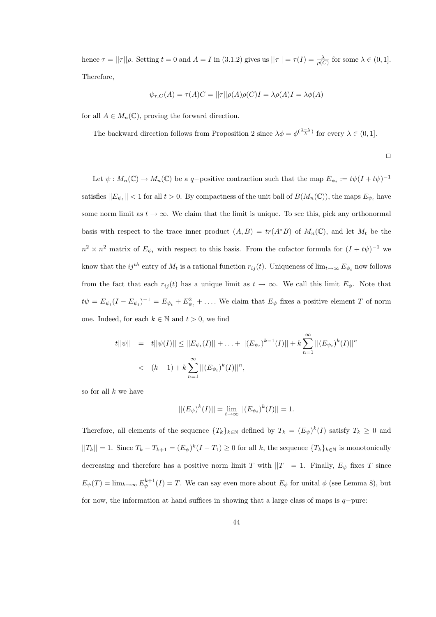hence  $\tau = ||\tau||\rho$ . Setting  $t = 0$  and  $A = I$  in (3.1.2) gives us  $||\tau|| = \tau(I) = \frac{\lambda}{\rho(C)}$  for some  $\lambda \in (0, 1]$ . Therefore,

$$
\psi_{\tau,C}(A) = \tau(A)C = ||\tau||\rho(A)\rho(C)I = \lambda \rho(A)I = \lambda \phi(A)
$$

for all  $A \in M_n(\mathbb{C})$ , proving the forward direction.

The backward direction follows from Proposition 2 since  $\lambda \phi = \phi^{(\frac{1-\lambda}{\lambda})}$  for every  $\lambda \in (0,1]$ .

 $\Box$ 

Let  $\psi: M_n(\mathbb{C}) \to M_n(\mathbb{C})$  be a q-positive contraction such that the map  $E_{\psi_t} := t\psi(I + t\psi)^{-1}$ satisfies  $||E_{\psi_t}|| < 1$  for all  $t > 0$ . By compactness of the unit ball of  $B(M_n(\mathbb{C}))$ , the maps  $E_{\psi_t}$  have some norm limit as  $t \to \infty$ . We claim that the limit is unique. To see this, pick any orthonormal basis with respect to the trace inner product  $(A, B) = tr(A^*B)$  of  $M_n(\mathbb{C})$ , and let  $M_t$  be the  $n^2 \times n^2$  matrix of  $E_{\psi_t}$  with respect to this basis. From the cofactor formula for  $(I + t\psi)^{-1}$  we know that the  $ij^{th}$  entry of  $M_t$  is a rational function  $r_{ij}(t)$ . Uniqueness of  $\lim_{t\to\infty} E_{\psi_t}$  now follows from the fact that each  $r_{ij}(t)$  has a unique limit as  $t \to \infty$ . We call this limit  $E_{\psi}$ . Note that  $t\psi = E_{\psi_t}(I - E_{\psi_t})^{-1} = E_{\psi_t} + E_{\psi_t}^2 + \dots$ . We claim that  $E_{\psi}$  fixes a positive element T of norm one. Indeed, for each  $k \in \mathbb{N}$  and  $t > 0$ , we find

$$
t||\psi|| = t||\psi(I)|| \le ||E_{\psi_t}(I)|| + \dots + ||(E_{\psi_t})^{k-1}(I)|| + k \sum_{n=1}^{\infty} ||(E_{\psi_t})^k(I)||^n
$$
  
<  $(k-1) + k \sum_{n=1}^{\infty} ||(E_{\psi_t})^k(I)||^n$ ,

so for all  $k$  we have

$$
||(E_{\psi})^{k}(I)|| = \lim_{t \to \infty} ||(E_{\psi_t})^{k}(I)|| = 1.
$$

Therefore, all elements of the sequence  $\{T_k\}_{k\in\mathbb{N}}$  defined by  $T_k = (E_{\psi})^k(I)$  satisfy  $T_k \geq 0$  and  $||T_k|| = 1$ . Since  $T_k - T_{k+1} = (E_{\psi})^k (I - T_1) \geq 0$  for all k, the sequence  $\{T_k\}_{k \in \mathbb{N}}$  is monotonically decreasing and therefore has a positive norm limit T with  $||T|| = 1$ . Finally,  $E_{\psi}$  fixes T since  $E_{\psi}(T) = \lim_{k \to \infty} E_{\psi}^{k+1}(I) = T$ . We can say even more about  $E_{\phi}$  for unital  $\phi$  (see Lemma 8), but for now, the information at hand suffices in showing that a large class of maps is q−pure: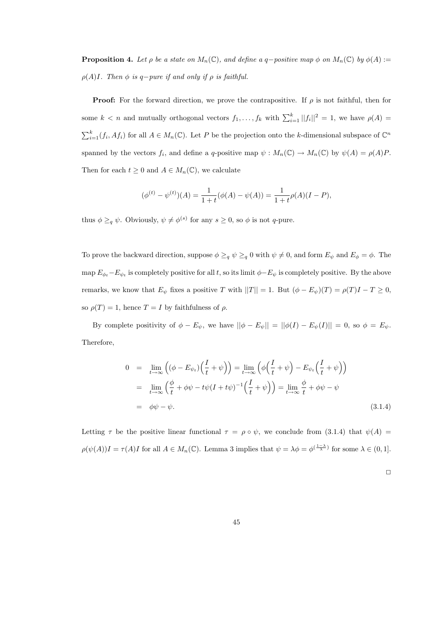**Proposition 4.** Let  $\rho$  be a state on  $M_n(\mathbb{C})$ , and define a q-positive map  $\phi$  on  $M_n(\mathbb{C})$  by  $\phi(A)$  :=  $\rho(A)I$ . Then  $\phi$  is q−pure if and only if  $\rho$  is faithful.

**Proof:** For the forward direction, we prove the contrapositive. If  $\rho$  is not faithful, then for some  $k < n$  and mutually orthogonal vectors  $f_1, \ldots, f_k$  with  $\sum_{i=1}^k ||f_i||^2 = 1$ , we have  $\rho(A) =$  $\sum_{i=1}^{k} (f_i, Af_i)$  for all  $A \in M_n(\mathbb{C})$ . Let P be the projection onto the k-dimensional subspace of  $\mathbb{C}^n$ spanned by the vectors  $f_i$ , and define a q-positive map  $\psi : M_n(\mathbb{C}) \to M_n(\mathbb{C})$  by  $\psi(A) = \rho(A)P$ . Then for each  $t \geq 0$  and  $A \in M_n(\mathbb{C})$ , we calculate

$$
(\phi^{(t)} - \psi^{(t)})(A) = \frac{1}{1+t}(\phi(A) - \psi(A)) = \frac{1}{1+t}\rho(A)(I - P),
$$

thus  $\phi \geq_q \psi$ . Obviously,  $\psi \neq \phi^{(s)}$  for any  $s \geq 0$ , so  $\phi$  is not q-pure.

To prove the backward direction, suppose  $\phi \geq_q \psi \geq_q 0$  with  $\psi \neq 0$ , and form  $E_{\psi}$  and  $E_{\phi} = \phi$ . The map  $E_{\phi_t} - E_{\psi_t}$  is completely positive for all t, so its limit  $\phi - E_{\psi}$  is completely positive. By the above remarks, we know that  $E_{\psi}$  fixes a positive T with  $||T|| = 1$ . But  $(\phi - E_{\psi})(T) = \rho(T)I - T \ge 0$ , so  $\rho(T) = 1$ , hence  $T = I$  by faithfulness of  $\rho$ .

By complete positivity of  $\phi - E_{\psi}$ , we have  $||\phi - E_{\psi}|| = ||\phi(I) - E_{\psi}(I)|| = 0$ , so  $\phi = E_{\psi}$ . Therefore,

$$
0 = \lim_{t \to \infty} \left( (\phi - E_{\psi_t}) \left( \frac{I}{t} + \psi \right) \right) = \lim_{t \to \infty} \left( \phi \left( \frac{I}{t} + \psi \right) - E_{\psi_t} \left( \frac{I}{t} + \psi \right) \right)
$$
  
\n
$$
= \lim_{t \to \infty} \left( \frac{\phi}{t} + \phi \psi - t\psi (I + t\psi)^{-1} \left( \frac{I}{t} + \psi \right) \right) = \lim_{t \to \infty} \frac{\phi}{t} + \phi \psi - \psi
$$
  
\n
$$
= \phi \psi - \psi.
$$
\n(3.1.4)

Letting  $\tau$  be the positive linear functional  $\tau = \rho \circ \psi$ , we conclude from (3.1.4) that  $\psi(A) =$  $\rho(\psi(A))I = \tau(A)I$  for all  $A \in M_n(\mathbb{C})$ . Lemma 3 implies that  $\psi = \lambda \phi = \phi^{(\frac{1-\lambda}{\lambda})}$  for some  $\lambda \in (0,1]$ .

 $\Box$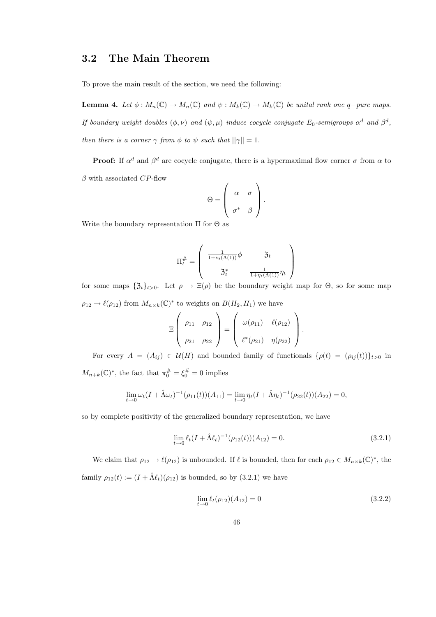#### 3.2 The Main Theorem

To prove the main result of the section, we need the following:

**Lemma 4.** Let  $\phi : M_n(\mathbb{C}) \to M_n(\mathbb{C})$  and  $\psi : M_k(\mathbb{C}) \to M_k(\mathbb{C})$  be unital rank one q-pure maps. If boundary weight doubles  $(\phi, \nu)$  and  $(\psi, \mu)$  induce cocycle conjugate  $E_0$ -semigroups  $\alpha^d$  and  $\beta^d$ , then there is a corner  $\gamma$  from  $\phi$  to  $\psi$  such that  $||\gamma|| = 1$ .

**Proof:** If  $\alpha^d$  and  $\beta^d$  are cocycle conjugate, there is a hypermaximal flow corner  $\sigma$  from  $\alpha$  to  $\beta$  with associated CP-flow

$$
\Theta = \left( \begin{array}{cc} \alpha & \sigma \\ \sigma^* & \beta \end{array} \right).
$$

Write the boundary representation  $\Pi$  for  $\Theta$  as

$$
\Pi_t^{\#} = \left(\begin{array}{cc} \frac{1}{1 + \nu_t(\Lambda(1))} \phi & \mathfrak{Z}_t \\ \mathfrak{Z}_t^* & \frac{1}{1 + \eta_t(\Lambda(1))} \eta_t \end{array}\right)
$$

for some maps  $\{\mathfrak{Z}_t\}_{t>0}$ . Let  $\rho \to \Xi(\rho)$  be the boundary weight map for  $\Theta$ , so for some map  $\rho_{12} \to \ell(\rho_{12})$  from  $M_{n \times k}(\mathbb{C})^*$  to weights on  $B(H_2, H_1)$  we have

$$
\Xi\left(\begin{array}{cc}\rho_{11}&\rho_{12}\\ \rho_{21}&\rho_{22}\end{array}\right)=\left(\begin{array}{cc}\omega(\rho_{11})&\ell(\rho_{12})\\ \ell^*(\rho_{21})&\eta(\rho_{22})\end{array}\right).
$$

For every  $A = (A_{ij}) \in \mathcal{U}(H)$  and bounded family of functionals  $\{\rho(t) = (\rho_{ij}(t))\}_{t>0}$  in

 $M_{n+k}(\mathbb{C})^*$ , the fact that  $\pi_0^{\#} = \xi_0^{\#} = 0$  implies

$$
\lim_{t \to 0} \omega_t (I + \hat{\Lambda} \omega_t)^{-1} (\rho_{11}(t)) (A_{11}) = \lim_{t \to 0} \eta_t (I + \hat{\Lambda} \eta_t)^{-1} (\rho_{22}(t)) (A_{22}) = 0,
$$

so by complete positivity of the generalized boundary representation, we have

$$
\lim_{t \to 0} \ell_t (I + \hat{\Lambda} \ell_t)^{-1} (\rho_{12}(t)) (A_{12}) = 0.
$$
\n(3.2.1)

We claim that  $\rho_{12} \to \ell(\rho_{12})$  is unbounded. If  $\ell$  is bounded, then for each  $\rho_{12} \in M_{n \times k}(\mathbb{C})^*$ , the family  $\rho_{12}(t) := (I + \hat{\Lambda} \ell_t)(\rho_{12})$  is bounded, so by (3.2.1) we have

$$
\lim_{t \to 0} \ell_t(\rho_{12})(A_{12}) = 0 \tag{3.2.2}
$$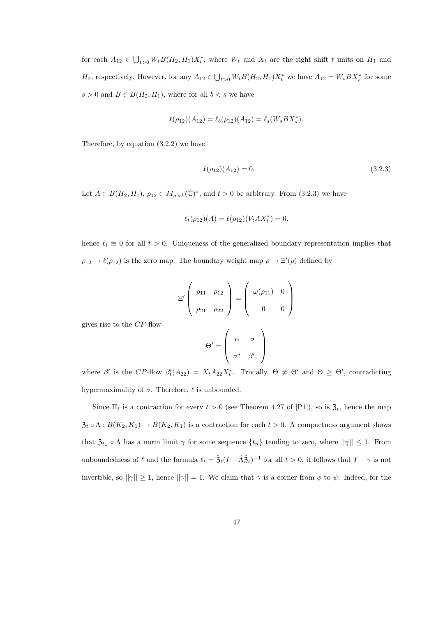for each  $A_{12} \in \bigcup_{t>0} W_t B(H_2, H_1) X_t^*$ , where  $W_t$  and  $X_t$  are the right shift t units on  $H_1$  and  $H_2$ , respectively. However, for any  $A_{12} \in \bigcup_{t>0} W_t B(H_2, H_1) X_t^*$  we have  $A_{12} = W_s B X_s^*$  for some  $s > 0$  and  $B \in B(H_2, H_1)$ , where for all  $b < s$  we have

$$
\ell(\rho_{12})(A_{12}) = \ell_b(\rho_{12})(A_{12}) = \ell_s(W_s BX_s^*).
$$

Therefore, by equation (3.2.2) we have

gives rise to the CP-flow

$$
\ell(\rho_{12})(A_{12}) = 0. \tag{3.2.3}
$$

Let  $A \in B(H_2, H_1)$ ,  $\rho_{12} \in M_{n \times k}(\mathbb{C})^*$ , and  $t > 0$  be arbitrary. From (3.2.3) we have

$$
\ell_t(\rho_{12})(A) = \ell(\rho_{12})(V_t A X_t^*) = 0,
$$

hence  $\ell_t \equiv 0$  for all  $t > 0$ . Uniqueness of the generalized boundary representation implies that  $\rho_{12} \to \ell(\rho_{12})$  is the zero map. The boundary weight map  $\rho \to \Xi'(\rho)$  defined by

$$
\Xi'\begin{pmatrix} \rho_{11} & \rho_{12} \\ \rho_{21} & \rho_{22} \end{pmatrix} = \begin{pmatrix} \omega(\rho_{11}) & 0 \\ 0 & 0 \end{pmatrix}
$$

$$
\Theta' = \begin{pmatrix} \alpha & \sigma \\ \sigma^* & \beta', \end{pmatrix}
$$

where  $\beta'$  is the CP-flow  $\beta'_t(A_{22}) = X_t A_{22} X_t^*$ . Trivially,  $\Theta \neq \Theta'$  and  $\Theta \geq \Theta'$ , contradicting hypermaximality of  $\sigma$ . Therefore,  $\ell$  is unbounded.

Since  $\Pi_t$  is a contraction for every  $t > 0$  (see Theorem 4.27 of [P1]), so is  $\mathfrak{Z}_t$ , hence the map  $\mathfrak{Z}_t \circ \Lambda : B(K_2, K_1) \to B(K_2, K_1)$  is a contraction for each  $t > 0$ . A compactness argument shows that  $\mathfrak{Z}_{t_n} \circ \Lambda$  has a norm limit  $\gamma$  for some sequence  $\{t_n\}$  tending to zero, where  $||\gamma|| \leq 1$ . From unboundedness of  $\ell$  and the formula  $\ell_t = \hat{\mathfrak{Z}}_t(I - \hat{\Lambda} \hat{\mathfrak{Z}}_t)^{-1}$  for all  $t > 0$ , it follows that  $I - \gamma$  is not invertible, so  $||\gamma|| \geq 1$ , hence  $||\gamma|| = 1$ . We claim that  $\gamma$  is a corner from  $\phi$  to  $\psi$ . Indeed, for the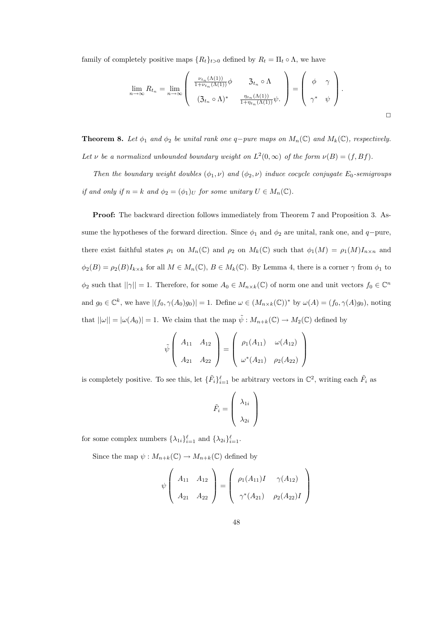family of completely positive maps  $\{R_t\}_{t>0}$  defined by  $R_t = \Pi_t \circ \Lambda$ , we have

$$
\lim_{n \to \infty} R_{t_n} = \lim_{n \to \infty} \left( \begin{array}{cc} \frac{\nu_{t_n}(\Lambda(1))}{1 + \nu_{t_n}(\Lambda(1))} \phi & \mathfrak{Z}_{t_n} \circ \Lambda \\ (\mathfrak{Z}_{t_n} \circ \Lambda)^* & \frac{\eta_{t_n}(\Lambda(1))}{1 + \eta_{t_n}(\Lambda(1))} \psi. \end{array} \right) = \left( \begin{array}{cc} \phi & \gamma \\ \gamma^* & \psi \end{array} \right).
$$

**Theorem 8.** Let  $\phi_1$  and  $\phi_2$  be unital rank one q-pure maps on  $M_n(\mathbb{C})$  and  $M_k(\mathbb{C})$ , respectively. Let v be a normalized unbounded boundary weight on  $L^2(0,\infty)$  of the form  $\nu(B) = (f,Bf)$ .

Then the boundary weight doubles  $(\phi_1, \nu)$  and  $(\phi_2, \nu)$  induce cocycle conjugate E<sub>0</sub>-semigroups if and only if  $n = k$  and  $\phi_2 = (\phi_1)_U$  for some unitary  $U \in M_n(\mathbb{C})$ .

Proof: The backward direction follows immediately from Theorem 7 and Proposition 3. Assume the hypotheses of the forward direction. Since  $\phi_1$  and  $\phi_2$  are unital, rank one, and q−pure, there exist faithful states  $\rho_1$  on  $M_n(\mathbb{C})$  and  $\rho_2$  on  $M_k(\mathbb{C})$  such that  $\phi_1(M) = \rho_1(M)I_{n \times n}$  and  $\phi_2(B) = \rho_2(B)I_{k\times k}$  for all  $M \in M_n(\mathbb{C})$ ,  $B \in M_k(\mathbb{C})$ . By Lemma 4, there is a corner  $\gamma$  from  $\phi_1$  to  $\phi_2$  such that  $||\gamma|| = 1$ . Therefore, for some  $A_0 \in M_{n \times k}(\mathbb{C})$  of norm one and unit vectors  $f_0 \in \mathbb{C}^n$ and  $g_0 \in \mathbb{C}^k$ , we have  $|(f_0, \gamma(A_0)g_0)| = 1$ . Define  $\omega \in (M_{n \times k}(\mathbb{C}))^*$  by  $\omega(A) = (f_0, \gamma(A)g_0)$ , noting that  $||\omega|| = |\omega(A_0)| = 1$ . We claim that the map  $\tilde{\psi}: M_{n+k}(\mathbb{C}) \to M_2(\mathbb{C})$  defined by

$$
\tilde{\psi}\left(\begin{array}{cc} A_{11} & A_{12} \\ A_{21} & A_{22} \end{array}\right) = \left(\begin{array}{cc} \rho_1(A_{11}) & \omega(A_{12}) \\ \omega^*(A_{21}) & \rho_2(A_{22}) \end{array}\right)
$$

is completely positive. To see this, let  $\{\tilde{F}_i\}_{i=1}^{\ell}$  be arbitrary vectors in  $\mathbb{C}^2$ , writing each  $\tilde{F}_i$  as

$$
\tilde{F}_i = \left(\begin{array}{c} \lambda_{1i} \\ \lambda_{2i} \end{array}\right)
$$

for some complex numbers  $\{\lambda_{1i}\}_{i=1}^{\ell}$  and  $\{\lambda_{2i}\}_{i=1}^{\ell}$ .

Since the map  $\psi: M_{n+k}(\mathbb{C}) \to M_{n+k}(\mathbb{C})$  defined by

$$
\psi \left( \begin{array}{cc} A_{11} & A_{12} \\ A_{21} & A_{22} \end{array} \right) = \left( \begin{array}{cc} \rho_1(A_{11})I & \gamma(A_{12}) \\ \gamma^*(A_{21}) & \rho_2(A_{22})I \end{array} \right)
$$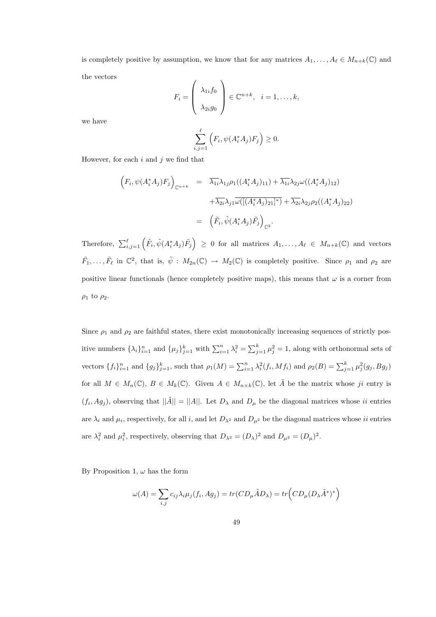is completely positive by assumption, we know that for any matrices  $A_1, \ldots, A_\ell \in M_{n+k}(\mathbb{C})$  and the vectors

$$
F_i = \left(\begin{array}{c} \lambda_{1i}f_0 \\ \lambda_{2i}g_0 \end{array}\right) \in \mathbb{C}^{n+k}, \quad i = 1, \dots, k,
$$

we have

$$
\sum_{i,j=1}^{\ell} \left( F_i, \psi(A_i^* A_j) F_j \right) \ge 0.
$$

However, for each  $i$  and  $j$  we find that

$$
\begin{aligned}\n\left(F_i, \psi(A_i^* A_j) F_j\right)_{\mathbb{C}^{n+k}} &= \overline{\lambda_{1i}} \lambda_{1j} \rho_1((A_i^* A_j)_{11}) + \overline{\lambda_{1i}} \lambda_{2j} \omega((A_i^* A_j)_{12}) \\
&\quad + \overline{\lambda_{2i}} \lambda_{j1} \overline{\omega}(\overline{[(A_i^* A_j)_{21}]^*)} + \overline{\lambda_{2i}} \lambda_{2j} \rho_2((A_i^* A_j)_{22}) \\
&= \left(\tilde{F}_i, \tilde{\psi}(A_i^* A_j) \tilde{F}_j\right)_{\mathbb{C}^2}.\n\end{aligned}
$$

Therefore,  $\sum_{i,j=1}^{\ell} (\tilde{F}_i, \tilde{\psi}(A_i^* A_j) \tilde{F}_j) \geq 0$  for all matrices  $A_1, \ldots, A_{\ell} \in M_{n+k}(\mathbb{C})$  and vectors  $\tilde{F}_1,\ldots,\tilde{F}_\ell$  in  $\mathbb{C}^2$ , that is,  $\tilde{\psi}: M_{2n}(\mathbb{C}) \to M_2(\mathbb{C})$  is completely positive. Since  $\rho_1$  and  $\rho_2$  are positive linear functionals (hence completely positive maps), this means that  $\omega$  is a corner from  $\rho_1$  to  $\rho_2$ .

Since  $\rho_1$  and  $\rho_2$  are faithful states, there exist monotonically increasing sequences of strictly positive numbers  $\{\lambda_i\}_{i=1}^n$  and  $\{\mu_j\}_{j=1}^k$  with  $\sum_{i=1}^n \lambda_i^2 = \sum_{j=1}^k \mu_j^2 = 1$ , along with orthonormal sets of vectors  $\{f_i\}_{i=1}^n$  and  $\{g_j\}_{j=1}^k$ , such that  $\rho_1(M) = \sum_{i=1}^n \lambda_i^2(f_i, Mf_i)$  and  $\rho_2(B) = \sum_{j=1}^k \mu_j^2(g_j, Bg_j)$ for all  $M \in M_n(\mathbb{C})$ ,  $B \in M_k(\mathbb{C})$ . Given  $A \in M_{n \times k}(\mathbb{C})$ , let  $\tilde{A}$  be the matrix whose ji entry is  $(f_i, Ag_j)$ , observing that  $\|\tilde{A}\| = \|A\|$ . Let  $D_{\lambda}$  and  $D_{\mu}$  be the diagonal matrices whose ii entries are  $\lambda_i$  and  $\mu_i$ , respectively, for all i, and let  $D_{\lambda^2}$  and  $D_{\mu^2}$  be the diagonal matrices whose ii entries are  $\lambda_i^2$  and  $\mu_i^2$ , respectively, observing that  $D_{\lambda^2} = (D_{\lambda})^2$  and  $D_{\mu^2} = (D_{\mu})^2$ .

By Proposition 1,  $\omega$  has the form

$$
\omega(A) = \sum_{i,j} c_{ij} \lambda_i \mu_j(f_i, Ag_j) = tr(CD_\mu \tilde{A} D_\lambda) = tr\Big(CD_\mu (D_\lambda \tilde{A}^*)^*\Big)
$$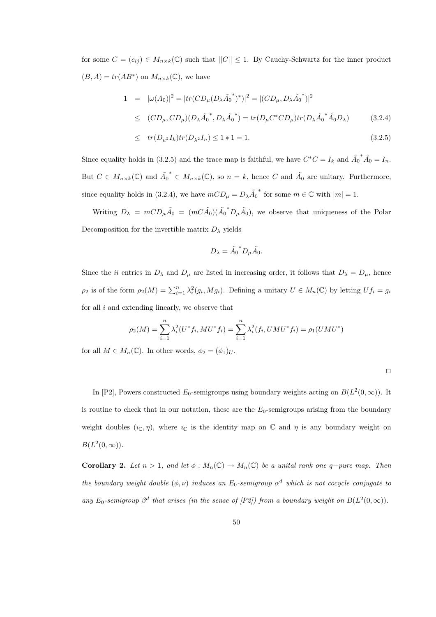for some  $C = (c_{ij}) \in M_{n \times k}(\mathbb{C})$  such that  $||C|| \leq 1$ . By Cauchy-Schwartz for the inner product  $(B, A) = tr(AB^*)$  on  $M_{n \times k}(\mathbb{C})$ , we have

$$
1 = |\omega(A_0)|^2 = |tr(CD_{\mu}(D_{\lambda}\tilde{A_0}^*)^*)|^2 = |(CD_{\mu}, D_{\lambda}\tilde{A_0}^*)|^2
$$
  
\n
$$
\leq (CD_{\mu}, CD_{\mu})(D_{\lambda}\tilde{A_0}^*, D_{\lambda}\tilde{A_0}^*) = tr(D_{\mu}C^*CD_{\mu})tr(D_{\lambda}\tilde{A_0}^*\tilde{A_0}D_{\lambda})
$$
(3.2.4)

$$
\leq \quad tr(D_{\mu^2}I_k)tr(D_{\lambda^2}I_n) \leq 1 \cdot 1 = 1. \tag{3.2.5}
$$

Since equality holds in (3.2.5) and the trace map is faithful, we have  $C^*C = I_k$  and  $\tilde{A_0}$ \* $\tilde{A}_0 = I_n$ . But  $C \in M_{n \times k}(\mathbb{C})$  and  $\tilde{A}_0$ \* ∈  $M_{n\times k}(\mathbb{C})$ , so  $n = k$ , hence C and  $\tilde{A}_0$  are unitary. Furthermore, since equality holds in (3.2.4), we have  $mCD_{\mu} = D_{\lambda} \tilde{A}_0$ \* for some  $m \in \mathbb{C}$  with  $|m| = 1$ .

Writing  $D_{\lambda} = mCD_{\mu}\tilde{A}_0 = (mC\tilde{A}_0)(\tilde{A}_0)$  ${}^*D_\mu \tilde{A}_0$ , we observe that uniqueness of the Polar Decomposition for the invertible matrix  $D_{\lambda}$  yields

$$
D_{\lambda} = \tilde{A_0}^* D_{\mu} \tilde{A_0}.
$$

Since the *ii* entries in  $D_{\lambda}$  and  $D_{\mu}$  are listed in increasing order, it follows that  $D_{\lambda} = D_{\mu}$ , hence  $\rho_2$  is of the form  $\rho_2(M) = \sum_{i=1}^n \lambda_i^2(g_i, Mg_i)$ . Defining a unitary  $U \in M_n(\mathbb{C})$  by letting  $Uf_i = g_i$ for all  $i$  and extending linearly, we observe that

$$
\rho_2(M) = \sum_{i=1}^n \lambda_i^2(U^*f_i, MU^*f_i) = \sum_{i=1}^n \lambda_i^2(f_i, UMU^*f_i) = \rho_1(UMU^*)
$$

for all  $M \in M_n(\mathbb{C})$ . In other words,  $\phi_2 = (\phi_1)_U$ .

In [P2], Powers constructed  $E_0$ -semigroups using boundary weights acting on  $B(L^2(0,\infty))$ . It is routine to check that in our notation, these are the  $E_0$ -semigroups arising from the boundary weight doubles  $(\iota_{\mathbb{C}}, \eta)$ , where  $\iota_{\mathbb{C}}$  is the identity map on  $\mathbb{C}$  and  $\eta$  is any boundary weight on  $B(L^2(0,\infty)).$ 

Corollary 2. Let  $n > 1$ , and let  $\phi : M_n(\mathbb{C}) \to M_n(\mathbb{C})$  be a unital rank one q-pure map. Then the boundary weight double  $(\phi, \nu)$  induces an  $E_0$ -semigroup  $\alpha^d$  which is not cocycle conjugate to any  $E_0$ -semigroup  $\beta^d$  that arises (in the sense of [P2]) from a boundary weight on  $B(L^2(0,\infty))$ .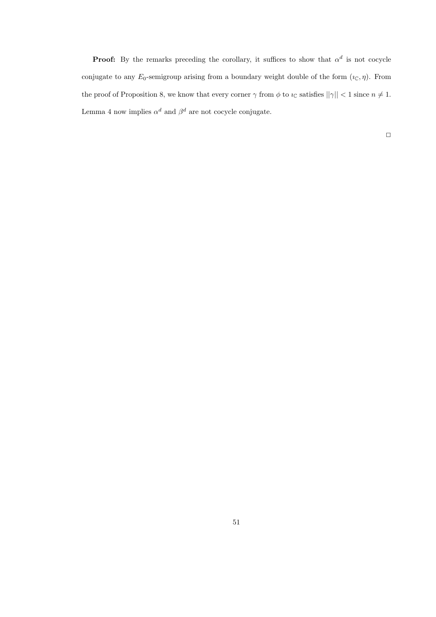**Proof:** By the remarks preceding the corollary, it suffices to show that  $\alpha^d$  is not cocycle conjugate to any  $E_0$ -semigroup arising from a boundary weight double of the form  $(\iota_{\mathbb{C}}, \eta)$ . From the proof of Proposition 8, we know that every corner  $\gamma$  from  $\phi$  to  $\iota_{\mathbb{C}}$  satisfies  $||\gamma|| < 1$  since  $n \neq 1$ . Lemma 4 now implies  $\alpha^d$  and  $\beta^d$  are not cocycle conjugate.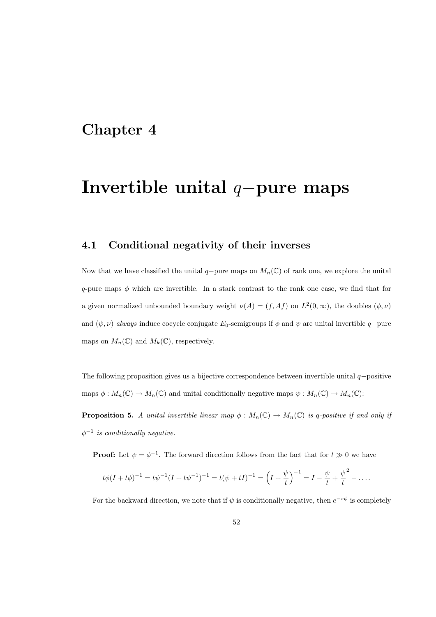### Chapter 4

### Invertible unital q−pure maps

### 4.1 Conditional negativity of their inverses

Now that we have classified the unital  $q$ -pure maps on  $M_n(\mathbb{C})$  of rank one, we explore the unital q-pure maps  $\phi$  which are invertible. In a stark contrast to the rank one case, we find that for a given normalized unbounded boundary weight  $\nu(A) = (f, Af)$  on  $L^2(0, \infty)$ , the doubles  $(\phi, \nu)$ and  $(\psi, \nu)$  always induce cocycle conjugate E<sub>0</sub>-semigroups if  $\phi$  and  $\psi$  are unital invertible q−pure maps on  $M_n(\mathbb{C})$  and  $M_k(\mathbb{C})$ , respectively.

The following proposition gives us a bijective correspondence between invertible unital  $q$ -positive maps  $\phi: M_n(\mathbb{C}) \to M_n(\mathbb{C})$  and unital conditionally negative maps  $\psi: M_n(\mathbb{C}) \to M_n(\mathbb{C})$ :

**Proposition 5.** A unital invertible linear map  $\phi : M_n(\mathbb{C}) \to M_n(\mathbb{C})$  is q-positive if and only if  $\phi^{-1}$  is conditionally negative.

**Proof:** Let  $\psi = \phi^{-1}$ . The forward direction follows from the fact that for  $t \gg 0$  we have

$$
t\phi(I+t\phi)^{-1} = t\psi^{-1}(I+t\psi^{-1})^{-1} = t(\psi+tI)^{-1} = \left(I+\frac{\psi}{t}\right)^{-1} = I - \frac{\psi}{t} + \frac{\psi}{t}^2 - \dots
$$

For the backward direction, we note that if  $\psi$  is conditionally negative, then  $e^{-s\psi}$  is completely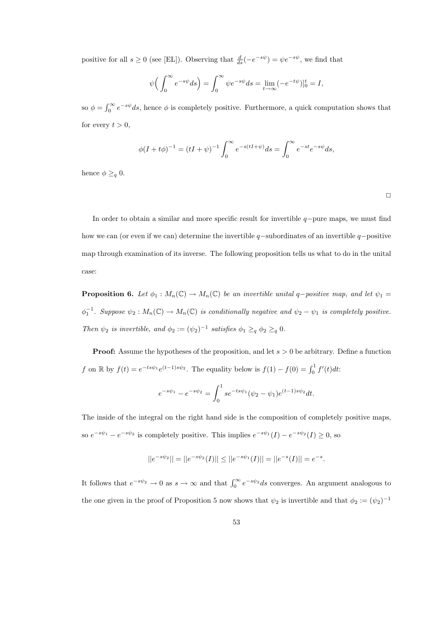positive for all  $s \ge 0$  (see [EL]). Observing that  $\frac{d}{ds}(-e^{-s\psi}) = \psi e^{-s\psi}$ , we find that

$$
\psi\Big(\int_0^\infty e^{-s\psi}ds\Big) = \int_0^\infty \psi e^{-s\psi}ds = \lim_{t \to \infty} (-e^{-t\psi})|_0^t = I,
$$

so  $\phi = \int_0^\infty e^{-s\psi} ds$ , hence  $\phi$  is completely positive. Furthermore, a quick computation shows that for every  $t > 0$ ,

$$
\phi(I + t\phi)^{-1} = (tI + \psi)^{-1} \int_0^\infty e^{-s(tI + \psi)} ds = \int_0^\infty e^{-st} e^{-s\psi} ds,
$$

hence  $\phi \geq_q 0$ .

 $\Box$ 

In order to obtain a similar and more specific result for invertible  $q$ -pure maps, we must find how we can (or even if we can) determine the invertible  $q$ -subordinates of an invertible  $q$ -positive map through examination of its inverse. The following proposition tells us what to do in the unital case:

**Proposition 6.** Let  $\phi_1 : M_n(\mathbb{C}) \to M_n(\mathbb{C})$  be an invertible unital q-positive map, and let  $\psi_1 =$  $\phi_1^{-1}$ . Suppose  $\psi_2: M_n(\mathbb{C}) \to M_n(\mathbb{C})$  is conditionally negative and  $\psi_2 - \psi_1$  is completely positive. Then  $\psi_2$  is invertible, and  $\phi_2 := (\psi_2)^{-1}$  satisfies  $\phi_1 \geq_q \phi_2 \geq_q 0$ .

**Proof:** Assume the hypotheses of the proposition, and let  $s > 0$  be arbitrary. Define a function f on R by  $f(t) = e^{-ts\psi_1}e^{(t-1)s\psi_2}$ . The equality below is  $f(1) - f(0) = \int_0^1 f'(t)dt$ :

$$
e^{-s\psi_1} - e^{-s\psi_2} = \int_0^1 s e^{-ts\psi_1} (\psi_2 - \psi_1) e^{(t-1)s\psi_2} dt.
$$

The inside of the integral on the right hand side is the composition of completely positive maps, so  $e^{-s\psi_1} - e^{-s\psi_2}$  is completely positive. This implies  $e^{-s\psi_1}(I) - e^{-s\psi_2}(I) \ge 0$ , so

$$
||e^{-s\psi_2}|| = ||e^{-s\psi_2}(I)|| \le ||e^{-s\psi_1}(I)|| = ||e^{-s}(I)|| = e^{-s}.
$$

It follows that  $e^{-s\psi_2} \to 0$  as  $s \to \infty$  and that  $\int_0^\infty e^{-s\psi_2} ds$  converges. An argument analogous to the one given in the proof of Proposition 5 now shows that  $\psi_2$  is invertible and that  $\phi_2 := (\psi_2)^{-1}$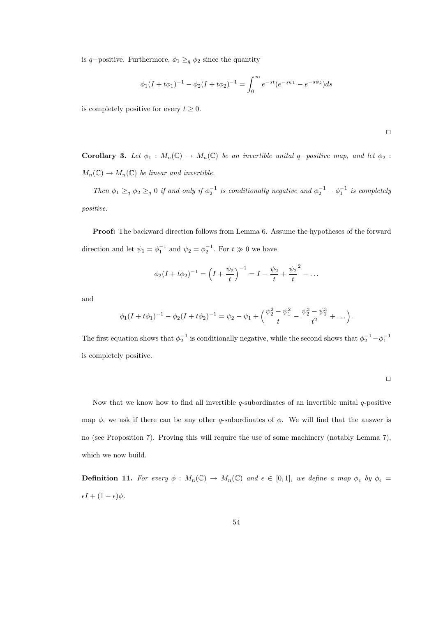is q-positive. Furthermore,  $\phi_1 \geq_q \phi_2$  since the quantity

$$
\phi_1(I + t\phi_1)^{-1} - \phi_2(I + t\phi_2)^{-1} = \int_0^\infty e^{-st} (e^{-s\psi_1} - e^{-s\psi_2}) ds
$$

is completely positive for every  $t \geq 0$ .

Corollary 3. Let  $\phi_1 : M_n(\mathbb{C}) \to M_n(\mathbb{C})$  be an invertible unital q-positive map, and let  $\phi_2$ :  $M_n(\mathbb{C}) \to M_n(\mathbb{C})$  be linear and invertible.

Then  $\phi_1 \geq_q \phi_2 \geq_q 0$  if and only if  $\phi_2^{-1}$  is conditionally negative and  $\phi_2^{-1} - \phi_1^{-1}$  is completely positive.

Proof: The backward direction follows from Lemma 6. Assume the hypotheses of the forward direction and let  $\psi_1 = \phi_1^{-1}$  and  $\psi_2 = \phi_2^{-1}$ . For  $t \gg 0$  we have

$$
\phi_2(I + t\phi_2)^{-1} = \left(I + \frac{\psi_2}{t}\right)^{-1} = I - \frac{\psi_2}{t} + \frac{\psi_2}{t}^2 - \dots
$$

and

$$
\phi_1(I+t\phi_1)^{-1} - \phi_2(I+t\phi_2)^{-1} = \psi_2 - \psi_1 + \left(\frac{\psi_2^2 - \psi_1^2}{t} - \frac{\psi_2^3 - \psi_1^3}{t^2} + \dots\right).
$$

The first equation shows that  $\phi_2^{-1}$  is conditionally negative, while the second shows that  $\phi_2^{-1} - \phi_1^{-1}$ is completely positive.

$$
\Box
$$

 $\Box$ 

Now that we know how to find all invertible q-subordinates of an invertible unital  $q$ -positive map  $\phi$ , we ask if there can be any other q-subordinates of  $\phi$ . We will find that the answer is no (see Proposition 7). Proving this will require the use of some machinery (notably Lemma 7), which we now build.

**Definition 11.** For every  $\phi : M_n(\mathbb{C}) \to M_n(\mathbb{C})$  and  $\epsilon \in [0,1]$ , we define a map  $\phi_{\epsilon}$  by  $\phi_{\epsilon} =$  $\epsilon I + (1 - \epsilon)\phi.$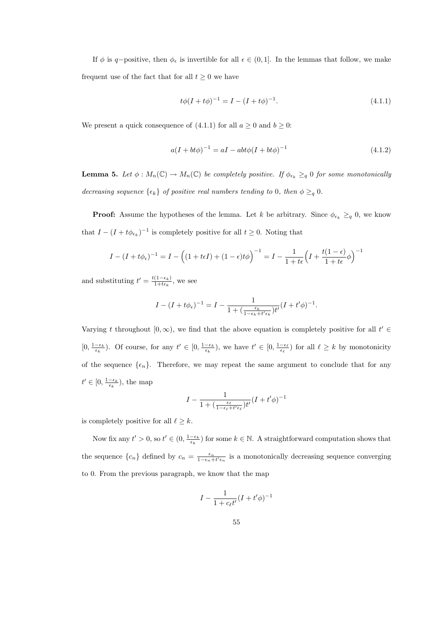If  $\phi$  is q-positive, then  $\phi_{\epsilon}$  is invertible for all  $\epsilon \in (0,1]$ . In the lemmas that follow, we make frequent use of the fact that for all  $t \geq 0$  we have

$$
t\phi(I + t\phi)^{-1} = I - (I + t\phi)^{-1}.
$$
\n(4.1.1)

We present a quick consequence of (4.1.1) for all  $a \ge 0$  and  $b \ge 0$ :

$$
a(I + bt\phi)^{-1} = aI - abt\phi(I + bt\phi)^{-1}
$$
\n(4.1.2)

**Lemma 5.** Let  $\phi: M_n(\mathbb{C}) \to M_n(\mathbb{C})$  be completely positive. If  $\phi_{\epsilon_k} \geq_q 0$  for some monotonically decreasing sequence  $\{\epsilon_k\}$  of positive real numbers tending to 0, then  $\phi \geq_q 0$ .

**Proof:** Assume the hypotheses of the lemma. Let k be arbitrary. Since  $\phi_{\epsilon_k} \geq_q 0$ , we know that  $I - (I + t\phi_{\epsilon_k})^{-1}$  is completely positive for all  $t \geq 0$ . Noting that

$$
I - (I + t\phi_{\epsilon})^{-1} = I - \left( (1 + t\epsilon I) + (1 - \epsilon)t\phi \right)^{-1} = I - \frac{1}{1 + t\epsilon} \left( I + \frac{t(1 - \epsilon)}{1 + t\epsilon} \phi \right)^{-1}
$$

and substituting  $t' = \frac{t(1-\epsilon_k)}{1+t\epsilon_k}$  $\frac{(1-\epsilon_k)}{1+t\epsilon_k}$ , we see

$$
I - (I + t\phi_{\epsilon})^{-1} = I - \frac{1}{1 + (\frac{\epsilon_k}{1 - \epsilon_k + t'\epsilon_k})t'}(I + t'\phi)^{-1}.
$$

Varying t throughout [0, ∞), we find that the above equation is completely positive for all  $t' \in$  $[0, \frac{1-\epsilon_k}{\epsilon_k})$ . Of course, for any  $t' \in [0, \frac{1-\epsilon_k}{\epsilon_k})$ , we have  $t' \in [0, \frac{1-\epsilon_\ell}{\epsilon_\ell})$  for all  $\ell \geq k$  by monotonicity of the sequence  $\{\epsilon_n\}$ . Therefore, we may repeat the same argument to conclude that for any  $t' \in [0, \frac{1-\epsilon_k}{\epsilon_k})$ , the map

$$
I - \frac{1}{1 + (\frac{\epsilon_{\ell}}{1 - \epsilon_{\ell} + t' \epsilon_{\ell}})t'} (I + t'\phi)^{-1}
$$

is completely positive for all  $\ell \geq k$ .

Now fix any  $t' > 0$ , so  $t' \in (0, \frac{1-\epsilon_k}{\epsilon_k})$  for some  $k \in \mathbb{N}$ . A straightforward computation shows that the sequence  $\{c_n\}$  defined by  $c_n = \frac{\epsilon_n}{1-\epsilon_n+t'\epsilon_n}$  is a monotonically decreasing sequence converging to 0. From the previous paragraph, we know that the map

$$
I - \frac{1}{1+c_{\ell}t'}(I + t'\phi)^{-1}
$$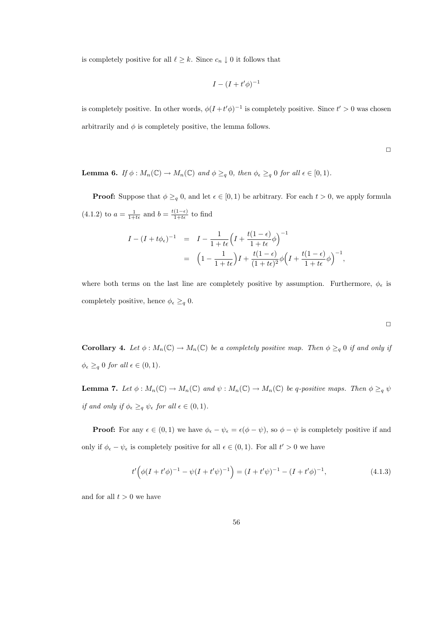is completely positive for all  $\ell \geq k$ . Since  $c_n \downarrow 0$  it follows that

$$
I - (I + t'\phi)^{-1}
$$

is completely positive. In other words,  $\phi(I+t'\phi)^{-1}$  is completely positive. Since  $t' > 0$  was chosen arbitrarily and  $\phi$  is completely positive, the lemma follows.

 $\Box$ 

**Lemma 6.** If  $\phi: M_n(\mathbb{C}) \to M_n(\mathbb{C})$  and  $\phi \geq_q 0$ , then  $\phi_{\epsilon} \geq_q 0$  for all  $\epsilon \in [0,1)$ .

**Proof:** Suppose that  $\phi \geq_q 0$ , and let  $\epsilon \in [0,1)$  be arbitrary. For each  $t > 0$ , we apply formula  $(4.1.2)$  to  $a = \frac{1}{1+t\epsilon}$  and  $b = \frac{t(1-\epsilon)}{1+t\epsilon}$  to find

$$
I - (I + t\phi_{\epsilon})^{-1} = I - \frac{1}{1 + t\epsilon} \left( I + \frac{t(1 - \epsilon)}{1 + t\epsilon} \phi \right)^{-1}
$$
  
= 
$$
\left( 1 - \frac{1}{1 + t\epsilon} \right) I + \frac{t(1 - \epsilon)}{(1 + t\epsilon)^2} \phi \left( I + \frac{t(1 - \epsilon)}{1 + t\epsilon} \phi \right)^{-1},
$$

where both terms on the last line are completely positive by assumption. Furthermore,  $\phi_{\epsilon}$  is completely positive, hence  $\phi_{\epsilon} \geq_{q} 0$ .

**Corollary 4.** Let  $\phi : M_n(\mathbb{C}) \to M_n(\mathbb{C})$  be a completely positive map. Then  $\phi \geq_q 0$  if and only if  $\phi_{\epsilon} \geq_q 0$  for all  $\epsilon \in (0,1)$ .

**Lemma 7.** Let  $\phi: M_n(\mathbb{C}) \to M_n(\mathbb{C})$  and  $\psi: M_n(\mathbb{C}) \to M_n(\mathbb{C})$  be q-positive maps. Then  $\phi \geq_q \psi$ if and only if  $\phi_{\epsilon} \geq_q \psi_{\epsilon}$  for all  $\epsilon \in (0,1)$ .

**Proof:** For any  $\epsilon \in (0,1)$  we have  $\phi_{\epsilon} - \psi_{\epsilon} = \epsilon(\phi - \psi)$ , so  $\phi - \psi$  is completely positive if and only if  $\phi_{\epsilon} - \psi_{\epsilon}$  is completely positive for all  $\epsilon \in (0, 1)$ . For all  $t' > 0$  we have

$$
t'\left(\phi(I+t'\phi)^{-1} - \psi(I+t'\psi)^{-1}\right) = (I+t'\psi)^{-1} - (I+t'\phi)^{-1},\tag{4.1.3}
$$

and for all  $t > 0$  we have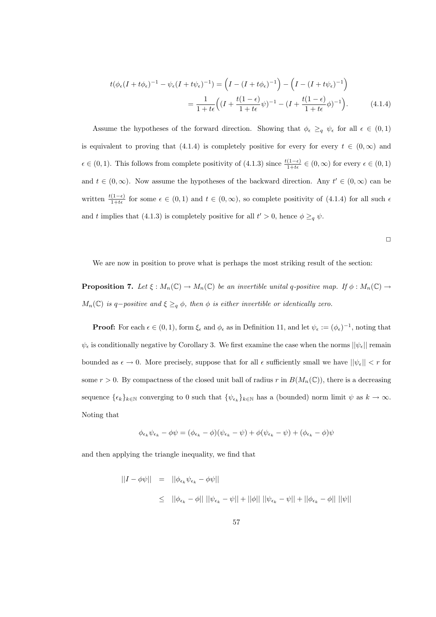$$
t(\phi_{\epsilon}(I+t\phi_{\epsilon})^{-1} - \psi_{\epsilon}(I+t\psi_{\epsilon})^{-1}) = \left(I - (I+t\phi_{\epsilon})^{-1}\right) - \left(I - (I+t\psi_{\epsilon})^{-1}\right)
$$

$$
= \frac{1}{1+t\epsilon} \left((I + \frac{t(1-\epsilon)}{1+t\epsilon}\psi)^{-1} - (I + \frac{t(1-\epsilon)}{1+t\epsilon}\phi)^{-1}\right). \tag{4.1.4}
$$

Assume the hypotheses of the forward direction. Showing that  $\phi_{\epsilon} \geq_q \psi_{\epsilon}$  for all  $\epsilon \in (0,1)$ is equivalent to proving that (4.1.4) is completely positive for every for every  $t \in (0,\infty)$  and  $\epsilon \in (0, 1)$ . This follows from complete positivity of  $(4.1.3)$  since  $\frac{t(1-\epsilon)}{1+t\epsilon} \in (0, \infty)$  for every  $\epsilon \in (0, 1)$ and  $t \in (0, \infty)$ . Now assume the hypotheses of the backward direction. Any  $t' \in (0, \infty)$  can be written  $\frac{t(1-\epsilon)}{1+t\epsilon}$  for some  $\epsilon \in (0,1)$  and  $t \in (0,\infty)$ , so complete positivity of  $(4.1.4)$  for all such  $\epsilon$ and t implies that (4.1.3) is completely positive for all  $t' > 0$ , hence  $\phi \geq_q \psi$ .

 $\Box$ 

We are now in position to prove what is perhaps the most striking result of the section:

**Proposition 7.** Let  $\xi : M_n(\mathbb{C}) \to M_n(\mathbb{C})$  be an invertible unital q-positive map. If  $\phi : M_n(\mathbb{C}) \to M_n(\mathbb{C})$  $M_n(\mathbb{C})$  is q-positive and  $\xi \geq_q \phi$ , then  $\phi$  is either invertible or identically zero.

**Proof:** For each  $\epsilon \in (0,1)$ , form  $\xi_{\epsilon}$  and  $\phi_{\epsilon}$  as in Definition 11, and let  $\psi_{\epsilon} := (\phi_{\epsilon})^{-1}$ , noting that  $\psi_{\epsilon}$  is conditionally negative by Corollary 3. We first examine the case when the norms  $||\psi_{\epsilon}||$  remain bounded as  $\epsilon \to 0$ . More precisely, suppose that for all  $\epsilon$  sufficiently small we have  $||\psi_{\epsilon}|| < r$  for some  $r > 0$ . By compactness of the closed unit ball of radius r in  $B(M_n(\mathbb{C}))$ , there is a decreasing sequence  $\{\epsilon_k\}_{k\in\mathbb{N}}$  converging to 0 such that  $\{\psi_{\epsilon_k}\}_{k\in\mathbb{N}}$  has a (bounded) norm limit  $\psi$  as  $k\to\infty$ . Noting that

$$
\phi_{\epsilon_k}\psi_{\epsilon_k} - \phi\psi = (\phi_{\epsilon_k} - \phi)(\psi_{\epsilon_k} - \psi) + \phi(\psi_{\epsilon_k} - \psi) + (\phi_{\epsilon_k} - \phi)\psi
$$

and then applying the triangle inequality, we find that

$$
\begin{array}{rcl} ||I - \phi \psi|| & = & ||\phi_{\epsilon_k} \psi_{\epsilon_k} - \phi \psi|| \\ \\ & \leq & ||\phi_{\epsilon_k} - \phi|| \, ||\psi_{\epsilon_k} - \psi|| + ||\phi|| \, ||\psi_{\epsilon_k} - \psi|| + ||\phi_{\epsilon_k} - \phi|| \, ||\psi|| \end{array}
$$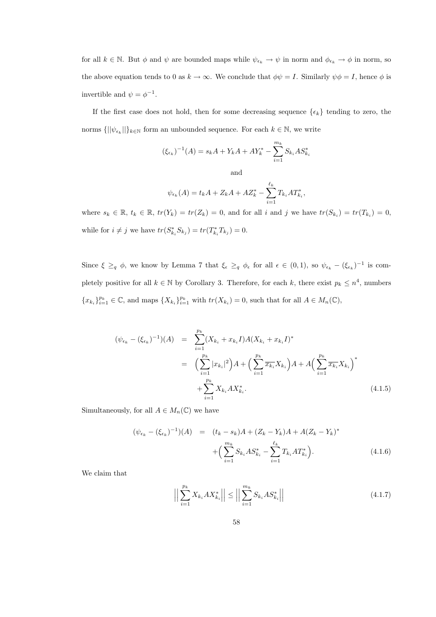for all  $k \in \mathbb{N}$ . But  $\phi$  and  $\psi$  are bounded maps while  $\psi_{\epsilon_k} \to \psi$  in norm and  $\phi_{\epsilon_k} \to \phi$  in norm, so the above equation tends to 0 as  $k \to \infty$ . We conclude that  $\phi \psi = I$ . Similarly  $\psi \phi = I$ , hence  $\phi$  is invertible and  $\psi = \phi^{-1}$ .

If the first case does not hold, then for some decreasing sequence  $\{\epsilon_k\}$  tending to zero, the norms  $\{||\psi_{\epsilon_k}||\}_{k\in\mathbb{N}}$  form an unbounded sequence. For each  $k\in\mathbb{N}$ , we write

$$
(\xi_{\epsilon_k})^{-1}(A) = s_k A + Y_k A + A Y_k^* - \sum_{i=1}^{m_k} S_{k_i} A S_{k_i}^*
$$

and

$$
\psi_{\epsilon_k}(A) = t_k A + Z_k A + A Z_k^* - \sum_{i=1}^{\ell_k} T_{k_i} A T_{k_i}^*,
$$

where  $s_k \in \mathbb{R}, t_k \in \mathbb{R}, t_r(Y_k) = tr(Z_k) = 0$ , and for all i and j we have  $tr(S_{k_i}) = tr(T_{k_i}) = 0$ , while for  $i \neq j$  we have  $tr(S_{k_i}^* S_{k_j}) = tr(T_{k_i}^* T_{k_j}) = 0$ .

Since  $\xi \geq_q \phi$ , we know by Lemma 7 that  $\xi_{\epsilon} \geq_q \phi_{\epsilon}$  for all  $\epsilon \in (0,1)$ , so  $\psi_{\epsilon_k} - (\xi_{\epsilon_k})^{-1}$  is completely positive for all  $k \in \mathbb{N}$  by Corollary 3. Therefore, for each k, there exist  $p_k \leq n^4$ , numbers  ${x_{k_i}}}_{i=1}^{p_k} \in \mathbb{C}$ , and maps  ${X_{k_i}}}_{i=1}^{p_k}$  with  $tr(X_{k_i}) = 0$ , such that for all  $A \in M_n(\mathbb{C})$ ,

$$
(\psi_{\epsilon_k} - (\xi_{\epsilon_k})^{-1})(A) = \sum_{i=1}^{p_k} (X_{k_i} + x_{k_i}I)A(X_{k_i} + x_{k_i}I)^*
$$
  

$$
= \left(\sum_{i=1}^{p_k} |x_{k_i}|^2\right)A + \left(\sum_{i=1}^{p_k} \overline{x_{k_i}}X_{k_i}\right)A + A\left(\sum_{i=1}^{p_k} \overline{x_{k_i}}X_{k_i}\right)^*
$$
  

$$
+ \sum_{i=1}^{p_k} X_{k_i}AX_{k_i}^*.
$$
 (4.1.5)

Simultaneously, for all  $A \in M_n(\mathbb{C})$  we have

$$
(\psi_{\epsilon_k} - (\xi_{\epsilon_k})^{-1})(A) = (t_k - s_k)A + (Z_k - Y_k)A + A(Z_k - Y_k)^* + \left(\sum_{i=1}^{m_k} S_{k_i} A S_{k_i}^* - \sum_{i=1}^{\ell_k} T_{k_i} A T_{k_i}^*\right).
$$
\n(4.1.6)

We claim that

$$
\left| \left| \sum_{i=1}^{p_k} X_{k_i} A X_{k_i}^* \right| \right| \le \left| \left| \sum_{i=1}^{m_k} S_{k_i} A S_{k_i}^* \right| \right| \tag{4.1.7}
$$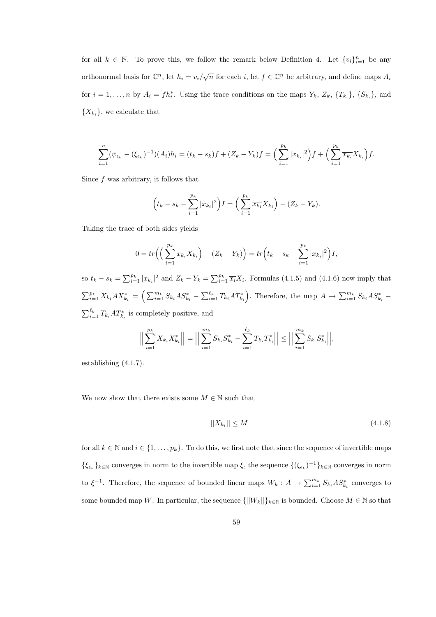for all  $k \in \mathbb{N}$ . To prove this, we follow the remark below Definition 4. Let  $\{v_i\}_{i=1}^n$  be any orthonormal basis for  $\mathbb{C}^n$ , let  $h_i = v_i/\sqrt{n}$  for each i, let  $f \in \mathbb{C}^n$  be arbitrary, and define maps  $A_i$ for  $i = 1, \ldots, n$  by  $A_i = fh_i^*$ . Using the trace conditions on the maps  $Y_k$ ,  $Z_k$ ,  $\{T_{k_i}\}\$ ,  $\{S_{k_i}\}\$ , and  ${X_{k_i}}$ , we calculate that

$$
\sum_{i=1}^n (\psi_{\epsilon_k} - (\xi_{\epsilon_k})^{-1})(A_i)h_i = (t_k - s_k)f + (Z_k - Y_k)f = \left(\sum_{i=1}^{p_k} |x_{k_i}|^2\right)f + \left(\sum_{i=1}^{p_k} \overline{x_{k_i}} X_{k_i}\right)f.
$$

Since f was arbitrary, it follows that

$$
\left(t_k - s_k - \sum_{i=1}^{p_k} |x_{k_i}|^2\right)I = \left(\sum_{i=1}^{p_k} \overline{x_{k_i}} X_{k_i}\right) - (Z_k - Y_k).
$$

Taking the trace of both sides yields

$$
0 = tr\left(\left(\sum_{i=1}^{p_k} \overline{x_{k_i}} X_{k_i}\right) - (Z_k - Y_k)\right) = tr\left(t_k - s_k - \sum_{i=1}^{p_k} |x_{k_i}|^2\right) I,
$$

so  $t_k - s_k = \sum_{i=1}^{p_k} |x_{k_i}|^2$  and  $Z_k - Y_k = \sum_{i=1}^{p_k} \overline{x_i} X_i$ . Formulas (4.1.5) and (4.1.6) now imply that  $\sum_{i=1}^{p_k} X_{k_i} A X_{k_i}^* = \left( \sum_{i=1}^{m_k} S_{k_i} A S_{k_i}^* - \sum_{i=1}^{\ell_k} T_{k_i} A T_{k_i}^* \right)$ . Therefore, the map  $A \to \sum_{i=1}^{m_k} S_{k_i} A S_{k_i}^*$  - $\sum_{i=1}^{\ell_k} T_{k_i} A T_{k_i}^*$  is completely positive, and

$$
\Big|\Big|\sum_{i=1}^{p_k} X_{k_i} X_{k_i}^*\Big|\Big| = \Big|\Big|\sum_{i=1}^{m_k} S_{k_i} S_{k_i}^* - \sum_{i=1}^{\ell_k} T_{k_i} T_{k_i}^*\Big|\Big| \le \Big|\Big|\sum_{i=1}^{m_k} S_{k_i} S_{k_i}^*\Big|\Big|,
$$

establishing (4.1.7).

We now show that there exists some  $M \in \mathbb{N}$  such that

$$
||X_{k_i}|| \le M \tag{4.1.8}
$$

for all  $k \in \mathbb{N}$  and  $i \in \{1, \ldots, p_k\}$ . To do this, we first note that since the sequence of invertible maps  $\{\xi_{\epsilon_k}\}_{k\in\mathbb{N}}$  converges in norm to the invertible map  $\xi$ , the sequence  $\{(\xi_{\epsilon_k})^{-1}\}_{k\in\mathbb{N}}$  converges in norm to  $\xi^{-1}$ . Therefore, the sequence of bounded linear maps  $W_k: A \to \sum_{i=1}^{m_k} S_{k_i} A S_{k_i}^*$  converges to some bounded map W. In particular, the sequence  $\{||W_k||\}_{k\in\mathbb{N}}$  is bounded. Choose  $M \in \mathbb{N}$  so that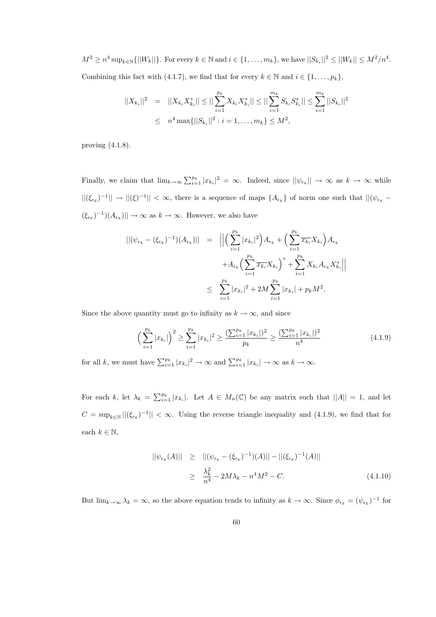$M^2 \ge n^4 \sup_{k \in \mathbb{N}} \{ ||W_k|| \}$ . For every  $k \in \mathbb{N}$  and  $i \in \{1, ..., m_k\}$ , we have  $||S_{k_i}||^2 \le ||W_k|| \le M^2/n^4$ . Combining this fact with (4.1.7), we find that for every  $k \in \mathbb{N}$  and  $i \in \{1, ..., p_k\}$ ,

$$
||X_{k_i}||^2 = ||X_{k_i}X_{k_i}^*|| \le ||\sum_{i=1}^{p_k} X_{k_i}X_{k_i}^*|| \le ||\sum_{i=1}^{m_k} S_{k_i}S_{k_i}^*|| \le \sum_{i=1}^{m_k} ||S_{k_i}||^2
$$
  

$$
\le n^4 \max{||S_{k_i}||^2 : i = 1, ..., m_k} \le M^2,
$$

proving (4.1.8).

Finally, we claim that  $\lim_{k\to\infty}\sum_{i=1}^{p_k}|x_{k_i}|^2=\infty$ . Indeed, since  $||\psi_{\epsilon_k}||\to\infty$  as  $k\to\infty$  while  $||( \xi_{\epsilon_k})^{-1} || \to ||(\xi)^{-1} || < \infty$ , there is a sequence of maps  $\{A_{\epsilon_k}\}\$  of norm one such that  $||( \psi_{\epsilon_k} (\xi_{\epsilon_k})^{-1}(A_{\epsilon_k})|| \to \infty$  as  $k \to \infty$ . However, we also have

$$
\begin{split} ||(\psi_{\epsilon_k} - (\xi_{\epsilon_k})^{-1})(A_{\epsilon_k})|| &= \left\| \left( \sum_{i=1}^{p_k} |x_{k_i}|^2 \right) A_{\epsilon_k} + \left( \sum_{i=1}^{p_k} \overline{x_{k_i}} X_{k_i} \right) A_{\epsilon_k} \right. \\ &\left. + A_{\epsilon_k} \left( \sum_{i=1}^{p_k} \overline{x_{k_i}} X_{k_i} \right)^* + \sum_{i=1}^{p_k} X_{k_i} A_{\epsilon_k} X_{k_i}^* \right\| \\ &\leq \sum_{i=1}^{p_k} |x_{k_i}|^2 + 2M \sum_{i=1}^{p_k} |x_{k_i}| + p_k M^2. \end{split}
$$

Since the above quantity must go to infinity as  $k \to \infty$ , and since

$$
\left(\sum_{i=1}^{p_k} |x_{k_i}|\right)^2 \ge \sum_{i=1}^{p_k} |x_{k_i}|^2 \ge \frac{\left(\sum_{i=1}^{p_k} |x_{k_i}|\right)^2}{p_k} \ge \frac{\left(\sum_{i=1}^{p_k} |x_{k_i}|\right)^2}{n^4} \tag{4.1.9}
$$

for all k, we must have  $\sum_{i=1}^{p_k} |x_{k_i}|^2 \to \infty$  and  $\sum_{i=1}^{p_k} |x_{k_i}| \to \infty$  as  $k \to \infty$ .

For each k, let  $\lambda_k = \sum_{i=1}^{p_k} |x_{k_i}|$ . Let  $A \in M_n(\mathbb{C})$  be any matrix such that  $||A|| = 1$ , and let  $C = \sup_{k \in \mathbb{N}} ||(\xi_{\epsilon_k})^{-1}|| < \infty$ . Using the reverse triangle inequality and (4.1.9), we find that for each  $k \in \mathbb{N}$ ,

$$
||\psi_{\epsilon_k}(A)|| \ge ||(\psi_{\epsilon_k} - (\xi_{\epsilon_k})^{-1})(A)|| - ||(\xi_{\epsilon_k})^{-1}(A)||
$$
  
\n
$$
\ge \frac{\lambda_k^2}{n^4} - 2M\lambda_k - n^4M^2 - C.
$$
 (4.1.10)

But  $\lim_{k\to\infty}\lambda_k=\infty$ , so the above equation tends to infinity as  $k\to\infty$ . Since  $\phi_{\epsilon_k}=(\psi_{\epsilon_k})^{-1}$  for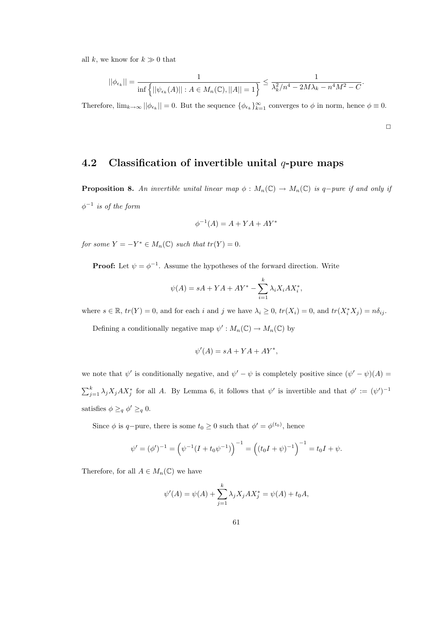all k, we know for  $k \gg 0$  that

$$
||\phi_{\epsilon_k}|| = \frac{1}{\inf \{||\psi_{\epsilon_k}(A)|| : A \in M_n(\mathbb{C}), ||A|| = 1\}} \le \frac{1}{\lambda_k^2/n^4 - 2M\lambda_k - n^4M^2 - C}.
$$

Therefore,  $\lim_{k\to\infty} ||\phi_{\epsilon_k}|| = 0$ . But the sequence  $\{\phi_{\epsilon_k}\}_{k=1}^{\infty}$  converges to  $\phi$  in norm, hence  $\phi \equiv 0$ .

 $\Box$ 

#### 4.2 Classification of invertible unital  $q$ -pure maps

**Proposition 8.** An invertible unital linear map  $\phi : M_n(\mathbb{C}) \to M_n(\mathbb{C})$  is q-pure if and only if  $\phi^{-1}$  is of the form

$$
\phi^{-1}(A) = A + YA + AY^*
$$

for some  $Y = -Y^* \in M_n(\mathbb{C})$  such that  $tr(Y) = 0$ .

**Proof:** Let  $\psi = \phi^{-1}$ . Assume the hypotheses of the forward direction. Write

$$
\psi(A) = sA + YA + AY^* - \sum_{i=1}^k \lambda_i X_i A X_i^*,
$$

where  $s \in \mathbb{R}$ ,  $tr(Y) = 0$ , and for each i and j we have  $\lambda_i \geq 0$ ,  $tr(X_i) = 0$ , and  $tr(X_i^* X_j) = n\delta_{ij}$ .

Defining a conditionally negative map  $\psi': M_n(\mathbb{C}) \to M_n(\mathbb{C})$  by

$$
\psi'(A) = sA + YA + AY^*,
$$

we note that  $\psi'$  is conditionally negative, and  $\psi' - \psi$  is completely positive since  $(\psi' - \psi)(A) =$  $\sum_{j=1}^k \lambda_j X_j A X_j^*$  for all A. By Lemma 6, it follows that  $\psi'$  is invertible and that  $\phi' := (\psi')^{-1}$ satisfies  $\phi \geq_q \phi' \geq_q 0$ .

Since  $\phi$  is q-pure, there is some  $t_0 \geq 0$  such that  $\phi' = \phi^{(t_0)}$ , hence

$$
\psi' = (\phi')^{-1} = \left(\psi^{-1}(I + t_0\psi^{-1})\right)^{-1} = \left((t_0I + \psi)^{-1}\right)^{-1} = t_0I + \psi.
$$

Therefore, for all  $A \in M_n(\mathbb{C})$  we have

$$
\psi'(A) = \psi(A) + \sum_{j=1}^{k} \lambda_j X_j A X_j^* = \psi(A) + t_0 A,
$$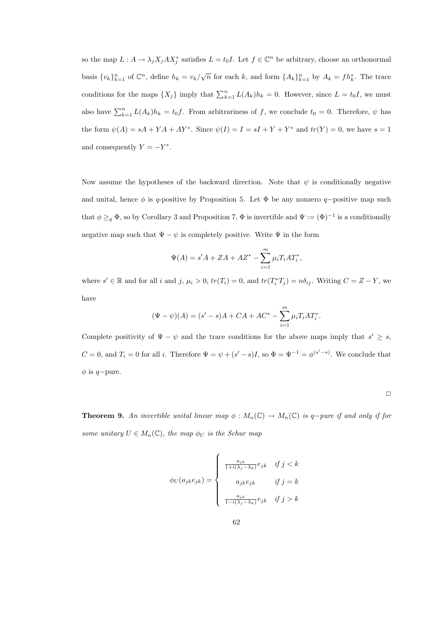so the map  $L: A \to \lambda_j X_j A X_j^*$  satisfies  $L = t_0 I$ . Let  $f \in \mathbb{C}^n$  be arbitrary, choose an orthonormal basis  $\{v_k\}_{k=1}^n$  of  $\mathbb{C}^n$ , define  $h_k = v_k/\sqrt{n}$  for each k, and form  $\{A_k\}_{k=1}^n$  by  $A_k = fh_k^*$ . The trace conditions for the maps  $\{X_j\}$  imply that  $\sum_{k=1}^n L(A_k)h_k = 0$ . However, since  $L = t_0I$ , we must also have  $\sum_{k=1}^{n} L(A_k)h_k = t_0f$ . From arbitrariness of f, we conclude  $t_0 = 0$ . Therefore,  $\psi$  has the form  $\psi(A) = sA + YA + AY^*$ . Since  $\psi(I) = I = sI + Y + Y^*$  and  $tr(Y) = 0$ , we have  $s = 1$ and consequently  $Y = -Y^*$ .

Now assume the hypotheses of the backward direction. Note that  $\psi$  is conditionally negative and unital, hence  $\phi$  is q-positive by Proposition 5. Let  $\Phi$  be any nonzero q-positive map such that  $\phi \geq_q \Phi$ , so by Corollary 3 and Proposition 7,  $\Phi$  is invertible and  $\Psi := (\Phi)^{-1}$  is a conditionally negative map such that  $\Psi - \psi$  is completely positive. Write  $\Psi$  in the form

$$
\Psi(A) = s'A + ZA + AZ^* - \sum_{i=1}^{m} \mu_i T_i AT_i^*,
$$

where  $s' \in \mathbb{R}$  and for all i and j,  $\mu_i > 0$ ,  $tr(T_i) = 0$ , and  $tr(T_i^*T_j) = n\delta_{ij}$ . Writing  $C = Z - Y$ , we have

$$
(\Psi - \psi)(A) = (s' - s)A + CA + AC^* - \sum_{i=1}^{m} \mu_i T_i AT_i^*.
$$

Complete positivity of  $\Psi - \psi$  and the trace conditions for the above maps imply that  $s' \geq s$ ,  $C = 0$ , and  $T_i = 0$  for all i. Therefore  $\Psi = \psi + (s' - s)I$ , so  $\Phi = \Psi^{-1} = \phi^{(s' - s)}$ . We conclude that  $\phi$  is q−pure.

**Theorem 9.** An invertible unital linear map  $\phi : M_n(\mathbb{C}) \to M_n(\mathbb{C})$  is q-pure if and only if for some unitary  $U \in M_n(\mathbb{C})$ , the map  $\phi_U$  is the Schur map

$$
\phi_U(a_{jk}e_{jk}) = \begin{cases} \frac{a_{jk}}{1 + i(\lambda_j - \lambda_k)} e_{jk} & \text{if } j < k \\ a_{jk}e_{jk} & \text{if } j = k \\ \frac{a_{jk}}{1 - i(\lambda_j - \lambda_k)} e_{jk} & \text{if } j > k \end{cases}
$$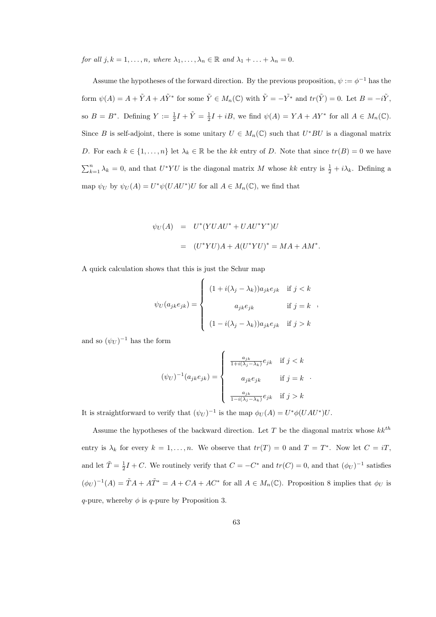for all  $j, k = 1, \ldots, n$ , where  $\lambda_1, \ldots, \lambda_n \in \mathbb{R}$  and  $\lambda_1 + \ldots + \lambda_n = 0$ .

Assume the hypotheses of the forward direction. By the previous proposition,  $\psi := \phi^{-1}$  has the form  $\psi(A) = A + \tilde{Y}A + A\tilde{Y}^*$  for some  $\tilde{Y} \in M_n(\mathbb{C})$  with  $\tilde{Y} = -\tilde{Y}^*$  and  $tr(\tilde{Y}) = 0$ . Let  $B = -i\tilde{Y}$ , so  $B = B^*$ . Defining  $Y := \frac{1}{2}I + \tilde{Y} = \frac{1}{2}I + iB$ , we find  $\psi(A) = YA + AY^*$  for all  $A \in M_n(\mathbb{C})$ . Since B is self-adjoint, there is some unitary  $U \in M_n(\mathbb{C})$  such that  $U^*BU$  is a diagonal matrix D. For each  $k \in \{1, \ldots, n\}$  let  $\lambda_k \in \mathbb{R}$  be the kk entry of D. Note that since  $tr(B) = 0$  we have  $\sum_{k=1}^{n} \lambda_k = 0$ , and that  $U^*YU$  is the diagonal matrix M whose kk entry is  $\frac{1}{2} + i\lambda_k$ . Defining a map  $\psi_U$  by  $\psi_U(A) = U^* \psi(UAU^*)U$  for all  $A \in M_n(\mathbb{C})$ , we find that

$$
\psi_U(A) = U^*(YUAU^* + UAU^*Y^*)U
$$
  
= 
$$
(U^*YU)A + A(U^*YU)^* = MA + AM^*.
$$

A quick calculation shows that this is just the Schur map

$$
\psi_U(a_{jk}e_{jk}) = \begin{cases}\n(1 + i(\lambda_j - \lambda_k))a_{jk}e_{jk} & \text{if } j < k \\
a_{jk}e_{jk} & \text{if } j = k\n\end{cases}
$$
\n
$$
(1 - i(\lambda_j - \lambda_k))a_{jk}e_{jk} \quad \text{if } j > k
$$

and so  $(\psi_U)^{-1}$  has the form

$$
(\psi_U)^{-1}(a_{jk}e_{jk}) = \left\{ \begin{array}{cl} \frac{a_{jk}}{1+i(\lambda_j-\lambda_k)}e_{jk} & \text{if } j < k \\ & \\ a_{jk}e_{jk} & \text{if } j = k \\ & \\ \frac{a_{jk}}{1-i(\lambda_j-\lambda_k)}e_{jk} & \text{if } j > k \end{array} \right. .
$$

It is straightforward to verify that  $(\psi_U)^{-1}$  is the map  $\phi_U(A) = U^* \phi(UAU^*)U$ .

Assume the hypotheses of the backward direction. Let T be the diagonal matrix whose  $kk^{th}$ entry is  $\lambda_k$  for every  $k = 1, ..., n$ . We observe that  $tr(T) = 0$  and  $T = T^*$ . Now let  $C = iT$ , and let  $\tilde{T} = \frac{1}{2}I + C$ . We routinely verify that  $C = -C^*$  and  $tr(C) = 0$ , and that  $(\phi_U)^{-1}$  satisfies  $(\phi_U)^{-1}(A) = \tilde{T}A + A\tilde{T}^* = A + CA + AC^*$  for all  $A \in M_n(\mathbb{C})$ . Proposition 8 implies that  $\phi_U$  is q-pure, whereby  $\phi$  is q-pure by Proposition 3.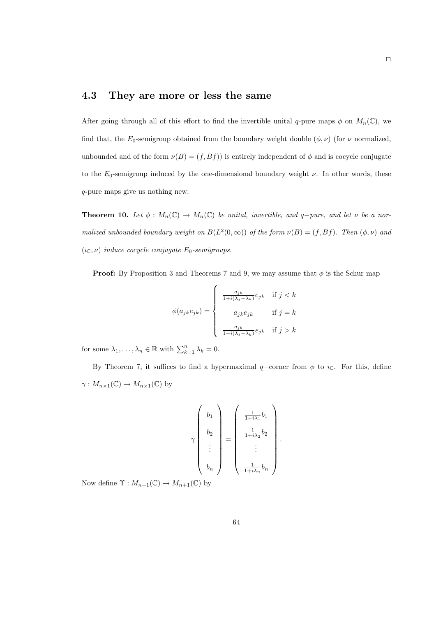### 4.3 They are more or less the same

After going through all of this effort to find the invertible unital q-pure maps  $\phi$  on  $M_n(\mathbb{C})$ , we find that, the  $E_0$ -semigroup obtained from the boundary weight double  $(\phi, \nu)$  (for  $\nu$  normalized, unbounded and of the form  $\nu(B) = (f, Bf)$  is entirely independent of  $\phi$  and is cocycle conjugate to the  $E_0$ -semigroup induced by the one-dimensional boundary weight  $\nu$ . In other words, these q-pure maps give us nothing new:

**Theorem 10.** Let  $\phi : M_n(\mathbb{C}) \to M_n(\mathbb{C})$  be unital, invertible, and q-pure, and let  $\nu$  be a normalized unbounded boundary weight on  $B(L^2(0,\infty))$  of the form  $\nu(B) = (f,Bf)$ . Then  $(\phi,\nu)$  and  $(\iota_{\mathbb{C}}, \nu)$  induce cocycle conjugate  $E_0$ -semigroups.

**Proof:** By Proposition 3 and Theorems 7 and 9, we may assume that  $\phi$  is the Schur map

$$
\phi(a_{jk}e_{jk}) = \begin{cases}\n\frac{a_{jk}}{1 + i(\lambda_j - \lambda_k)} e_{jk} & \text{if } j < k \\
a_{jk}e_{jk} & \text{if } j = k \\
\frac{a_{jk}}{1 - i(\lambda_j - \lambda_k)} e_{jk} & \text{if } j > k\n\end{cases}
$$

for some  $\lambda_1, \ldots, \lambda_n \in \mathbb{R}$  with  $\sum_{k=1}^n \lambda_k = 0$ .

By Theorem 7, it suffices to find a hypermaximal  $q$ –corner from  $\phi$  to  $\imath_{\mathbb{C}}$ . For this, define  $\gamma: M_{n\times 1}(\mathbb{C})\to M_{n\times 1}(\mathbb{C})$  by

$$
\gamma\begin{pmatrix}b_1\\b_2\\\vdots\\b_n\end{pmatrix}=\begin{pmatrix}\frac{1}{1+i\lambda_1}b_1\\\frac{1}{1+i\lambda_2}b_2\\\vdots\\\frac{1}{1+i\lambda_n}b_n\end{pmatrix}.
$$

Now define  $\Upsilon : M_{n+1}(\mathbb{C}) \to M_{n+1}(\mathbb{C})$  by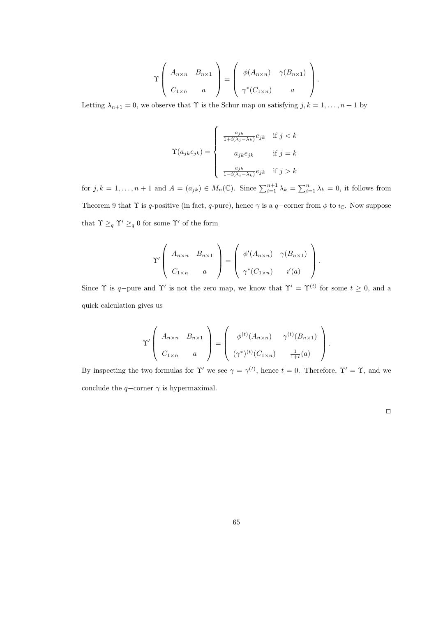$$
\Upsilon\left(\begin{array}{cc} A_{n\times n} & B_{n\times 1} \\ C_{1\times n} & a \end{array}\right) = \left(\begin{array}{cc} \phi(A_{n\times n}) & \gamma(B_{n\times 1}) \\ \gamma^*(C_{1\times n}) & a \end{array}\right).
$$

Letting  $\lambda_{n+1} = 0$ , we observe that  $\Upsilon$  is the Schur map on satisfying  $j, k = 1, \ldots, n+1$  by

$$
\Upsilon(a_{jk}e_{jk})=\left\{\begin{array}{cl} \frac{a_{jk}}{1+i(\lambda_j-\lambda_k)}e_{jk} & \text{if } j < k\\ & \\ a_{jk}e_{jk} & \text{if } j = k\\ \\ \frac{a_{jk}}{1-i(\lambda_j-\lambda_k)}e_{jk} & \text{if } j > k \end{array}\right.
$$

for  $j, k = 1, ..., n + 1$  and  $A = (a_{jk}) \in M_n(\mathbb{C})$ . Since  $\sum_{i=1}^{n+1} \lambda_k = \sum_{i=1}^n \lambda_k = 0$ , it follows from Theorem 9 that  $\Upsilon$  is q-positive (in fact, q-pure), hence  $\gamma$  is a q-corner from  $\phi$  to  $\imath_{\mathbb{C}}$ . Now suppose that  $\Upsilon \geq_q \Upsilon' \geq_q 0$  for some  $\Upsilon'$  of the form

$$
\Upsilon'\left(\begin{array}{cc}A_{n\times n} & B_{n\times 1} \\ C_{1\times n} & a\end{array}\right)=\left(\begin{array}{cc}\phi'(A_{n\times n}) & \gamma(B_{n\times 1}) \\ \gamma^*(C_{1\times n}) & i'(a)\end{array}\right).
$$

Since  $\Upsilon$  is q-pure and  $\Upsilon'$  is not the zero map, we know that  $\Upsilon' = \Upsilon^{(t)}$  for some  $t \geq 0$ , and a quick calculation gives us

$$
\Upsilon'\left(\begin{array}{cc} A_{n\times n} & B_{n\times 1} \\ C_{1\times n} & a \end{array}\right) = \left(\begin{array}{cc} \phi^{(t)}(A_{n\times n}) & \gamma^{(t)}(B_{n\times 1}) \\ (\gamma^*)^{(t)}(C_{1\times n}) & \frac{1}{1+t}(a) \end{array}\right).
$$

By inspecting the two formulas for  $\Upsilon'$  we see  $\gamma = \gamma^{(t)}$ , hence  $t = 0$ . Therefore,  $\Upsilon' = \Upsilon$ , and we conclude the  $q$ -corner  $\gamma$  is hypermaximal.

 $\Box$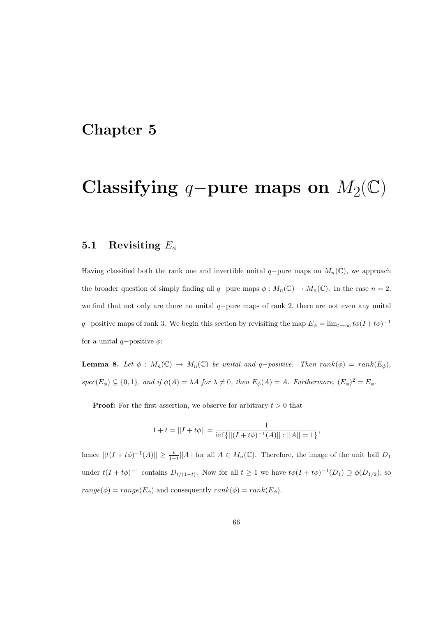### Chapter 5

## Classifying q-pure maps on  $M_2(\mathbb{C})$

### 5.1 Revisiting  $E_{\phi}$

Having classified both the rank one and invertible unital  $q$ -pure maps on  $M_n(\mathbb{C})$ , we approach the broader question of simply finding all q-pure maps  $\phi : M_n(\mathbb{C}) \to M_n(\mathbb{C})$ . In the case  $n = 2$ , we find that not only are there no unital  $q$ −pure maps of rank 2, there are not even any unital q–positive maps of rank 3. We begin this section by revisiting the map  $E_{\phi} = \lim_{t \to \infty} t\phi(I + t\phi)^{-1}$ for a unital  $q$ -positive  $\phi$ :

**Lemma 8.** Let  $\phi : M_n(\mathbb{C}) \to M_n(\mathbb{C})$  be unital and q-positive. Then rank( $\phi$ ) = rank( $E_{\phi}$ ),  $spec(E_{\phi}) \subseteq \{0,1\},$  and if  $\phi(A) = \lambda A$  for  $\lambda \neq 0$ , then  $E_{\phi}(A) = A$ . Furthermore,  $(E_{\phi})^2 = E_{\phi}$ .

**Proof:** For the first assertion, we observe for arbitrary  $t > 0$  that

$$
1 + t = ||I + t\phi|| = \frac{1}{\inf{|| (I + t\phi)^{-1}(A) || : ||A|| = 1}},
$$

hence  $||t(I + t\phi)^{-1}(A)|| \ge \frac{t}{1+t} ||A||$  for all  $A \in M_n(\mathbb{C})$ . Therefore, the image of the unit ball  $D_1$ under  $t(I + t\phi)^{-1}$  contains  $D_{t/(1+t)}$ . Now for all  $t \geq 1$  we have  $t\phi(I + t\phi)^{-1}(D_1) \supseteq \phi(D_{1/2})$ , so  $range(\phi) = range(E_{\phi})$  and consequently  $rank(\phi) = rank(E_{\phi})$ .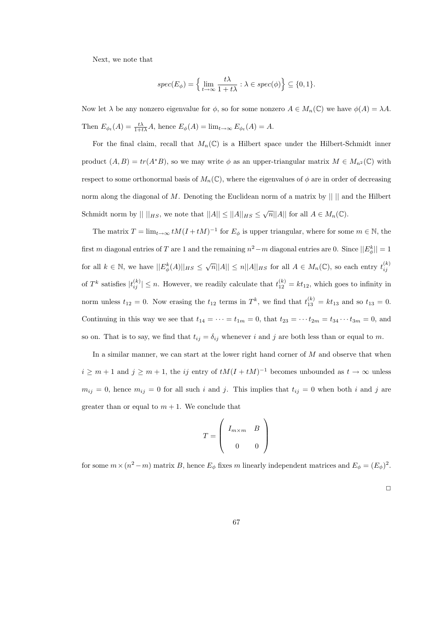Next, we note that

$$
spec(E_{\phi}) = \left\{ \lim_{t \to \infty} \frac{t\lambda}{1+t\lambda} : \lambda \in spec(\phi) \right\} \subseteq \{0,1\}.
$$

Now let  $\lambda$  be any nonzero eigenvalue for  $\phi$ , so for some nonzero  $A \in M_n(\mathbb{C})$  we have  $\phi(A) = \lambda A$ . Then  $E_{\phi_t}(A) = \frac{t\lambda}{1+t\lambda}A$ , hence  $E_{\phi}(A) = \lim_{t \to \infty} E_{\phi_t}(A) = A$ .

For the final claim, recall that  $M_n(\mathbb{C})$  is a Hilbert space under the Hilbert-Schmidt inner product  $(A, B) = tr(A^*B)$ , so we may write  $\phi$  as an upper-triangular matrix  $M \in M_{n^2}(\mathbb{C})$  with respect to some orthonormal basis of  $M_n(\mathbb{C})$ , where the eigenvalues of  $\phi$  are in order of decreasing norm along the diagonal of M. Denoting the Euclidean norm of a matrix by  $\| \cdot \|$  and the Hilbert Schmidt norm by  $|| \ ||_{HS}$ , we note that  $||A|| \le ||A||_{HS} \le \sqrt{n} ||A||$  for all  $A \in M_n(\mathbb{C})$ .

The matrix  $T = \lim_{t \to \infty} tM(I + tM)^{-1}$  for  $E_{\phi}$  is upper triangular, where for some  $m \in \mathbb{N}$ , the first m diagonal entries of T are 1 and the remaining  $n^2 - m$  diagonal entries are 0. Since  $||E^k_{\phi}|| = 1$ for all  $k \in \mathbb{N}$ , we have  $||E^k_{\phi}(A)||_{HS} \leq \sqrt{n}||A|| \leq n||A||_{HS}$  for all  $A \in M_n(\mathbb{C})$ , so each entry  $t_{ij}^{(k)}$ of T<sup>k</sup> satisfies  $|t_{ij}^{(k)}| \leq n$ . However, we readily calculate that  $t_{12}^{(k)} = kt_{12}$ , which goes to infinity in norm unless  $t_{12} = 0$ . Now erasing the  $t_{12}$  terms in  $T<sup>k</sup>$ , we find that  $t_{13}^{(k)} = kt_{13}$  and so  $t_{13} = 0$ . Continuing in this way we see that  $t_{14} = \cdots = t_{1m} = 0$ , that  $t_{23} = \cdots t_{2m} = t_{34} \cdots t_{3m} = 0$ , and so on. That is to say, we find that  $t_{ij} = \delta_{ij}$  whenever i and j are both less than or equal to m.

In a similar manner, we can start at the lower right hand corner of  $M$  and observe that when  $i \geq m+1$  and  $j \geq m+1$ , the ij entry of  $tM(I + tM)^{-1}$  becomes unbounded as  $t \to \infty$  unless  $m_{ij} = 0$ , hence  $m_{ij} = 0$  for all such i and j. This implies that  $t_{ij} = 0$  when both i and j are greater than or equal to  $m + 1$ . We conclude that

$$
T = \left(\begin{array}{cc} I_{m \times m} & B \\ 0 & 0 \end{array}\right)
$$

for some  $m \times (n^2 - m)$  matrix B, hence  $E_{\phi}$  fixes m linearly independent matrices and  $E_{\phi} = (E_{\phi})^2$ .

 $\Box$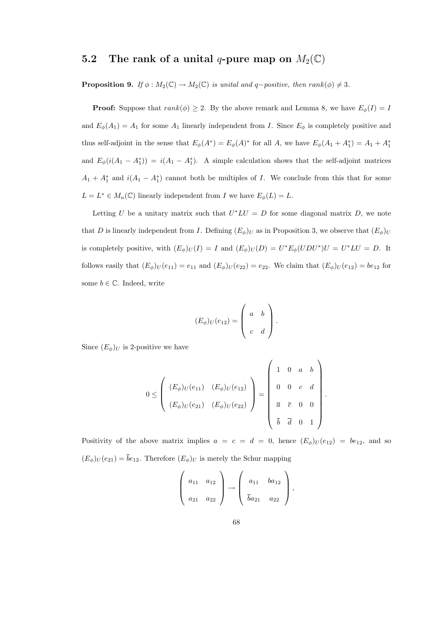## 5.2 The rank of a unital q-pure map on  $M_2(\mathbb{C})$

**Proposition 9.** If  $\phi : M_2(\mathbb{C}) \to M_2(\mathbb{C})$  is unital and q-positive, then rank( $\phi$ )  $\neq$  3.

**Proof:** Suppose that  $rank(\phi) \geq 2$ . By the above remark and Lemma 8, we have  $E_{\phi}(I) = I$ and  $E_{\phi}(A_1) = A_1$  for some  $A_1$  linearly independent from I. Since  $E_{\phi}$  is completely positive and thus self-adjoint in the sense that  $E_{\phi}(A^*) = E_{\phi}(A)^*$  for all A, we have  $E_{\phi}(A_1 + A_1^*) = A_1 + A_1^*$ and  $E_{\phi}(i(A_1 - A_1^*)) = i(A_1 - A_1^*)$ . A simple calculation shows that the self-adjoint matrices  $A_1 + A_1^*$  and  $i(A_1 - A_1^*)$  cannot both be multiples of I. We conclude from this that for some  $L = L^* \in M_n(\mathbb{C})$  linearly independent from I we have  $E_{\phi}(L) = L$ .

Letting U be a unitary matrix such that  $U^*LU = D$  for some diagonal matrix D, we note that D is linearly independent from I. Defining  $(E_{\phi})_U$  as in Proposition 3, we observe that  $(E_{\phi})_U$ is completely positive, with  $(E_{\phi})_U(I) = I$  and  $(E_{\phi})_U(D) = U^* E_{\phi}(U D U^*) U = U^* L U = D$ . It follows easily that  $(E_{\phi})_U(e_{11}) = e_{11}$  and  $(E_{\phi})_U(e_{22}) = e_{22}$ . We claim that  $(E_{\phi})_U(e_{12}) = be_{12}$  for some  $b \in \mathbb{C}$ . Indeed, write

$$
(E_{\phi})_U(e_{12}) = \left(\begin{array}{cc} a & b \\ c & d \end{array}\right).
$$

Since  $(E_{\phi})_U$  is 2-positive we have

$$
0 \leq \left(\begin{array}{ccc} (E_{\phi})_U(e_{11}) & (E_{\phi})_U(e_{12}) \\ (E_{\phi})_U(e_{21}) & (E_{\phi})_U(e_{22}) \end{array}\right) = \left(\begin{array}{cccc} 1 & 0 & a & b \\ & 0 & 0 & c & d \\ & & \overline{a} & \overline{c} & 0 & 0 \\ & & \overline{b} & \overline{d} & 0 & 1 \end{array}\right)
$$

.

Positivity of the above matrix implies  $a = c = d = 0$ , hence  $(E_{\phi})_U(e_{12}) = be_{12}$ , and so  $(E_{\phi})_U(e_{21}) = \overline{b}e_{12}$ . Therefore  $(E_{\phi})_U$  is merely the Schur mapping

$$
\left(\begin{array}{cc} a_{11} & a_{12} \\ a_{21} & a_{22} \end{array}\right) \rightarrow \left(\begin{array}{cc} a_{11} & ba_{12} \\ \bar{b}a_{21} & a_{22} \end{array}\right),
$$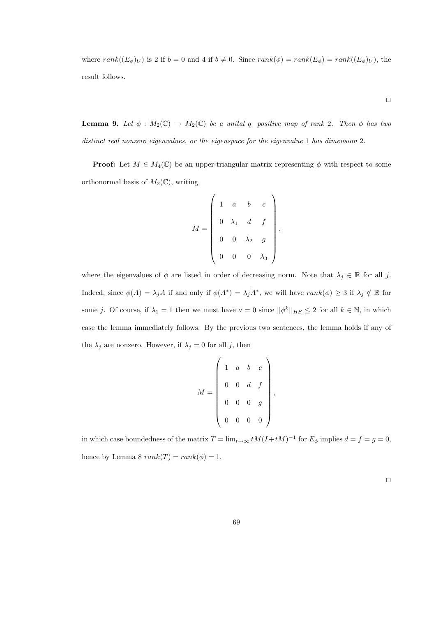where  $rank((E_{\phi})_U)$  is 2 if  $b = 0$  and 4 if  $b \neq 0$ . Since  $rank(\phi) = rank(E_{\phi}) = rank((E_{\phi})_U)$ , the result follows.

 $\Box$ 

**Lemma 9.** Let  $\phi : M_2(\mathbb{C}) \to M_2(\mathbb{C})$  be a unital q-positive map of rank 2. Then  $\phi$  has two distinct real nonzero eigenvalues, or the eigenspace for the eigenvalue 1 has dimension 2.

**Proof:** Let  $M \in M_4(\mathbb{C})$  be an upper-triangular matrix representing  $\phi$  with respect to some orthonormal basis of  $M_2(\mathbb{C})$ , writing

$$
M = \begin{pmatrix} 1 & a & b & c \\ 0 & \lambda_1 & d & f \\ 0 & 0 & \lambda_2 & g \\ 0 & 0 & 0 & \lambda_3 \end{pmatrix},
$$

where the eigenvalues of  $\phi$  are listed in order of decreasing norm. Note that  $\lambda_j \in \mathbb{R}$  for all j. Indeed, since  $\phi(A) = \lambda_j A$  if and only if  $\phi(A^*) = \overline{\lambda_j} A^*$ , we will have  $rank(\phi) \geq 3$  if  $\lambda_j \notin \mathbb{R}$  for some j. Of course, if  $\lambda_1 = 1$  then we must have  $a = 0$  since  $||\phi^k||_{HS} \leq 2$  for all  $k \in \mathbb{N}$ , in which case the lemma immediately follows. By the previous two sentences, the lemma holds if any of the  $\lambda_j$  are nonzero. However, if  $\lambda_j = 0$  for all j, then

$$
M = \begin{pmatrix} 1 & a & b & c \\ 0 & 0 & d & f \\ 0 & 0 & 0 & g \\ 0 & 0 & 0 & 0 \end{pmatrix},
$$

in which case boundedness of the matrix  $T = \lim_{t \to \infty} tM(I + tM)^{-1}$  for  $E_{\phi}$  implies  $d = f = g = 0$ , hence by Lemma 8  $rank(T) = rank(\phi) = 1$ .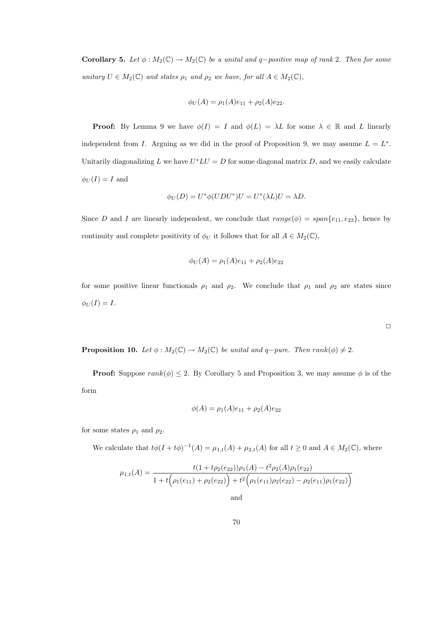Corollary 5. Let  $\phi : M_2(\mathbb{C}) \to M_2(\mathbb{C})$  be a unital and q-positive map of rank 2. Then for some unitary  $U \in M_2(\mathbb{C})$  and states  $\rho_1$  and  $\rho_2$  we have, for all  $A \in M_2(\mathbb{C})$ ,

$$
\phi_U(A) = \rho_1(A)e_{11} + \rho_2(A)e_{22}.
$$

**Proof:** By Lemma 9 we have  $\phi(I) = I$  and  $\phi(L) = \lambda L$  for some  $\lambda \in \mathbb{R}$  and L linearly independent from *I*. Arguing as we did in the proof of Proposition 9, we may assume  $L = L^*$ . Unitarily diagonalizing L we have  $U^*LU = D$  for some diagonal matrix D, and we easily calculate  $\phi_U(I) = I$  and

$$
\phi_U(D) = U^* \phi (UDU^*)U = U^* (\lambda L)U = \lambda D.
$$

Since D and I are linearly independent, we conclude that  $range(\phi) = span\{e_{11}, e_{22}\}\$ , hence by continuity and complete positivity of  $\phi_U$  it follows that for all  $A \in M_2(\mathbb{C})$ ,

$$
\phi_U(A) = \rho_1(A)e_{11} + \rho_2(A)e_{22}
$$

for some positive linear functionals  $\rho_1$  and  $\rho_2$ . We conclude that  $\rho_1$  and  $\rho_2$  are states since  $\phi_U(I) = I.$ 

 $\Box$ 

**Proposition 10.** Let  $\phi : M_2(\mathbb{C}) \to M_2(\mathbb{C})$  be unital and q-pure. Then rank( $\phi$ )  $\neq 2$ .

**Proof:** Suppose  $rank(\phi) \leq 2$ . By Corollary 5 and Proposition 3, we may assume  $\phi$  is of the form

$$
\phi(A) = \rho_1(A)e_{11} + \rho_2(A)e_{22}
$$

for some states  $\rho_1$  and  $\rho_2$ .

We calculate that  $t\phi(I + t\phi)^{-1}(A) = \mu_{1,t}(A) + \mu_{2,t}(A)$  for all  $t \geq 0$  and  $A \in M_2(\mathbb{C})$ , where

$$
\mu_{1,t}(A) = \frac{t(1+t\rho_2(e_{22}))\rho_1(A) - t^2\rho_2(A)\rho_1(e_{22})}{1+t(\rho_1(e_{11}) + \rho_2(e_{22})) + t^2(\rho_1(e_{11})\rho_2(e_{22}) - \rho_2(e_{11})\rho_1(e_{22}))}
$$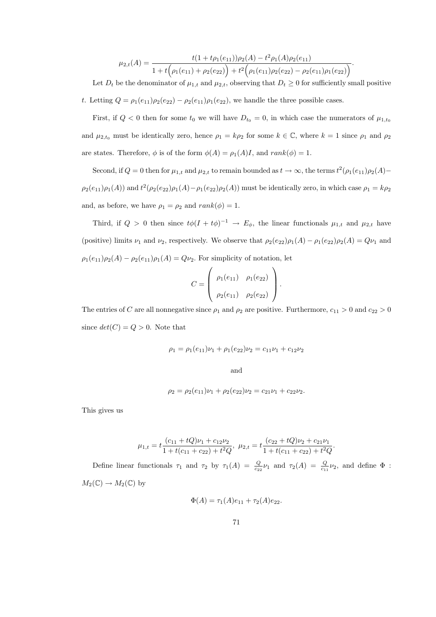$$
\mu_{2,t}(A) = \frac{t(1+t\rho_1(e_{11}))\rho_2(A) - t^2\rho_1(A)\rho_2(e_{11})}{1+t(\rho_1(e_{11})+\rho_2(e_{22})) + t^2(\rho_1(e_{11})\rho_2(e_{22})-\rho_2(e_{11})\rho_1(e_{22}))}.
$$

Let  $D_t$  be the denominator of  $\mu_{1,t}$  and  $\mu_{2,t}$ , observing that  $D_t \geq 0$  for sufficiently small positive

t. Letting  $Q = \rho_1(e_{11})\rho_2(e_{22}) - \rho_2(e_{11})\rho_1(e_{22})$ , we handle the three possible cases.

First, if  $Q < 0$  then for some  $t_0$  we will have  $D_{t_0} = 0$ , in which case the numerators of  $\mu_{1,t_0}$ and  $\mu_{2,t_0}$  must be identically zero, hence  $\rho_1 = k\rho_2$  for some  $k \in \mathbb{C}$ , where  $k = 1$  since  $\rho_1$  and  $\rho_2$ are states. Therefore,  $\phi$  is of the form  $\phi(A) = \rho_1(A)I$ , and  $rank(\phi) = 1$ .

Second, if  $Q = 0$  then for  $\mu_{1,t}$  and  $\mu_{2,t}$  to remain bounded as  $t \to \infty$ , the terms  $t^2(\rho_1(e_{11})\rho_2(A) \rho_2(e_{11})\rho_1(A)$  and  $t^2(\rho_2(e_{22})\rho_1(A)-\rho_1(e_{22})\rho_2(A))$  must be identically zero, in which case  $\rho_1=k\rho_2$ and, as before, we have  $\rho_1 = \rho_2$  and  $rank(\phi) = 1$ .

Third, if  $Q > 0$  then since  $t\phi(I + t\phi)^{-1} \to E_{\phi}$ , the linear functionals  $\mu_{1,t}$  and  $\mu_{2,t}$  have (positive) limits  $\nu_1$  and  $\nu_2$ , respectively. We observe that  $\rho_2(e_{22})\rho_1(A) - \rho_1(e_{22})\rho_2(A) = Q\nu_1$  and  $\rho_1(e_{11})\rho_2(A) - \rho_2(e_{11})\rho_1(A) = Q\nu_2$ . For simplicity of notation, let

$$
C = \left(\begin{array}{cc} \rho_1(e_{11}) & \rho_1(e_{22}) \\ \rho_2(e_{11}) & \rho_2(e_{22}) \end{array}\right).
$$

The entries of C are all nonnegative since  $\rho_1$  and  $\rho_2$  are positive. Furthermore,  $c_{11} > 0$  and  $c_{22} > 0$ since  $det(C) = Q > 0$ . Note that

$$
\rho_1 = \rho_1(e_{11})\nu_1 + \rho_1(e_{22})\nu_2 = c_{11}\nu_1 + c_{12}\nu_2
$$

and

$$
\rho_2 = \rho_2(e_{11})\nu_1 + \rho_2(e_{22})\nu_2 = c_{21}\nu_1 + c_{22}\nu_2.
$$

This gives us

$$
\mu_{1,t} = t \frac{(c_{11} + tQ)\nu_1 + c_{12}\nu_2}{1 + t(c_{11} + c_{22}) + t^2 Q}, \ \mu_{2,t} = t \frac{(c_{22} + tQ)\nu_2 + c_{21}\nu_1}{1 + t(c_{11} + c_{22}) + t^2 Q}.
$$

Define linear functionals  $\tau_1$  and  $\tau_2$  by  $\tau_1(A) = \frac{Q}{c_{22}}\nu_1$  and  $\tau_2(A) = \frac{Q}{c_{11}}\nu_2$ , and define  $\Phi$ :  $M_2(\mathbb{C}) \to M_2(\mathbb{C})$  by

$$
\Phi(A) = \tau_1(A)e_{11} + \tau_2(A)e_{22}.
$$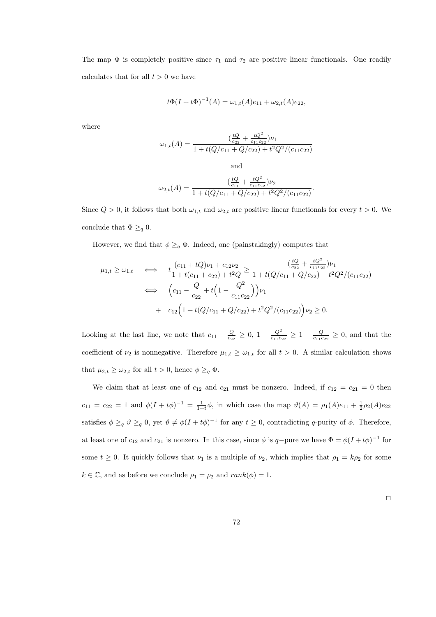The map  $\Phi$  is completely positive since  $\tau_1$  and  $\tau_2$  are positive linear functionals. One readily calculates that for all  $t > 0$  we have

$$
t\Phi(I + t\Phi)^{-1}(A) = \omega_{1,t}(A)e_{11} + \omega_{2,t}(A)e_{22},
$$

where

$$
\omega_{1,t}(A) = \frac{(\frac{tQ}{c_{22}} + \frac{tQ^2}{c_{11}c_{22}})\nu_1}{1 + t(Q/c_{11} + Q/c_{22}) + t^2Q^2/(c_{11}c_{22})}
$$

$$
\omega_{2,t}(A) = \frac{(\frac{tQ}{c_{11}} + \frac{tQ^2}{c_{11}c_{22}})\nu_2}{1 + t(Q/c_{11} + Q/c_{22}) + t^2Q^2/(c_{11}c_{22})}.
$$

and

Since  $Q > 0$ , it follows that both  $\omega_{1,t}$  and  $\omega_{2,t}$  are positive linear functionals for every  $t > 0$ . We conclude that  $\Phi \geq_q 0$ .

However, we find that  $\phi \geq_q \Phi$ . Indeed, one (painstakingly) computes that

$$
\mu_{1,t} \geq \omega_{1,t} \quad \Longleftrightarrow \quad t \frac{(c_{11} + tQ)\nu_1 + c_{12}\nu_2}{1 + t(c_{11} + c_{22}) + t^2 Q} \geq \frac{\left(\frac{tQ}{c_{22}} + \frac{tQ^2}{c_{11}c_{22}}\right)\nu_1}{1 + t(Q/c_{11} + Q/c_{22}) + t^2 Q^2/(c_{11}c_{22})}
$$
\n
$$
\iff \quad \left(c_{11} - \frac{Q}{c_{22}} + t\left(1 - \frac{Q^2}{c_{11}c_{22}}\right)\right)\nu_1
$$
\n
$$
+ c_{12}\left(1 + t(Q/c_{11} + Q/c_{22}) + t^2 Q^2/(c_{11}c_{22})\right)\nu_2 \geq 0.
$$

Looking at the last line, we note that  $c_{11} - \frac{Q}{c_{22}} \geq 0$ ,  $1 - \frac{Q^2}{c_{11}c}$  $\frac{Q^2}{c_{11}c_{22}} \geq 1 - \frac{Q}{c_{11}c_{22}} \geq 0$ , and that the coefficient of  $\nu_2$  is nonnegative. Therefore  $\mu_{1,t} \geq \omega_{1,t}$  for all  $t > 0$ . A similar calculation shows that  $\mu_{2,t} \geq \omega_{2,t}$  for all  $t > 0$ , hence  $\phi \geq_q \Phi$ .

We claim that at least one of  $c_{12}$  and  $c_{21}$  must be nonzero. Indeed, if  $c_{12} = c_{21} = 0$  then  $c_{11} = c_{22} = 1$  and  $\phi(I + t\phi)^{-1} = \frac{1}{1+t}\phi$ , in which case the map  $\vartheta(A) = \rho_1(A)e_{11} + \frac{1}{2}\rho_2(A)e_{22}$ satisfies  $\phi \geq_q \theta \geq_q 0$ , yet  $\theta \neq \phi(I + t\phi)^{-1}$  for any  $t \geq 0$ , contradicting q-purity of  $\phi$ . Therefore, at least one of  $c_{12}$  and  $c_{21}$  is nonzero. In this case, since  $\phi$  is  $q$ -pure we have  $\Phi = \phi(I + t\phi)^{-1}$  for some  $t \geq 0$ . It quickly follows that  $\nu_1$  is a multiple of  $\nu_2$ , which implies that  $\rho_1 = k\rho_2$  for some  $k \in \mathbb{C}$ , and as before we conclude  $\rho_1 = \rho_2$  and  $rank(\phi) = 1$ .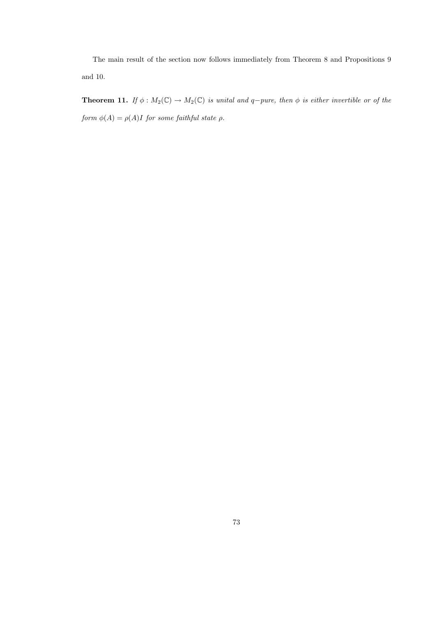The main result of the section now follows immediately from Theorem 8 and Propositions 9 and 10.

**Theorem 11.** If  $\phi : M_2(\mathbb{C}) \to M_2(\mathbb{C})$  is unital and q-pure, then  $\phi$  is either invertible or of the form  $\phi(A) = \rho(A)I$  for some faithful state  $\rho$ .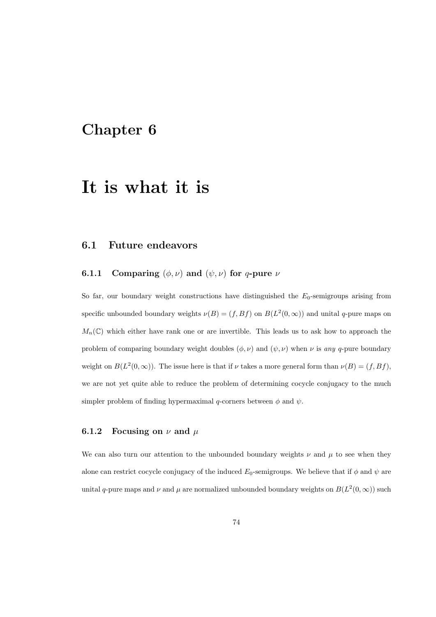# Chapter 6

# It is what it is

### 6.1 Future endeavors

#### **6.1.1** Comparing  $(\phi, \nu)$  and  $(\psi, \nu)$  for q-pure  $\nu$

So far, our boundary weight constructions have distinguished the  $E_0$ -semigroups arising from specific unbounded boundary weights  $\nu(B) = (f, Bf)$  on  $B(L^2(0, \infty))$  and unital q-pure maps on  $M_n(\mathbb{C})$  which either have rank one or are invertible. This leads us to ask how to approach the problem of comparing boundary weight doubles  $(\phi, \nu)$  and  $(\psi, \nu)$  when  $\nu$  is any q-pure boundary weight on  $B(L^2(0,\infty))$ . The issue here is that if  $\nu$  takes a more general form than  $\nu(B) = (f,Bf)$ , we are not yet quite able to reduce the problem of determining cocycle conjugacy to the much simpler problem of finding hypermaximal q-corners between  $\phi$  and  $\psi$ .

#### 6.1.2 Focusing on  $\nu$  and  $\mu$

We can also turn our attention to the unbounded boundary weights  $\nu$  and  $\mu$  to see when they alone can restrict cocycle conjugacy of the induced  $E_0$ -semigroups. We believe that if  $\phi$  and  $\psi$  are unital q-pure maps and  $\nu$  and  $\mu$  are normalized unbounded boundary weights on  $B(L^2(0,\infty))$  such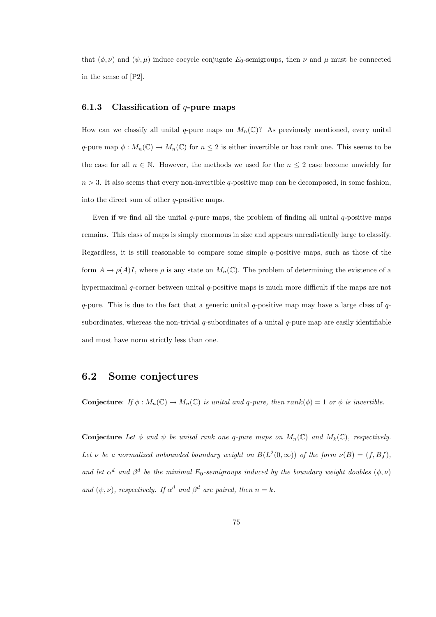that  $(\phi, \nu)$  and  $(\psi, \mu)$  induce cocycle conjugate  $E_0$ -semigroups, then  $\nu$  and  $\mu$  must be connected in the sense of [P2].

#### 6.1.3 Classification of  $q$ -pure maps

How can we classify all unital q-pure maps on  $M_n(\mathbb{C})$ ? As previously mentioned, every unital q-pure map  $\phi: M_n(\mathbb{C}) \to M_n(\mathbb{C})$  for  $n \leq 2$  is either invertible or has rank one. This seems to be the case for all  $n \in \mathbb{N}$ . However, the methods we used for the  $n \leq 2$  case become unwieldy for  $n > 3$ . It also seems that every non-invertible q-positive map can be decomposed, in some fashion, into the direct sum of other q-positive maps.

Even if we find all the unital  $q$ -pure maps, the problem of finding all unital  $q$ -positive maps remains. This class of maps is simply enormous in size and appears unrealistically large to classify. Regardless, it is still reasonable to compare some simple  $q$ -positive maps, such as those of the form  $A \to \rho(A)I$ , where  $\rho$  is any state on  $M_n(\mathbb{C})$ . The problem of determining the existence of a hypermaximal q-corner between unital q-positive maps is much more difficult if the maps are not q-pure. This is due to the fact that a generic unital q-positive map may have a large class of  $q$ subordinates, whereas the non-trivial q-subordinates of a unital  $q$ -pure map are easily identifiable and must have norm strictly less than one.

### 6.2 Some conjectures

**Conjecture:** If  $\phi : M_n(\mathbb{C}) \to M_n(\mathbb{C})$  is unital and q-pure, then rank $(\phi) = 1$  or  $\phi$  is invertible.

**Conjecture** Let  $\phi$  and  $\psi$  be unital rank one q-pure maps on  $M_n(\mathbb{C})$  and  $M_k(\mathbb{C})$ , respectively. Let v be a normalized unbounded boundary weight on  $B(L^2(0,\infty))$  of the form  $\nu(B) = (f,Bf)$ , and let  $\alpha^d$  and  $\beta^d$  be the minimal  $E_0$ -semigroups induced by the boundary weight doubles  $(\phi, \nu)$ and  $(\psi, \nu)$ , respectively. If  $\alpha^d$  and  $\beta^d$  are paired, then  $n = k$ .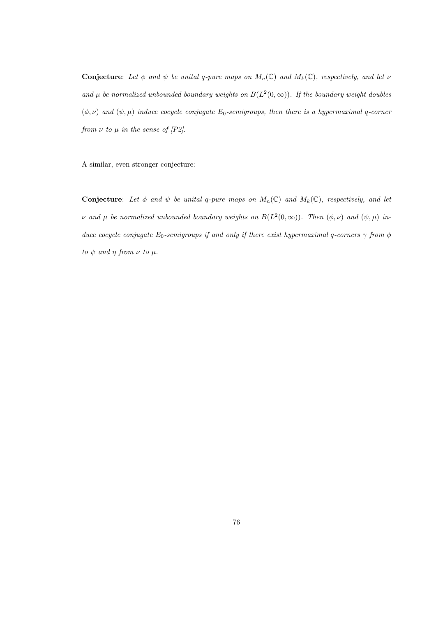**Conjecture:** Let  $\phi$  and  $\psi$  be unital q-pure maps on  $M_n(\mathbb{C})$  and  $M_k(\mathbb{C})$ , respectively, and let  $\nu$ and  $\mu$  be normalized unbounded boundary weights on  $B(L^2(0,\infty))$ . If the boundary weight doubles  $(\phi, \nu)$  and  $(\psi, \mu)$  induce cocycle conjugate  $E_0$ -semigroups, then there is a hypermaximal q-corner from  $\nu$  to  $\mu$  in the sense of [P2].

A similar, even stronger conjecture:

**Conjecture:** Let  $\phi$  and  $\psi$  be unital q-pure maps on  $M_n(\mathbb{C})$  and  $M_k(\mathbb{C})$ , respectively, and let v and  $\mu$  be normalized unbounded boundary weights on  $B(L^2(0,\infty))$ . Then  $(\phi,\nu)$  and  $(\psi,\mu)$  induce cocycle conjugate  $E_0$ -semigroups if and only if there exist hypermaximal q-corners  $\gamma$  from  $\phi$ to  $\psi$  and  $\eta$  from  $\nu$  to  $\mu$ .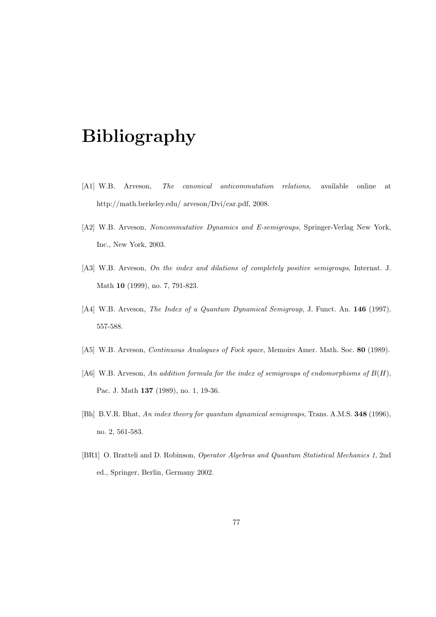# Bibliography

- [A1] W.B. Arveson, The canonical anticommutation relations, available online at http://math.berkeley.edu/ arveson/Dvi/car.pdf, 2008.
- [A2] W.B. Arveson, Noncommutative Dynamics and E-semigroups, Springer-Verlag New York, Inc., New York, 2003.
- [A3] W.B. Arveson, On the index and dilations of completely positive semigroups, Internat. J. Math 10 (1999), no. 7, 791-823.
- [A4] W.B. Arveson, The Index of a Quantum Dynamical Semigroup, J. Funct. An. 146 (1997), 557-588.
- [A5] W.B. Arveson, *Continuous Analogues of Fock space*, Memoirs Amer. Math. Soc. 80 (1989).
- [A6] W.B. Arveson, An addition formula for the index of semigroups of endomorphisms of  $B(H)$ , Pac. J. Math 137 (1989), no. 1, 19-36.
- [Bh] B.V.R. Bhat, An index theory for quantum dynamical semigroups, Trans. A.M.S. 348 (1996), no. 2, 561-583.
- [BR1] O. Bratteli and D. Robinson, Operator Algebras and Quantum Statistical Mechanics 1, 2nd ed., Springer, Berlin, Germany 2002.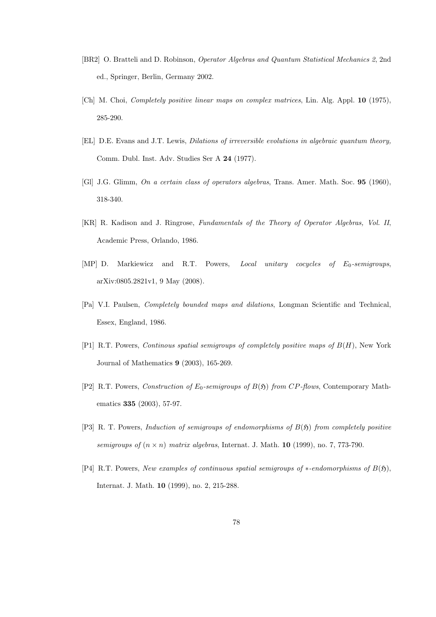- [BR2] O. Bratteli and D. Robinson, Operator Algebras and Quantum Statistical Mechanics 2, 2nd ed., Springer, Berlin, Germany 2002.
- [Ch] M. Choi, Completely positive linear maps on complex matrices, Lin. Alg. Appl. 10 (1975), 285-290.
- [EL] D.E. Evans and J.T. Lewis, Dilations of irreversible evolutions in algebraic quantum theory, Comm. Dubl. Inst. Adv. Studies Ser A 24 (1977).
- [Gl] J.G. Glimm, On a certain class of operators algebras, Trans. Amer. Math. Soc. 95 (1960), 318-340.
- [KR] R. Kadison and J. Ringrose, Fundamentals of the Theory of Operator Algebras, Vol. II, Academic Press, Orlando, 1986.
- [MP] D. Markiewicz and R.T. Powers, *Local unitary cocycles of*  $E_0$ *-semigroups*, arXiv:0805.2821v1, 9 May (2008).
- [Pa] V.I. Paulsen, Completely bounded maps and dilations, Longman Scientific and Technical, Essex, England, 1986.
- [P1] R.T. Powers, Continous spatial semigroups of completely positive maps of B(H), New York Journal of Mathematics 9 (2003), 165-269.
- [P2] R.T. Powers, Construction of  $E_0$ -semigroups of  $B(5)$  from CP-flows, Contemporary Mathematics 335 (2003), 57-97.
- [P3] R. T. Powers, Induction of semigroups of endomorphisms of  $B(5)$  from completely positive semigroups of  $(n \times n)$  matrix algebras, Internat. J. Math. 10 (1999), no. 7, 773-790.
- [P4] R.T. Powers, New examples of continuous spatial semigroups of ∗-endomorphisms of  $B(5)$ , Internat. J. Math. 10 (1999), no. 2, 215-288.